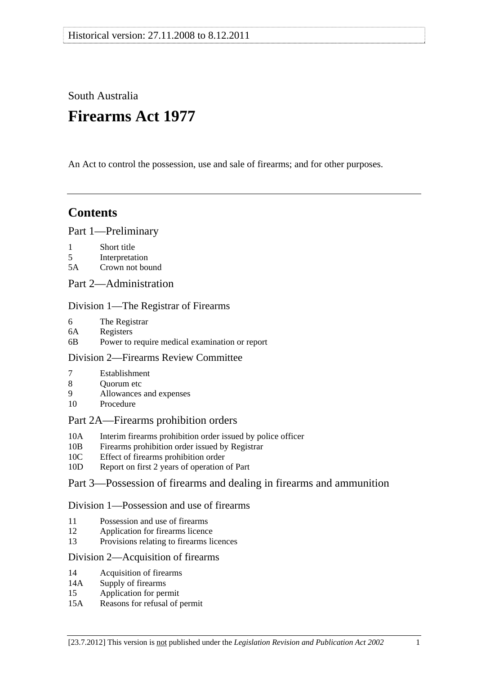South Australia

# **Firearms Act 1977**

An Act to control the possession, use and sale of firearms; and for other purposes.

# **Contents**

#### [Part 1—Preliminary](#page-2-0)

- [1 Short title](#page-2-0)
- [5 Interpretation](#page-2-0)
- [5A Crown not bound](#page-10-0)
- [Part 2—Administration](#page-10-0)

# [Division 1—The Registrar of Firearms](#page-10-0)

- [6 The Registrar](#page-10-0)
- [6A Registers](#page-11-0)
- [6B Power to require medical examination or report](#page-11-0)

# [Division 2—Firearms Review Committee](#page-11-0)

- [7 Establishment](#page-11-0)
- 8 Ouorum etc
- [9 Allowances and expenses](#page-12-0)
- [10 Procedure](#page-12-0)

# [Part 2A—Firearms prohibition orders](#page-13-0)

- [10A Interim firearms prohibition order issued by police officer](#page-13-0)
- [10B Firearms prohibition order issued by Registrar](#page-13-0)
- [10C Effect of firearms prohibition order](#page-14-0)
- [10D Report on first 2 years of operation of Part](#page-16-0)

# [Part 3—Possession of firearms and dealing in firearms and ammunition](#page-17-0)

# [Division 1—Possession and use of firearms](#page-17-0)

- [11 Possession and use of firearms](#page-17-0)
- [12 Application for firearms licence](#page-19-0)
- [13 Provisions relating to firearms licences](#page-22-0)

# [Division 2—Acquisition of firearms](#page-23-0)

- [14 Acquisition of firearms](#page-23-0)
- [14A Supply of firearms](#page-25-0)
- [15 Application for permit](#page-27-0)
- [15A Reasons for refusal of permit](#page-27-0)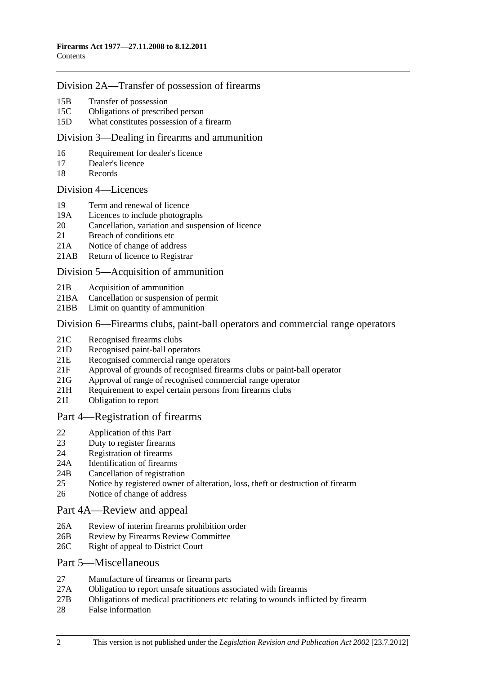#### [Division 2A—Transfer of possession of firearms](#page-30-0)

- [15B Transfer of possession](#page-30-0)
- [15C Obligations of prescribed person](#page-33-0)
- [15D What constitutes possession of a firearm](#page-34-0)

#### [Division 3—Dealing in firearms and ammunition](#page-34-0)

- [16 Requirement for dealer's licence](#page-34-0)
- [17 Dealer's licence](#page-35-0)
- [18 Records](#page-36-0)

#### [Division 4—Licences](#page-36-0)

- [19 Term and renewal of licence](#page-36-0)
- [19A Licences to include photographs](#page-37-0)
- [20 Cancellation, variation and suspension of licence](#page-37-0)
- 21 Breach of conditions etc
- [21A Notice of change of address](#page-39-0)
- [21AB Return of licence to Registrar](#page-39-0)

#### [Division 5—Acquisition of ammunition](#page-39-0)

- [21B Acquisition of ammunition](#page-39-0)
- [21BA Cancellation or suspension of permit](#page-40-0)
- [21BB Limit on quantity of ammunition](#page-41-0)

#### [Division 6—Firearms clubs, paint-ball operators and commercial range operators](#page-41-0)

- [21C Recognised firearms clubs](#page-41-0)
- [21D Recognised paint-ball operators](#page-41-0)
- [21E Recognised commercial range operators](#page-42-0)
- [21F Approval of grounds of recognised firearms clubs or paint-ball operator](#page-42-0)
- [21G Approval of range of recognised commercial range operator](#page-43-0)
- 21H Requirement to expel certain persons from firearms clubs
- [21I Obligation to report](#page-44-0)

#### [Part 4—Registration of firearms](#page-45-0)

- [22 Application of this Part](#page-45-0)
- [23 Duty to register firearms](#page-45-0)
- [24 Registration of firearms](#page-46-0)
- [24A Identification of firearms](#page-46-0)
- [24B Cancellation of registration](#page-47-0)
- [25 Notice by registered owner of alteration, loss, theft or destruction of firearm](#page-47-0)
- [26 Notice of change of address](#page-48-0)

#### [Part 4A—Review and appeal](#page-48-0)

- [26A Review of interim firearms prohibition order](#page-48-0)
- [26B Review by Firearms Review Committee](#page-48-0)
- [26C Right of appeal to District Court](#page-49-0)

#### [Part 5—Miscellaneous](#page-50-0)

- [27 Manufacture of firearms or firearm parts](#page-50-0)
- [27A Obligation to report unsafe situations associated with firearms](#page-51-0)
- [27B Obligations of medical practitioners etc relating to wounds inflicted by firearm](#page-52-0)
- [28 False information](#page-52-0)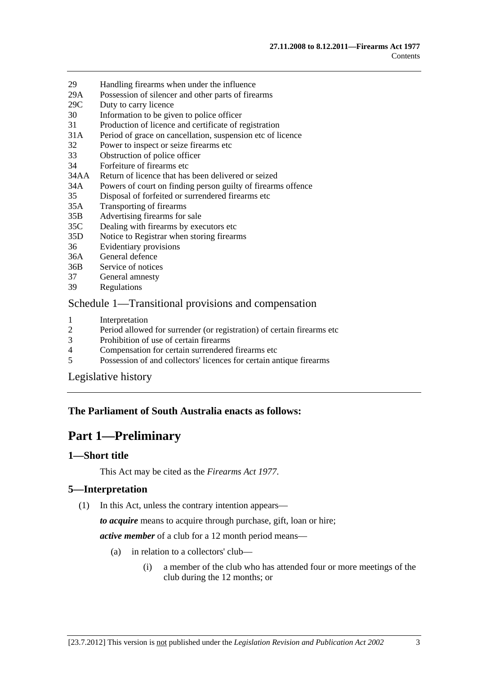- <span id="page-2-0"></span>[29 Handling firearms when under the influence](#page-52-0)
- [29A Possession of silencer and other parts of firearms](#page-53-0)
- [29C Duty to carry licence](#page-53-0)
- [30 Information to be given to police officer](#page-53-0)
- [31 Production of licence and certificate of registration](#page-54-0)
- [31A Period of grace on cancellation, suspension etc of licence](#page-55-0)
- [32 Power to inspect or seize firearms etc](#page-55-0)
- [33 Obstruction of police officer](#page-57-0)
- [34 Forfeiture of firearms etc](#page-57-0)
- [34AA Return of licence that has been delivered or seized](#page-58-0)
- [34A Powers of court on finding person guilty of firearms offence](#page-58-0)
- [35 Disposal of forfeited or surrendered firearms etc](#page-59-0)
- [35A Transporting of firearms](#page-61-0)
- [35B Advertising firearms for sale](#page-61-0)
- [35C Dealing with firearms by executors etc](#page-61-0)
- [35D Notice to Registrar when storing firearms](#page-61-0)
- [36 Evidentiary provisions](#page-62-0)
- [36A General defence](#page-62-0)
- [36B Service of notices](#page-62-0)
- [37 General amnesty](#page-63-0)
- [39 Regulations](#page-63-0)

#### [Schedule 1—Transitional provisions and compensation](#page-64-0)

- 1 Interpretation<br>2 Period allowe
- [2 Period allowed for surrender \(or registration\) of certain firearms etc](#page-64-0)
- [3 Prohibition of use of certain firearms](#page-65-0)
- [4 Compensation for certain surrendered firearms etc](#page-65-0)
- [5 Possession of and collectors' licences for certain antique firearms](#page-66-0)

[Legislative history](#page-67-0) 

# **The Parliament of South Australia enacts as follows:**

# **Part 1—Preliminary**

#### **1—Short title**

This Act may be cited as the *Firearms Act 1977*.

# **5—Interpretation**

(1) In this Act, unless the contrary intention appears—

*to acquire* means to acquire through purchase, gift, loan or hire;

*active member* of a club for a 12 month period means—

- (a) in relation to a collectors' club—
	- (i) a member of the club who has attended four or more meetings of the club during the 12 months; or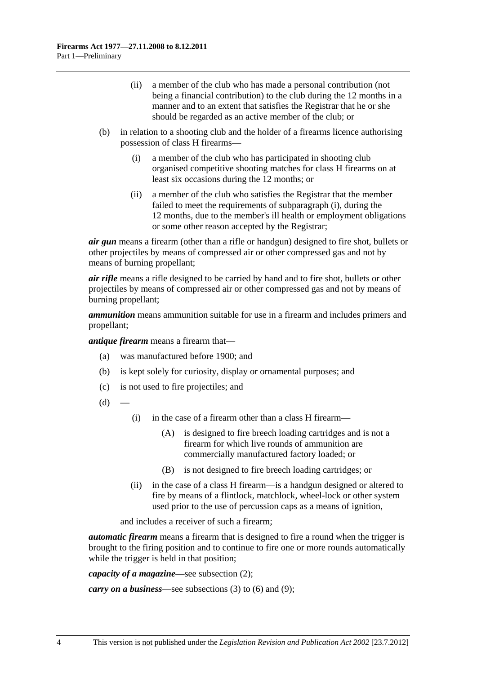- <span id="page-3-0"></span> (ii) a member of the club who has made a personal contribution (not being a financial contribution) to the club during the 12 months in a manner and to an extent that satisfies the Registrar that he or she should be regarded as an active member of the club; or
- (b) in relation to a shooting club and the holder of a firearms licence authorising possession of class H firearms—
	- (i) a member of the club who has participated in shooting club organised competitive shooting matches for class H firearms on at least six occasions during the 12 months; or
	- (ii) a member of the club who satisfies the Registrar that the member failed to meet the requirements of [subparagraph \(i\)](#page-3-0), during the 12 months, due to the member's ill health or employment obligations or some other reason accepted by the Registrar;

*air gun* means a firearm (other than a rifle or handgun) designed to fire shot, bullets or other projectiles by means of compressed air or other compressed gas and not by means of burning propellant;

*air rifle* means a rifle designed to be carried by hand and to fire shot, bullets or other projectiles by means of compressed air or other compressed gas and not by means of burning propellant;

*ammunition* means ammunition suitable for use in a firearm and includes primers and propellant;

*antique firearm* means a firearm that—

- (a) was manufactured before 1900; and
- (b) is kept solely for curiosity, display or ornamental purposes; and
- (c) is not used to fire projectiles; and
- $(d)$
- (i) in the case of a firearm other than a class H firearm—
	- (A) is designed to fire breech loading cartridges and is not a firearm for which live rounds of ammunition are commercially manufactured factory loaded; or
	- (B) is not designed to fire breech loading cartridges; or
- (ii) in the case of a class H firearm—is a handgun designed or altered to fire by means of a flintlock, matchlock, wheel-lock or other system used prior to the use of percussion caps as a means of ignition,

and includes a receiver of such a firearm;

*automatic firearm* means a firearm that is designed to fire a round when the trigger is brought to the firing position and to continue to fire one or more rounds automatically while the trigger is held in that position;

*capacity of a magazine*—see [subsection \(2\);](#page-8-0)

*carry on a business*—see [subsections \(3\)](#page-8-0) to [\(6\)](#page-9-0) and [\(9\);](#page-9-0)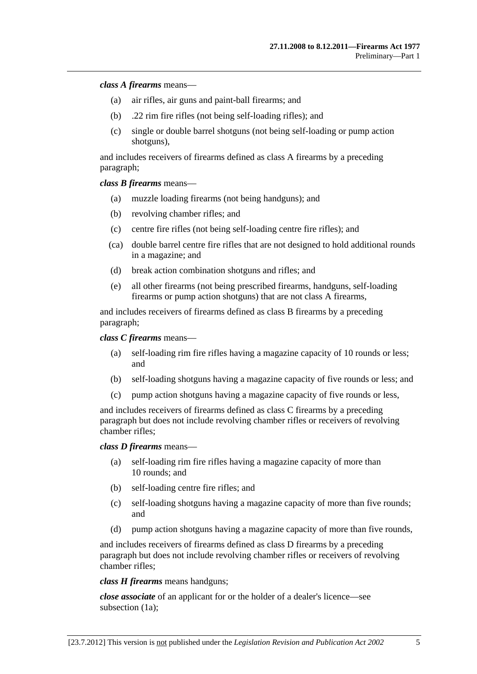#### *class A firearms* means—

- (a) air rifles, air guns and paint-ball firearms; and
- (b) .22 rim fire rifles (not being self-loading rifles); and
- (c) single or double barrel shotguns (not being self-loading or pump action shotguns),

and includes receivers of firearms defined as class A firearms by a preceding paragraph;

*class B firearms* means—

- (a) muzzle loading firearms (not being handguns); and
- (b) revolving chamber rifles; and
- (c) centre fire rifles (not being self-loading centre fire rifles); and
- (ca) double barrel centre fire rifles that are not designed to hold additional rounds in a magazine; and
- (d) break action combination shotguns and rifles; and
- (e) all other firearms (not being prescribed firearms, handguns, self-loading firearms or pump action shotguns) that are not class A firearms,

and includes receivers of firearms defined as class B firearms by a preceding paragraph;

*class C firearms* means—

- (a) self-loading rim fire rifles having a magazine capacity of 10 rounds or less; and
- (b) self-loading shotguns having a magazine capacity of five rounds or less; and
- (c) pump action shotguns having a magazine capacity of five rounds or less,

and includes receivers of firearms defined as class C firearms by a preceding paragraph but does not include revolving chamber rifles or receivers of revolving chamber rifles;

#### *class D firearms* means—

- (a) self-loading rim fire rifles having a magazine capacity of more than 10 rounds; and
- (b) self-loading centre fire rifles; and
- (c) self-loading shotguns having a magazine capacity of more than five rounds; and
- (d) pump action shotguns having a magazine capacity of more than five rounds,

and includes receivers of firearms defined as class D firearms by a preceding paragraph but does not include revolving chamber rifles or receivers of revolving chamber rifles;

*class H firearms* means handguns;

*close associate* of an applicant for or the holder of a dealer's licence—see [subsection \(1a\);](#page-8-0)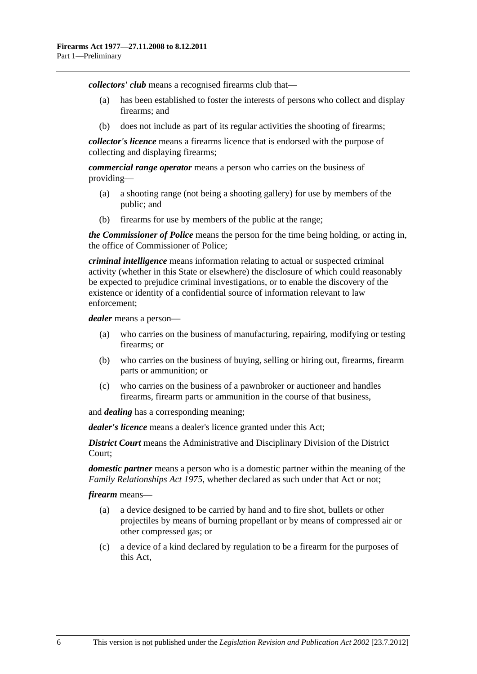*collectors' club* means a recognised firearms club that—

- (a) has been established to foster the interests of persons who collect and display firearms; and
- (b) does not include as part of its regular activities the shooting of firearms;

*collector's licence* means a firearms licence that is endorsed with the purpose of collecting and displaying firearms;

*commercial range operator* means a person who carries on the business of providing—

- (a) a shooting range (not being a shooting gallery) for use by members of the public; and
- (b) firearms for use by members of the public at the range;

*the Commissioner of Police* means the person for the time being holding, or acting in, the office of Commissioner of Police;

*criminal intelligence* means information relating to actual or suspected criminal activity (whether in this State or elsewhere) the disclosure of which could reasonably be expected to prejudice criminal investigations, or to enable the discovery of the existence or identity of a confidential source of information relevant to law enforcement;

*dealer* means a person—

- (a) who carries on the business of manufacturing, repairing, modifying or testing firearms; or
- (b) who carries on the business of buying, selling or hiring out, firearms, firearm parts or ammunition; or
- (c) who carries on the business of a pawnbroker or auctioneer and handles firearms, firearm parts or ammunition in the course of that business,

and *dealing* has a corresponding meaning;

*dealer's licence* means a dealer's licence granted under this Act;

*District Court* means the Administrative and Disciplinary Division of the District Court;

*domestic partner* means a person who is a domestic partner within the meaning of the *[Family Relationships Act 1975](http://www.legislation.sa.gov.au/index.aspx?action=legref&type=act&legtitle=Family%20Relationships%20Act%201975)*, whether declared as such under that Act or not;

*firearm* means—

- (a) a device designed to be carried by hand and to fire shot, bullets or other projectiles by means of burning propellant or by means of compressed air or other compressed gas; or
- (c) a device of a kind declared by regulation to be a firearm for the purposes of this Act,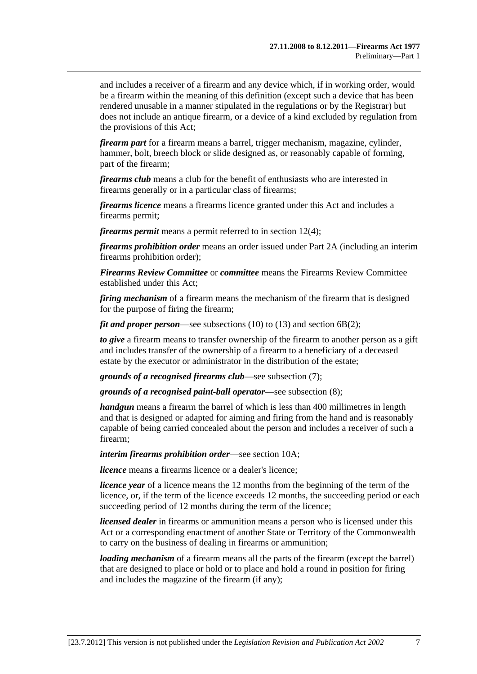and includes a receiver of a firearm and any device which, if in working order, would be a firearm within the meaning of this definition (except such a device that has been rendered unusable in a manner stipulated in the regulations or by the Registrar) but does not include an antique firearm, or a device of a kind excluded by regulation from the provisions of this Act;

*firearm part* for a firearm means a barrel, trigger mechanism, magazine, cylinder, hammer, bolt, breech block or slide designed as, or reasonably capable of forming, part of the firearm;

*firearms club* means a club for the benefit of enthusiasts who are interested in firearms generally or in a particular class of firearms;

*firearms licence* means a firearms licence granted under this Act and includes a firearms permit;

*firearms permit* means a permit referred to in [section 12\(4\);](#page-20-0)

*firearms prohibition order* means an order issued under [Part 2A](#page-13-0) (including an interim firearms prohibition order);

*Firearms Review Committee* or *committee* means the Firearms Review Committee established under this Act;

*firing mechanism* of a firearm means the mechanism of the firearm that is designed for the purpose of firing the firearm;

*fit and proper person*—see [subsections \(10\)](#page-9-0) to [\(13\)](#page-10-0) and [section 6B\(2\)](#page-11-0);

*to give* a firearm means to transfer ownership of the firearm to another person as a gift and includes transfer of the ownership of a firearm to a beneficiary of a deceased estate by the executor or administrator in the distribution of the estate;

*grounds of a recognised firearms club*—see [subsection \(7\)](#page-9-0);

*grounds of a recognised paint-ball operator*—see [subsection \(8\);](#page-9-0)

*handgun* means a firearm the barrel of which is less than 400 millimetres in length and that is designed or adapted for aiming and firing from the hand and is reasonably capable of being carried concealed about the person and includes a receiver of such a firearm;

*interim firearms prohibition order*—see [section 10A](#page-13-0);

*licence* means a firearms licence or a dealer's licence;

*licence year* of a licence means the 12 months from the beginning of the term of the licence, or, if the term of the licence exceeds 12 months, the succeeding period or each succeeding period of 12 months during the term of the licence;

*licensed dealer* in firearms or ammunition means a person who is licensed under this Act or a corresponding enactment of another State or Territory of the Commonwealth to carry on the business of dealing in firearms or ammunition;

*loading mechanism* of a firearm means all the parts of the firearm (except the barrel) that are designed to place or hold or to place and hold a round in position for firing and includes the magazine of the firearm (if any);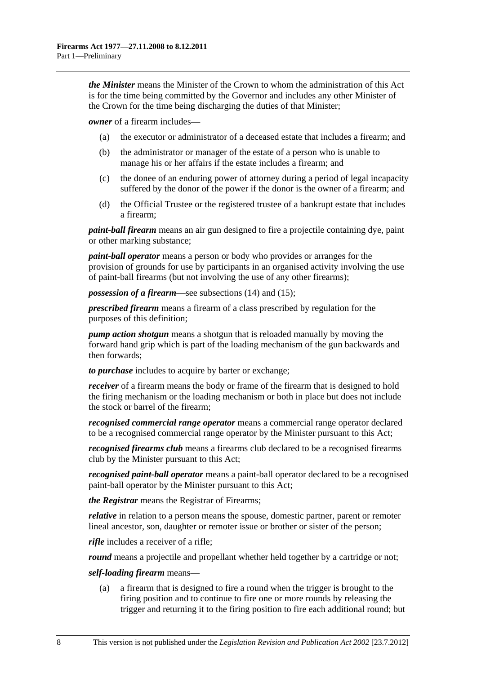*the Minister* means the Minister of the Crown to whom the administration of this Act is for the time being committed by the Governor and includes any other Minister of the Crown for the time being discharging the duties of that Minister;

*owner* of a firearm includes—

- (a) the executor or administrator of a deceased estate that includes a firearm; and
- (b) the administrator or manager of the estate of a person who is unable to manage his or her affairs if the estate includes a firearm; and
- (c) the donee of an enduring power of attorney during a period of legal incapacity suffered by the donor of the power if the donor is the owner of a firearm; and
- (d) the Official Trustee or the registered trustee of a bankrupt estate that includes a firearm;

*paint-ball firearm* means an air gun designed to fire a projectile containing dye, paint or other marking substance;

*paint-ball operator* means a person or body who provides or arranges for the provision of grounds for use by participants in an organised activity involving the use of paint-ball firearms (but not involving the use of any other firearms);

*possession of a firearm*—see [subsections \(14\)](#page-10-0) and [\(15\);](#page-10-0)

*prescribed firearm* means a firearm of a class prescribed by regulation for the purposes of this definition;

*pump action shotgun* means a shotgun that is reloaded manually by moving the forward hand grip which is part of the loading mechanism of the gun backwards and then forwards;

*to purchase* includes to acquire by barter or exchange;

*receiver* of a firearm means the body or frame of the firearm that is designed to hold the firing mechanism or the loading mechanism or both in place but does not include the stock or barrel of the firearm;

*recognised commercial range operator* means a commercial range operator declared to be a recognised commercial range operator by the Minister pursuant to this Act;

*recognised firearms club* means a firearms club declared to be a recognised firearms club by the Minister pursuant to this Act;

*recognised paint-ball operator* means a paint-ball operator declared to be a recognised paint-ball operator by the Minister pursuant to this Act;

*the Registrar* means the Registrar of Firearms;

*relative* in relation to a person means the spouse, domestic partner, parent or remoter lineal ancestor, son, daughter or remoter issue or brother or sister of the person;

*rifle* includes a receiver of a rifle;

*round* means a projectile and propellant whether held together by a cartridge or not;

#### *self-loading firearm* means—

 (a) a firearm that is designed to fire a round when the trigger is brought to the firing position and to continue to fire one or more rounds by releasing the trigger and returning it to the firing position to fire each additional round; but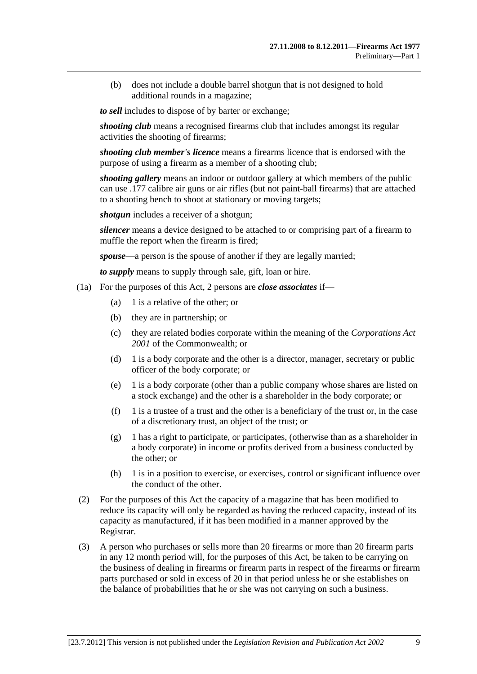<span id="page-8-0"></span> (b) does not include a double barrel shotgun that is not designed to hold additional rounds in a magazine;

*to sell* includes to dispose of by barter or exchange;

*shooting club* means a recognised firearms club that includes amongst its regular activities the shooting of firearms;

*shooting club member's licence* means a firearms licence that is endorsed with the purpose of using a firearm as a member of a shooting club;

*shooting gallery* means an indoor or outdoor gallery at which members of the public can use .177 calibre air guns or air rifles (but not paint-ball firearms) that are attached to a shooting bench to shoot at stationary or moving targets;

*shotgun* includes a receiver of a shotgun;

*silencer* means a device designed to be attached to or comprising part of a firearm to muffle the report when the firearm is fired;

*spouse*—a person is the spouse of another if they are legally married;

*to supply* means to supply through sale, gift, loan or hire.

- (1a) For the purposes of this Act, 2 persons are *close associates* if—
	- (a) 1 is a relative of the other; or
	- (b) they are in partnership; or
	- (c) they are related bodies corporate within the meaning of the *Corporations Act 2001* of the Commonwealth; or
	- (d) 1 is a body corporate and the other is a director, manager, secretary or public officer of the body corporate; or
	- (e) 1 is a body corporate (other than a public company whose shares are listed on a stock exchange) and the other is a shareholder in the body corporate; or
	- $(f)$  1 is a trustee of a trust and the other is a beneficiary of the trust or, in the case of a discretionary trust, an object of the trust; or
	- (g) 1 has a right to participate, or participates, (otherwise than as a shareholder in a body corporate) in income or profits derived from a business conducted by the other; or
	- (h) 1 is in a position to exercise, or exercises, control or significant influence over the conduct of the other.
- (2) For the purposes of this Act the capacity of a magazine that has been modified to reduce its capacity will only be regarded as having the reduced capacity, instead of its capacity as manufactured, if it has been modified in a manner approved by the Registrar.
- (3) A person who purchases or sells more than 20 firearms or more than 20 firearm parts in any 12 month period will, for the purposes of this Act, be taken to be carrying on the business of dealing in firearms or firearm parts in respect of the firearms or firearm parts purchased or sold in excess of 20 in that period unless he or she establishes on the balance of probabilities that he or she was not carrying on such a business.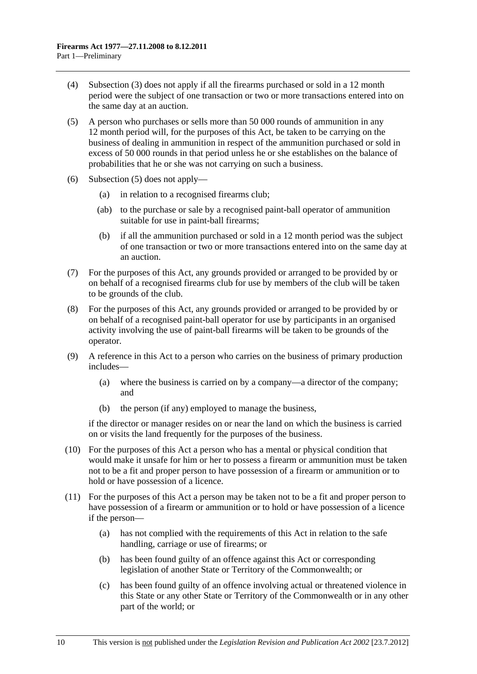- <span id="page-9-0"></span> (4) [Subsection \(3\)](#page-8-0) does not apply if all the firearms purchased or sold in a 12 month period were the subject of one transaction or two or more transactions entered into on the same day at an auction.
- (5) A person who purchases or sells more than 50 000 rounds of ammunition in any 12 month period will, for the purposes of this Act, be taken to be carrying on the business of dealing in ammunition in respect of the ammunition purchased or sold in excess of 50 000 rounds in that period unless he or she establishes on the balance of probabilities that he or she was not carrying on such a business.
- (6) [Subsection \(5\)](#page-9-0) does not apply—
	- (a) in relation to a recognised firearms club;
	- (ab) to the purchase or sale by a recognised paint-ball operator of ammunition suitable for use in paint-ball firearms;
	- (b) if all the ammunition purchased or sold in a 12 month period was the subject of one transaction or two or more transactions entered into on the same day at an auction.
- (7) For the purposes of this Act, any grounds provided or arranged to be provided by or on behalf of a recognised firearms club for use by members of the club will be taken to be grounds of the club.
- (8) For the purposes of this Act, any grounds provided or arranged to be provided by or on behalf of a recognised paint-ball operator for use by participants in an organised activity involving the use of paint-ball firearms will be taken to be grounds of the operator.
- (9) A reference in this Act to a person who carries on the business of primary production includes—
	- (a) where the business is carried on by a company—a director of the company; and
	- (b) the person (if any) employed to manage the business,

if the director or manager resides on or near the land on which the business is carried on or visits the land frequently for the purposes of the business.

- (10) For the purposes of this Act a person who has a mental or physical condition that would make it unsafe for him or her to possess a firearm or ammunition must be taken not to be a fit and proper person to have possession of a firearm or ammunition or to hold or have possession of a licence.
- (11) For the purposes of this Act a person may be taken not to be a fit and proper person to have possession of a firearm or ammunition or to hold or have possession of a licence if the person—
	- (a) has not complied with the requirements of this Act in relation to the safe handling, carriage or use of firearms; or
	- (b) has been found guilty of an offence against this Act or corresponding legislation of another State or Territory of the Commonwealth; or
	- (c) has been found guilty of an offence involving actual or threatened violence in this State or any other State or Territory of the Commonwealth or in any other part of the world; or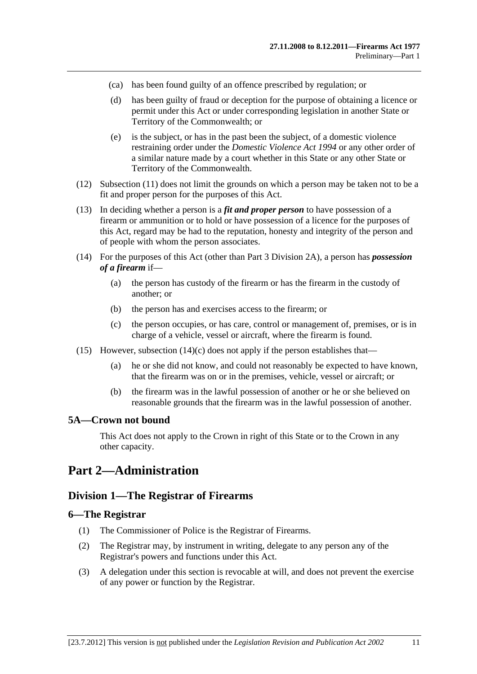- <span id="page-10-0"></span>(ca) has been found guilty of an offence prescribed by regulation; or
- (d) has been guilty of fraud or deception for the purpose of obtaining a licence or permit under this Act or under corresponding legislation in another State or Territory of the Commonwealth; or
- (e) is the subject, or has in the past been the subject, of a domestic violence restraining order under the *[Domestic Violence Act 1994](http://www.legislation.sa.gov.au/index.aspx?action=legref&type=act&legtitle=Domestic%20Violence%20Act%201994)* or any other order of a similar nature made by a court whether in this State or any other State or Territory of the Commonwealth.
- (12) [Subsection \(11\)](#page-9-0) does not limit the grounds on which a person may be taken not to be a fit and proper person for the purposes of this Act.
- (13) In deciding whether a person is a *fit and proper person* to have possession of a firearm or ammunition or to hold or have possession of a licence for the purposes of this Act, regard may be had to the reputation, honesty and integrity of the person and of people with whom the person associates.
- (14) For the purposes of this Act (other than [Part 3 Division 2A](#page-30-0)), a person has *possession of a firearm* if—
	- (a) the person has custody of the firearm or has the firearm in the custody of another; or
	- (b) the person has and exercises access to the firearm; or
	- (c) the person occupies, or has care, control or management of, premises, or is in charge of a vehicle, vessel or aircraft, where the firearm is found.
- (15) However, subsection  $(14)(c)$  does not apply if the person establishes that—
	- (a) he or she did not know, and could not reasonably be expected to have known, that the firearm was on or in the premises, vehicle, vessel or aircraft; or
	- (b) the firearm was in the lawful possession of another or he or she believed on reasonable grounds that the firearm was in the lawful possession of another.

#### **5A—Crown not bound**

This Act does not apply to the Crown in right of this State or to the Crown in any other capacity.

# **Part 2—Administration**

# **Division 1—The Registrar of Firearms**

#### **6—The Registrar**

- (1) The Commissioner of Police is the Registrar of Firearms.
- (2) The Registrar may, by instrument in writing, delegate to any person any of the Registrar's powers and functions under this Act.
- (3) A delegation under this section is revocable at will, and does not prevent the exercise of any power or function by the Registrar.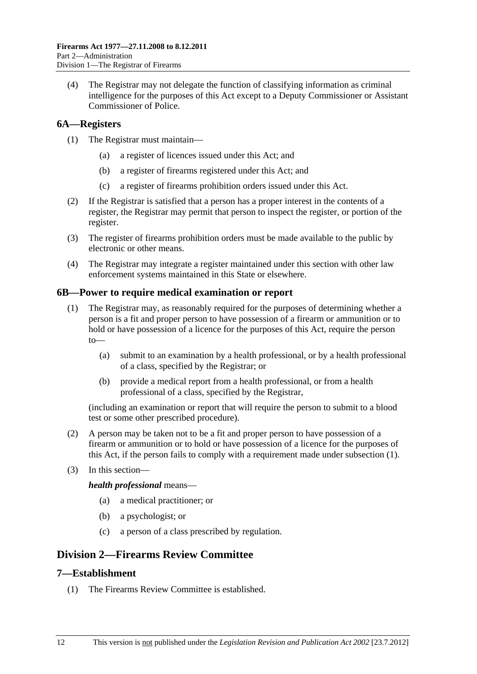<span id="page-11-0"></span> (4) The Registrar may not delegate the function of classifying information as criminal intelligence for the purposes of this Act except to a Deputy Commissioner or Assistant Commissioner of Police.

# **6A—Registers**

- (1) The Registrar must maintain—
	- (a) a register of licences issued under this Act; and
	- (b) a register of firearms registered under this Act; and
	- (c) a register of firearms prohibition orders issued under this Act.
- (2) If the Registrar is satisfied that a person has a proper interest in the contents of a register, the Registrar may permit that person to inspect the register, or portion of the register.
- (3) The register of firearms prohibition orders must be made available to the public by electronic or other means.
- (4) The Registrar may integrate a register maintained under this section with other law enforcement systems maintained in this State or elsewhere.

# **6B—Power to require medical examination or report**

- (1) The Registrar may, as reasonably required for the purposes of determining whether a person is a fit and proper person to have possession of a firearm or ammunition or to hold or have possession of a licence for the purposes of this Act, require the person to—
	- (a) submit to an examination by a health professional, or by a health professional of a class, specified by the Registrar; or
	- (b) provide a medical report from a health professional, or from a health professional of a class, specified by the Registrar,

(including an examination or report that will require the person to submit to a blood test or some other prescribed procedure).

- (2) A person may be taken not to be a fit and proper person to have possession of a firearm or ammunition or to hold or have possession of a licence for the purposes of this Act, if the person fails to comply with a requirement made under [subsection \(1\)](#page-11-0).
- (3) In this section—

*health professional* means—

- (a) a medical practitioner; or
- (b) a psychologist; or
- (c) a person of a class prescribed by regulation.

# **Division 2—Firearms Review Committee**

# **7—Establishment**

(1) The Firearms Review Committee is established.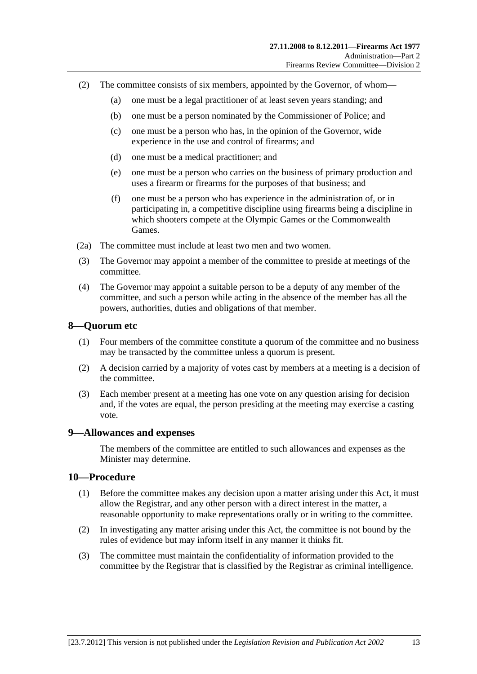- <span id="page-12-0"></span> (2) The committee consists of six members, appointed by the Governor, of whom—
	- (a) one must be a legal practitioner of at least seven years standing; and
	- (b) one must be a person nominated by the Commissioner of Police; and
	- (c) one must be a person who has, in the opinion of the Governor, wide experience in the use and control of firearms; and
	- (d) one must be a medical practitioner; and
	- (e) one must be a person who carries on the business of primary production and uses a firearm or firearms for the purposes of that business; and
	- (f) one must be a person who has experience in the administration of, or in participating in, a competitive discipline using firearms being a discipline in which shooters compete at the Olympic Games or the Commonwealth Games.
- (2a) The committee must include at least two men and two women.
- (3) The Governor may appoint a member of the committee to preside at meetings of the committee.
- (4) The Governor may appoint a suitable person to be a deputy of any member of the committee, and such a person while acting in the absence of the member has all the powers, authorities, duties and obligations of that member.

#### **8—Quorum etc**

- (1) Four members of the committee constitute a quorum of the committee and no business may be transacted by the committee unless a quorum is present.
- (2) A decision carried by a majority of votes cast by members at a meeting is a decision of the committee.
- (3) Each member present at a meeting has one vote on any question arising for decision and, if the votes are equal, the person presiding at the meeting may exercise a casting vote.

#### **9—Allowances and expenses**

The members of the committee are entitled to such allowances and expenses as the Minister may determine.

#### **10—Procedure**

- (1) Before the committee makes any decision upon a matter arising under this Act, it must allow the Registrar, and any other person with a direct interest in the matter, a reasonable opportunity to make representations orally or in writing to the committee.
- (2) In investigating any matter arising under this Act, the committee is not bound by the rules of evidence but may inform itself in any manner it thinks fit.
- (3) The committee must maintain the confidentiality of information provided to the committee by the Registrar that is classified by the Registrar as criminal intelligence.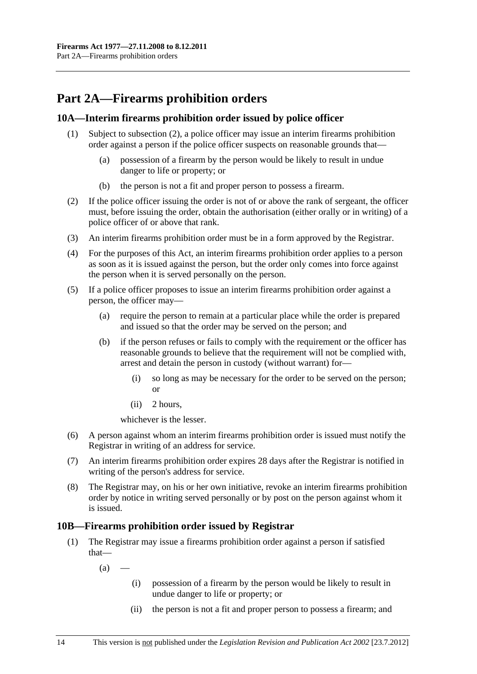# <span id="page-13-0"></span>**Part 2A—Firearms prohibition orders**

# **10A—Interim firearms prohibition order issued by police officer**

- (1) Subject to [subsection \(2\),](#page-13-0) a police officer may issue an interim firearms prohibition order against a person if the police officer suspects on reasonable grounds that—
	- (a) possession of a firearm by the person would be likely to result in undue danger to life or property; or
	- (b) the person is not a fit and proper person to possess a firearm.
- (2) If the police officer issuing the order is not of or above the rank of sergeant, the officer must, before issuing the order, obtain the authorisation (either orally or in writing) of a police officer of or above that rank.
- (3) An interim firearms prohibition order must be in a form approved by the Registrar.
- (4) For the purposes of this Act, an interim firearms prohibition order applies to a person as soon as it is issued against the person, but the order only comes into force against the person when it is served personally on the person.
- (5) If a police officer proposes to issue an interim firearms prohibition order against a person, the officer may—
	- (a) require the person to remain at a particular place while the order is prepared and issued so that the order may be served on the person; and
	- (b) if the person refuses or fails to comply with the requirement or the officer has reasonable grounds to believe that the requirement will not be complied with, arrest and detain the person in custody (without warrant) for—
		- (i) so long as may be necessary for the order to be served on the person; or
		- (ii) 2 hours,

whichever is the lesser.

- (6) A person against whom an interim firearms prohibition order is issued must notify the Registrar in writing of an address for service.
- (7) An interim firearms prohibition order expires 28 days after the Registrar is notified in writing of the person's address for service.
- (8) The Registrar may, on his or her own initiative, revoke an interim firearms prohibition order by notice in writing served personally or by post on the person against whom it is issued.

# **10B—Firearms prohibition order issued by Registrar**

- (1) The Registrar may issue a firearms prohibition order against a person if satisfied that—
	- $(a)$ 
		- (i) possession of a firearm by the person would be likely to result in undue danger to life or property; or
		- (ii) the person is not a fit and proper person to possess a firearm; and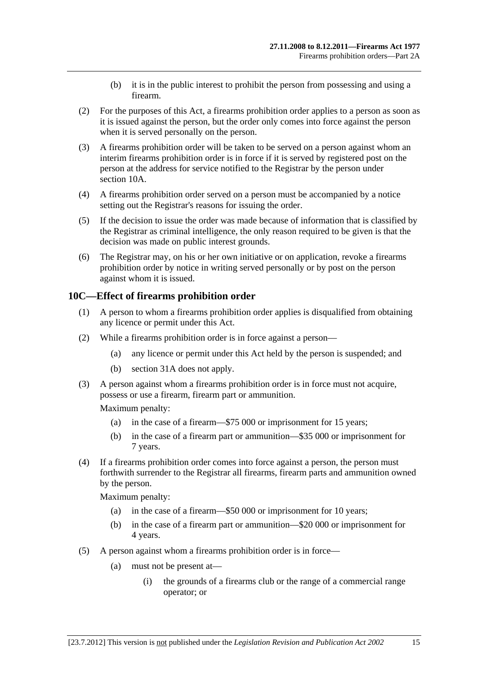- (b) it is in the public interest to prohibit the person from possessing and using a firearm.
- <span id="page-14-0"></span> (2) For the purposes of this Act, a firearms prohibition order applies to a person as soon as it is issued against the person, but the order only comes into force against the person when it is served personally on the person.
- (3) A firearms prohibition order will be taken to be served on a person against whom an interim firearms prohibition order is in force if it is served by registered post on the person at the address for service notified to the Registrar by the person under [section 10A](#page-13-0).
- (4) A firearms prohibition order served on a person must be accompanied by a notice setting out the Registrar's reasons for issuing the order.
- (5) If the decision to issue the order was made because of information that is classified by the Registrar as criminal intelligence, the only reason required to be given is that the decision was made on public interest grounds.
- (6) The Registrar may, on his or her own initiative or on application, revoke a firearms prohibition order by notice in writing served personally or by post on the person against whom it is issued.

# **10C—Effect of firearms prohibition order**

- (1) A person to whom a firearms prohibition order applies is disqualified from obtaining any licence or permit under this Act.
- (2) While a firearms prohibition order is in force against a person—
	- (a) any licence or permit under this Act held by the person is suspended; and
	- (b) [section 31A](#page-55-0) does not apply.
- (3) A person against whom a firearms prohibition order is in force must not acquire, possess or use a firearm, firearm part or ammunition.

Maximum penalty:

- (a) in the case of a firearm—\$75 000 or imprisonment for 15 years;
- (b) in the case of a firearm part or ammunition—\$35 000 or imprisonment for 7 years.
- (4) If a firearms prohibition order comes into force against a person, the person must forthwith surrender to the Registrar all firearms, firearm parts and ammunition owned by the person.

Maximum penalty:

- (a) in the case of a firearm—\$50 000 or imprisonment for 10 years;
- (b) in the case of a firearm part or ammunition—\$20 000 or imprisonment for 4 years.
- (5) A person against whom a firearms prohibition order is in force—
	- (a) must not be present at—
		- (i) the grounds of a firearms club or the range of a commercial range operator; or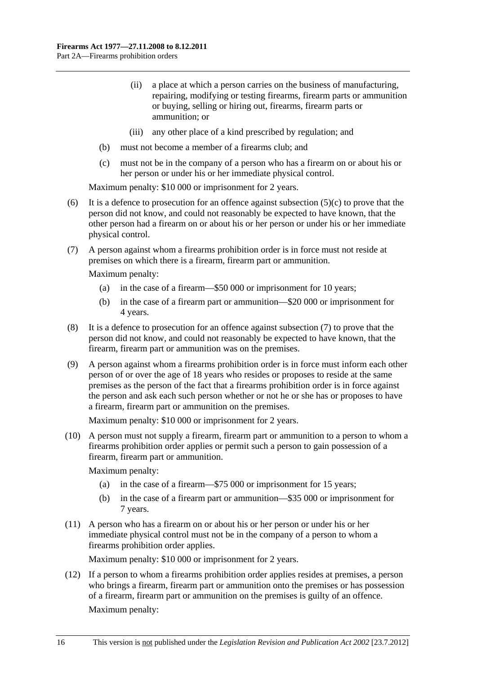- <span id="page-15-0"></span> (ii) a place at which a person carries on the business of manufacturing, repairing, modifying or testing firearms, firearm parts or ammunition or buying, selling or hiring out, firearms, firearm parts or ammunition; or
- (iii) any other place of a kind prescribed by regulation; and
- (b) must not become a member of a firearms club; and
- (c) must not be in the company of a person who has a firearm on or about his or her person or under his or her immediate physical control.

Maximum penalty: \$10 000 or imprisonment for 2 years.

- (6) It is a defence to prosecution for an offence against subsection  $(5)(c)$  to prove that the person did not know, and could not reasonably be expected to have known, that the other person had a firearm on or about his or her person or under his or her immediate physical control.
- (7) A person against whom a firearms prohibition order is in force must not reside at premises on which there is a firearm, firearm part or ammunition.

Maximum penalty:

- (a) in the case of a firearm—\$50 000 or imprisonment for 10 years;
- (b) in the case of a firearm part or ammunition—\$20 000 or imprisonment for 4 years.
- (8) It is a defence to prosecution for an offence against [subsection \(7\)](#page-15-0) to prove that the person did not know, and could not reasonably be expected to have known, that the firearm, firearm part or ammunition was on the premises.
- (9) A person against whom a firearms prohibition order is in force must inform each other person of or over the age of 18 years who resides or proposes to reside at the same premises as the person of the fact that a firearms prohibition order is in force against the person and ask each such person whether or not he or she has or proposes to have a firearm, firearm part or ammunition on the premises.

Maximum penalty: \$10 000 or imprisonment for 2 years.

 (10) A person must not supply a firearm, firearm part or ammunition to a person to whom a firearms prohibition order applies or permit such a person to gain possession of a firearm, firearm part or ammunition.

Maximum penalty:

- (a) in the case of a firearm—\$75 000 or imprisonment for 15 years;
- (b) in the case of a firearm part or ammunition—\$35 000 or imprisonment for 7 years.
- (11) A person who has a firearm on or about his or her person or under his or her immediate physical control must not be in the company of a person to whom a firearms prohibition order applies.

Maximum penalty: \$10 000 or imprisonment for 2 years.

 (12) If a person to whom a firearms prohibition order applies resides at premises, a person who brings a firearm, firearm part or ammunition onto the premises or has possession of a firearm, firearm part or ammunition on the premises is guilty of an offence. Maximum penalty: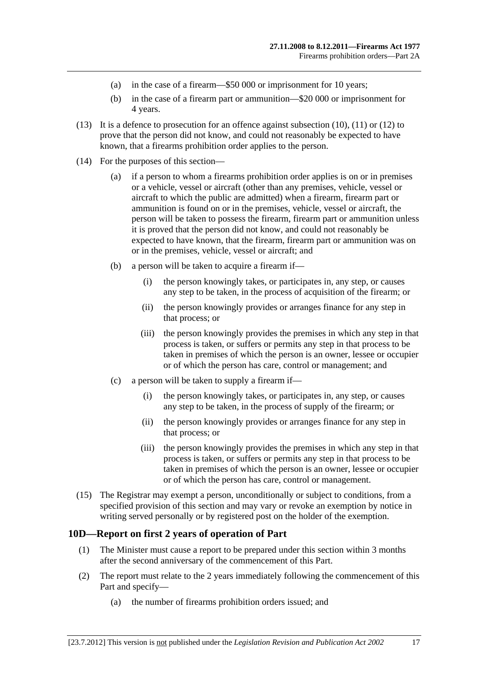- <span id="page-16-0"></span>(a) in the case of a firearm—\$50 000 or imprisonment for 10 years;
- (b) in the case of a firearm part or ammunition—\$20 000 or imprisonment for 4 years.
- (13) It is a defence to prosecution for an offence against [subsection \(10\), \(11\)](#page-15-0) or [\(12\)](#page-15-0) to prove that the person did not know, and could not reasonably be expected to have known, that a firearms prohibition order applies to the person.
- (14) For the purposes of this section—
	- (a) if a person to whom a firearms prohibition order applies is on or in premises or a vehicle, vessel or aircraft (other than any premises, vehicle, vessel or aircraft to which the public are admitted) when a firearm, firearm part or ammunition is found on or in the premises, vehicle, vessel or aircraft, the person will be taken to possess the firearm, firearm part or ammunition unless it is proved that the person did not know, and could not reasonably be expected to have known, that the firearm, firearm part or ammunition was on or in the premises, vehicle, vessel or aircraft; and
	- (b) a person will be taken to acquire a firearm if—
		- (i) the person knowingly takes, or participates in, any step, or causes any step to be taken, in the process of acquisition of the firearm; or
		- (ii) the person knowingly provides or arranges finance for any step in that process; or
		- (iii) the person knowingly provides the premises in which any step in that process is taken, or suffers or permits any step in that process to be taken in premises of which the person is an owner, lessee or occupier or of which the person has care, control or management; and
	- (c) a person will be taken to supply a firearm if—
		- (i) the person knowingly takes, or participates in, any step, or causes any step to be taken, in the process of supply of the firearm; or
		- (ii) the person knowingly provides or arranges finance for any step in that process; or
		- (iii) the person knowingly provides the premises in which any step in that process is taken, or suffers or permits any step in that process to be taken in premises of which the person is an owner, lessee or occupier or of which the person has care, control or management.
- (15) The Registrar may exempt a person, unconditionally or subject to conditions, from a specified provision of this section and may vary or revoke an exemption by notice in writing served personally or by registered post on the holder of the exemption.

# **10D—Report on first 2 years of operation of Part**

- (1) The Minister must cause a report to be prepared under this section within 3 months after the second anniversary of the commencement of this Part.
- (2) The report must relate to the 2 years immediately following the commencement of this Part and specify—
	- (a) the number of firearms prohibition orders issued; and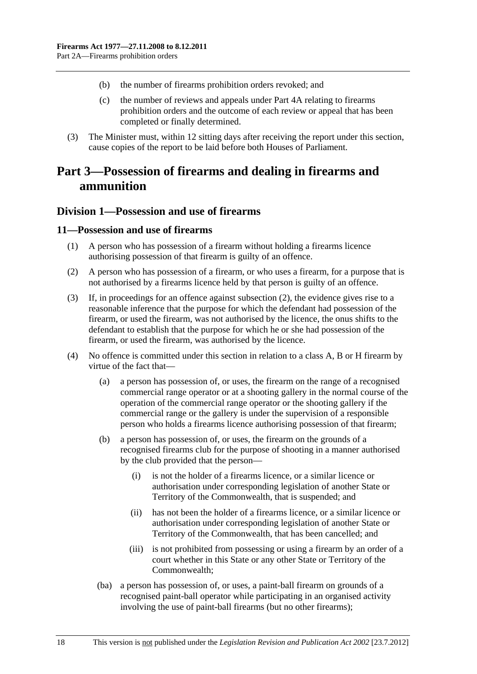- <span id="page-17-0"></span>(b) the number of firearms prohibition orders revoked; and
- (c) the number of reviews and appeals under [Part 4A](#page-48-0) relating to firearms prohibition orders and the outcome of each review or appeal that has been completed or finally determined.
- (3) The Minister must, within 12 sitting days after receiving the report under this section, cause copies of the report to be laid before both Houses of Parliament.

# **Part 3—Possession of firearms and dealing in firearms and ammunition**

# **Division 1—Possession and use of firearms**

#### **11—Possession and use of firearms**

- (1) A person who has possession of a firearm without holding a firearms licence authorising possession of that firearm is guilty of an offence.
- (2) A person who has possession of a firearm, or who uses a firearm, for a purpose that is not authorised by a firearms licence held by that person is guilty of an offence.
- (3) If, in proceedings for an offence against [subsection \(2\),](#page-17-0) the evidence gives rise to a reasonable inference that the purpose for which the defendant had possession of the firearm, or used the firearm, was not authorised by the licence, the onus shifts to the defendant to establish that the purpose for which he or she had possession of the firearm, or used the firearm, was authorised by the licence.
- (4) No offence is committed under this section in relation to a class A, B or H firearm by virtue of the fact that—
	- (a) a person has possession of, or uses, the firearm on the range of a recognised commercial range operator or at a shooting gallery in the normal course of the operation of the commercial range operator or the shooting gallery if the commercial range or the gallery is under the supervision of a responsible person who holds a firearms licence authorising possession of that firearm;
	- (b) a person has possession of, or uses, the firearm on the grounds of a recognised firearms club for the purpose of shooting in a manner authorised by the club provided that the person—
		- (i) is not the holder of a firearms licence, or a similar licence or authorisation under corresponding legislation of another State or Territory of the Commonwealth, that is suspended; and
		- (ii) has not been the holder of a firearms licence, or a similar licence or authorisation under corresponding legislation of another State or Territory of the Commonwealth, that has been cancelled; and
		- (iii) is not prohibited from possessing or using a firearm by an order of a court whether in this State or any other State or Territory of the Commonwealth;
	- (ba) a person has possession of, or uses, a paint-ball firearm on grounds of a recognised paint-ball operator while participating in an organised activity involving the use of paint-ball firearms (but no other firearms);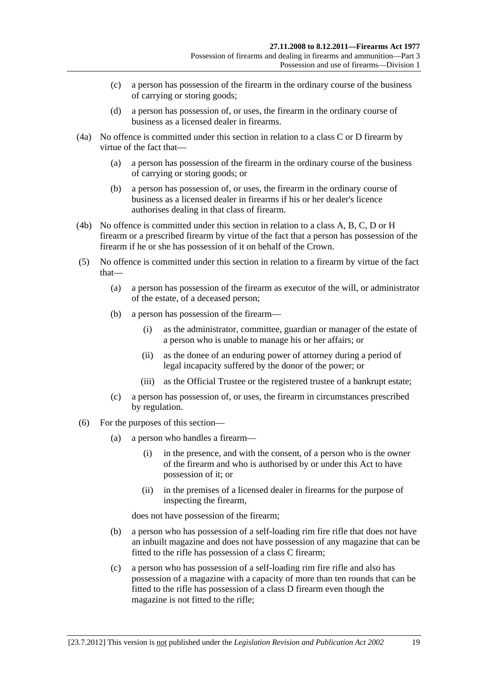- (c) a person has possession of the firearm in the ordinary course of the business of carrying or storing goods;
- (d) a person has possession of, or uses, the firearm in the ordinary course of business as a licensed dealer in firearms.
- (4a) No offence is committed under this section in relation to a class C or D firearm by virtue of the fact that—
	- (a) a person has possession of the firearm in the ordinary course of the business of carrying or storing goods; or
	- (b) a person has possession of, or uses, the firearm in the ordinary course of business as a licensed dealer in firearms if his or her dealer's licence authorises dealing in that class of firearm.
- (4b) No offence is committed under this section in relation to a class A, B, C, D or H firearm or a prescribed firearm by virtue of the fact that a person has possession of the firearm if he or she has possession of it on behalf of the Crown.
- (5) No offence is committed under this section in relation to a firearm by virtue of the fact that—
	- (a) a person has possession of the firearm as executor of the will, or administrator of the estate, of a deceased person;
	- (b) a person has possession of the firearm—
		- (i) as the administrator, committee, guardian or manager of the estate of a person who is unable to manage his or her affairs; or
		- (ii) as the donee of an enduring power of attorney during a period of legal incapacity suffered by the donor of the power; or
		- (iii) as the Official Trustee or the registered trustee of a bankrupt estate;
	- (c) a person has possession of, or uses, the firearm in circumstances prescribed by regulation.
- (6) For the purposes of this section—
	- (a) a person who handles a firearm—
		- (i) in the presence, and with the consent, of a person who is the owner of the firearm and who is authorised by or under this Act to have possession of it; or
		- (ii) in the premises of a licensed dealer in firearms for the purpose of inspecting the firearm,

does not have possession of the firearm;

- (b) a person who has possession of a self-loading rim fire rifle that does not have an inbuilt magazine and does not have possession of any magazine that can be fitted to the rifle has possession of a class C firearm;
- (c) a person who has possession of a self-loading rim fire rifle and also has possession of a magazine with a capacity of more than ten rounds that can be fitted to the rifle has possession of a class D firearm even though the magazine is not fitted to the rifle;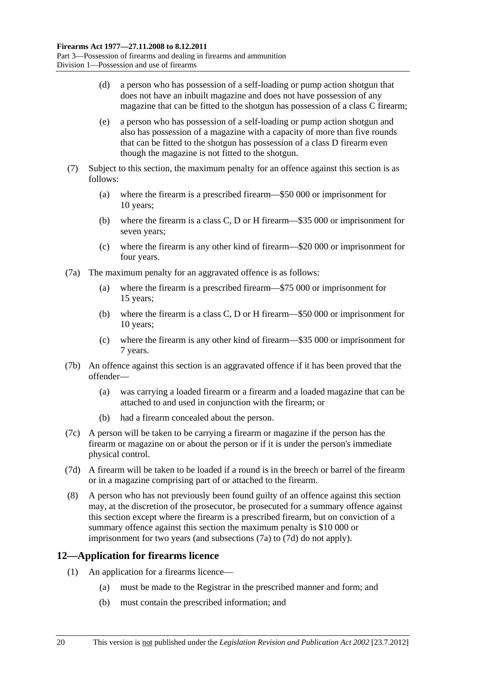- <span id="page-19-0"></span> (d) a person who has possession of a self-loading or pump action shotgun that does not have an inbuilt magazine and does not have possession of any magazine that can be fitted to the shotgun has possession of a class C firearm;
- (e) a person who has possession of a self-loading or pump action shotgun and also has possession of a magazine with a capacity of more than five rounds that can be fitted to the shotgun has possession of a class D firearm even though the magazine is not fitted to the shotgun.
- (7) Subject to this section, the maximum penalty for an offence against this section is as follows:
	- (a) where the firearm is a prescribed firearm—\$50 000 or imprisonment for 10 years;
	- (b) where the firearm is a class C, D or H firearm—\$35 000 or imprisonment for seven years;
	- (c) where the firearm is any other kind of firearm—\$20 000 or imprisonment for four years.
- (7a) The maximum penalty for an aggravated offence is as follows:
	- (a) where the firearm is a prescribed firearm—\$75 000 or imprisonment for 15 years;
	- (b) where the firearm is a class C, D or H firearm—\$50 000 or imprisonment for 10 years;
	- (c) where the firearm is any other kind of firearm—\$35 000 or imprisonment for 7 years.
- (7b) An offence against this section is an aggravated offence if it has been proved that the offender—
	- (a) was carrying a loaded firearm or a firearm and a loaded magazine that can be attached to and used in conjunction with the firearm; or
	- (b) had a firearm concealed about the person.
- (7c) A person will be taken to be carrying a firearm or magazine if the person has the firearm or magazine on or about the person or if it is under the person's immediate physical control.
- (7d) A firearm will be taken to be loaded if a round is in the breech or barrel of the firearm or in a magazine comprising part of or attached to the firearm.
- (8) A person who has not previously been found guilty of an offence against this section may, at the discretion of the prosecutor, be prosecuted for a summary offence against this section except where the firearm is a prescribed firearm, but on conviction of a summary offence against this section the maximum penalty is \$10 000 or imprisonment for two years (and [subsections \(7a\)](#page-19-0) to [\(7d\)](#page-19-0) do not apply).

# **12—Application for firearms licence**

- (1) An application for a firearms licence—
	- (a) must be made to the Registrar in the prescribed manner and form; and
	- (b) must contain the prescribed information; and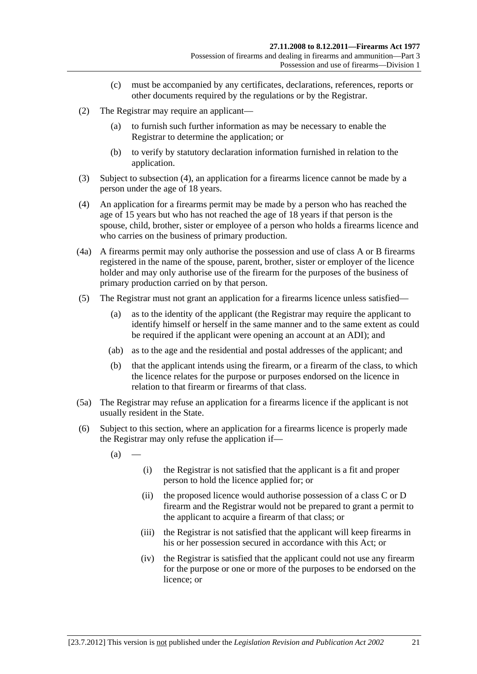- (c) must be accompanied by any certificates, declarations, references, reports or other documents required by the regulations or by the Registrar.
- <span id="page-20-0"></span> (2) The Registrar may require an applicant—
	- (a) to furnish such further information as may be necessary to enable the Registrar to determine the application; or
	- (b) to verify by statutory declaration information furnished in relation to the application.
- (3) Subject to [subsection \(4\),](#page-20-0) an application for a firearms licence cannot be made by a person under the age of 18 years.
- (4) An application for a firearms permit may be made by a person who has reached the age of 15 years but who has not reached the age of 18 years if that person is the spouse, child, brother, sister or employee of a person who holds a firearms licence and who carries on the business of primary production.
- (4a) A firearms permit may only authorise the possession and use of class A or B firearms registered in the name of the spouse, parent, brother, sister or employer of the licence holder and may only authorise use of the firearm for the purposes of the business of primary production carried on by that person.
- (5) The Registrar must not grant an application for a firearms licence unless satisfied—
	- (a) as to the identity of the applicant (the Registrar may require the applicant to identify himself or herself in the same manner and to the same extent as could be required if the applicant were opening an account at an ADI); and
	- (ab) as to the age and the residential and postal addresses of the applicant; and
	- (b) that the applicant intends using the firearm, or a firearm of the class, to which the licence relates for the purpose or purposes endorsed on the licence in relation to that firearm or firearms of that class.
- (5a) The Registrar may refuse an application for a firearms licence if the applicant is not usually resident in the State.
- (6) Subject to this section, where an application for a firearms licence is properly made the Registrar may only refuse the application if—
	- $(a)$
- (i) the Registrar is not satisfied that the applicant is a fit and proper person to hold the licence applied for; or
- (ii) the proposed licence would authorise possession of a class C or D firearm and the Registrar would not be prepared to grant a permit to the applicant to acquire a firearm of that class; or
- (iii) the Registrar is not satisfied that the applicant will keep firearms in his or her possession secured in accordance with this Act; or
- (iv) the Registrar is satisfied that the applicant could not use any firearm for the purpose or one or more of the purposes to be endorsed on the licence; or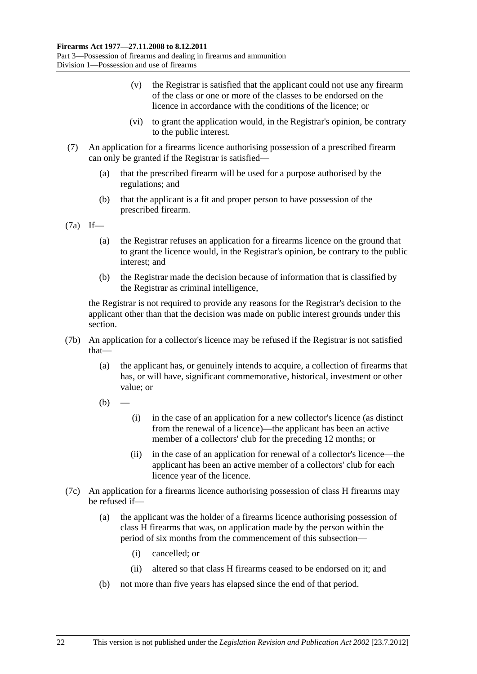- (v) the Registrar is satisfied that the applicant could not use any firearm of the class or one or more of the classes to be endorsed on the licence in accordance with the conditions of the licence; or
- (vi) to grant the application would, in the Registrar's opinion, be contrary to the public interest.
- (7) An application for a firearms licence authorising possession of a prescribed firearm can only be granted if the Registrar is satisfied—
	- (a) that the prescribed firearm will be used for a purpose authorised by the regulations; and
	- (b) that the applicant is a fit and proper person to have possession of the prescribed firearm.

(7a) If—

- (a) the Registrar refuses an application for a firearms licence on the ground that to grant the licence would, in the Registrar's opinion, be contrary to the public interest; and
- (b) the Registrar made the decision because of information that is classified by the Registrar as criminal intelligence,

the Registrar is not required to provide any reasons for the Registrar's decision to the applicant other than that the decision was made on public interest grounds under this section.

- (7b) An application for a collector's licence may be refused if the Registrar is not satisfied that—
	- (a) the applicant has, or genuinely intends to acquire, a collection of firearms that has, or will have, significant commemorative, historical, investment or other value; or
	- $(h)$ 
		- (i) in the case of an application for a new collector's licence (as distinct from the renewal of a licence)—the applicant has been an active member of a collectors' club for the preceding 12 months; or
		- (ii) in the case of an application for renewal of a collector's licence—the applicant has been an active member of a collectors' club for each licence year of the licence.
- (7c) An application for a firearms licence authorising possession of class H firearms may be refused if—
	- (a) the applicant was the holder of a firearms licence authorising possession of class H firearms that was, on application made by the person within the period of six months from the commencement of this subsection—
		- (i) cancelled; or
		- (ii) altered so that class H firearms ceased to be endorsed on it; and
	- (b) not more than five years has elapsed since the end of that period.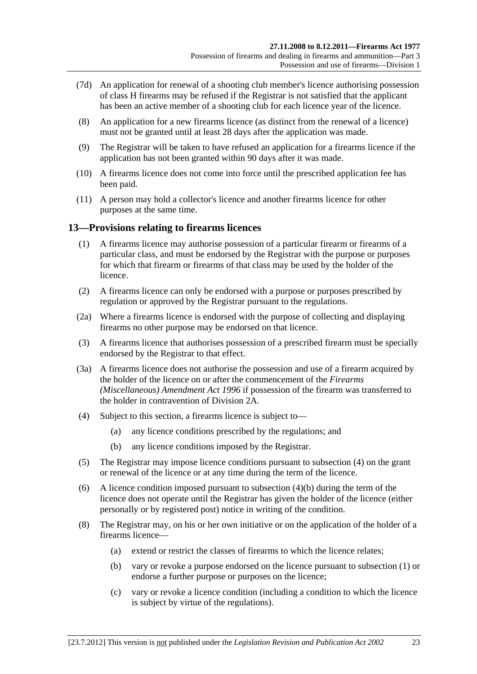- <span id="page-22-0"></span> (7d) An application for renewal of a shooting club member's licence authorising possession of class H firearms may be refused if the Registrar is not satisfied that the applicant has been an active member of a shooting club for each licence year of the licence.
- (8) An application for a new firearms licence (as distinct from the renewal of a licence) must not be granted until at least 28 days after the application was made.
- (9) The Registrar will be taken to have refused an application for a firearms licence if the application has not been granted within 90 days after it was made.
- (10) A firearms licence does not come into force until the prescribed application fee has been paid.
- (11) A person may hold a collector's licence and another firearms licence for other purposes at the same time.

#### **13—Provisions relating to firearms licences**

- (1) A firearms licence may authorise possession of a particular firearm or firearms of a particular class, and must be endorsed by the Registrar with the purpose or purposes for which that firearm or firearms of that class may be used by the holder of the licence.
- (2) A firearms licence can only be endorsed with a purpose or purposes prescribed by regulation or approved by the Registrar pursuant to the regulations.
- (2a) Where a firearms licence is endorsed with the purpose of collecting and displaying firearms no other purpose may be endorsed on that licence.
- (3) A firearms licence that authorises possession of a prescribed firearm must be specially endorsed by the Registrar to that effect.
- (3a) A firearms licence does not authorise the possession and use of a firearm acquired by the holder of the licence on or after the commencement of the *[Firearms](http://www.legislation.sa.gov.au/index.aspx?action=legref&type=act&legtitle=Firearms%20(Miscellaneous)%20Amendment%20Act%201996)  [\(Miscellaneous\) Amendment Act 1996](http://www.legislation.sa.gov.au/index.aspx?action=legref&type=act&legtitle=Firearms%20(Miscellaneous)%20Amendment%20Act%201996)* if possession of the firearm was transferred to the holder in contravention of [Division 2A](#page-30-0).
- (4) Subject to this section, a firearms licence is subject to—
	- (a) any licence conditions prescribed by the regulations; and
	- (b) any licence conditions imposed by the Registrar.
- (5) The Registrar may impose licence conditions pursuant to [subsection \(4\)](#page-22-0) on the grant or renewal of the licence or at any time during the term of the licence.
- (6) A licence condition imposed pursuant to [subsection \(4\)\(b\)](#page-22-0) during the term of the licence does not operate until the Registrar has given the holder of the licence (either personally or by registered post) notice in writing of the condition.
- (8) The Registrar may, on his or her own initiative or on the application of the holder of a firearms licence—
	- (a) extend or restrict the classes of firearms to which the licence relates;
	- (b) vary or revoke a purpose endorsed on the licence pursuant to [subsection \(1\)](#page-22-0) or endorse a further purpose or purposes on the licence;
	- (c) vary or revoke a licence condition (including a condition to which the licence is subject by virtue of the regulations).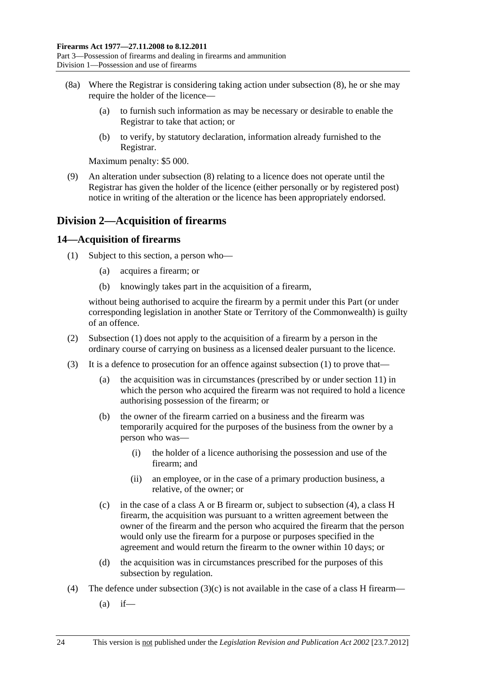- <span id="page-23-0"></span> (8a) Where the Registrar is considering taking action under [subsection \(8\),](#page-22-0) he or she may require the holder of the licence—
	- (a) to furnish such information as may be necessary or desirable to enable the Registrar to take that action; or
	- (b) to verify, by statutory declaration, information already furnished to the Registrar.

Maximum penalty: \$5 000.

 (9) An alteration under [subsection \(8\)](#page-22-0) relating to a licence does not operate until the Registrar has given the holder of the licence (either personally or by registered post) notice in writing of the alteration or the licence has been appropriately endorsed.

# **Division 2—Acquisition of firearms**

# **14—Acquisition of firearms**

- (1) Subject to this section, a person who—
	- (a) acquires a firearm; or
	- (b) knowingly takes part in the acquisition of a firearm,

without being authorised to acquire the firearm by a permit under this Part (or under corresponding legislation in another State or Territory of the Commonwealth) is guilty of an offence.

- (2) [Subsection \(1\)](#page-23-0) does not apply to the acquisition of a firearm by a person in the ordinary course of carrying on business as a licensed dealer pursuant to the licence.
- (3) It is a defence to prosecution for an offence against [subsection \(1\)](#page-23-0) to prove that—
	- (a) the acquisition was in circumstances (prescribed by or under [section 11\)](#page-17-0) in which the person who acquired the firearm was not required to hold a licence authorising possession of the firearm; or
	- (b) the owner of the firearm carried on a business and the firearm was temporarily acquired for the purposes of the business from the owner by a person who was—
		- (i) the holder of a licence authorising the possession and use of the firearm; and
		- (ii) an employee, or in the case of a primary production business, a relative, of the owner; or
	- (c) in the case of a class A or B firearm or, subject to [subsection \(4\),](#page-23-0) a class H firearm, the acquisition was pursuant to a written agreement between the owner of the firearm and the person who acquired the firearm that the person would only use the firearm for a purpose or purposes specified in the agreement and would return the firearm to the owner within 10 days; or
	- (d) the acquisition was in circumstances prescribed for the purposes of this subsection by regulation.
- (4) The defence under subsection  $(3)(c)$  is not available in the case of a class H firearm—
	- $(a)$  if—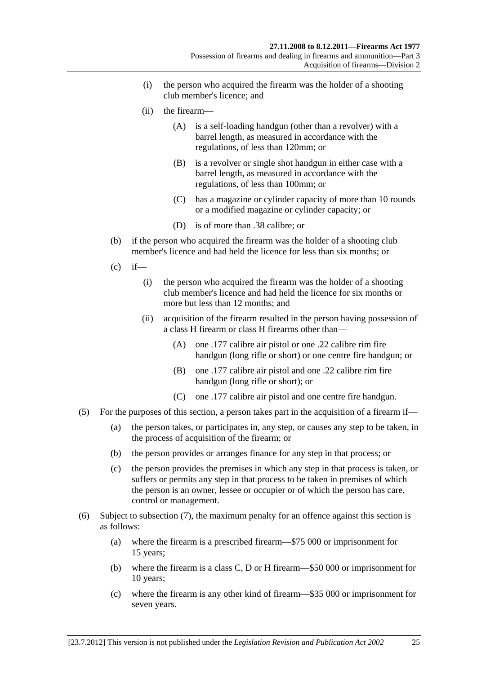- (i) the person who acquired the firearm was the holder of a shooting club member's licence; and
- (ii) the firearm—
	- (A) is a self-loading handgun (other than a revolver) with a barrel length, as measured in accordance with the regulations, of less than 120mm; or
	- (B) is a revolver or single shot handgun in either case with a barrel length, as measured in accordance with the regulations, of less than 100mm; or
	- (C) has a magazine or cylinder capacity of more than 10 rounds or a modified magazine or cylinder capacity; or
	- (D) is of more than .38 calibre; or
- (b) if the person who acquired the firearm was the holder of a shooting club member's licence and had held the licence for less than six months; or
- $(c)$  if—
	- (i) the person who acquired the firearm was the holder of a shooting club member's licence and had held the licence for six months or more but less than 12 months; and
	- (ii) acquisition of the firearm resulted in the person having possession of a class H firearm or class H firearms other than—
		- (A) one .177 calibre air pistol or one .22 calibre rim fire handgun (long rifle or short) or one centre fire handgun; or
		- (B) one .177 calibre air pistol and one .22 calibre rim fire handgun (long rifle or short); or
		- (C) one .177 calibre air pistol and one centre fire handgun.
- (5) For the purposes of this section, a person takes part in the acquisition of a firearm if—
	- (a) the person takes, or participates in, any step, or causes any step to be taken, in the process of acquisition of the firearm; or
	- (b) the person provides or arranges finance for any step in that process; or
	- (c) the person provides the premises in which any step in that process is taken, or suffers or permits any step in that process to be taken in premises of which the person is an owner, lessee or occupier or of which the person has care, control or management.
- (6) Subject to [subsection \(7\),](#page-25-0) the maximum penalty for an offence against this section is as follows:
	- (a) where the firearm is a prescribed firearm—\$75 000 or imprisonment for 15 years;
	- (b) where the firearm is a class C, D or H firearm—\$50 000 or imprisonment for 10 years;
	- (c) where the firearm is any other kind of firearm—\$35 000 or imprisonment for seven years.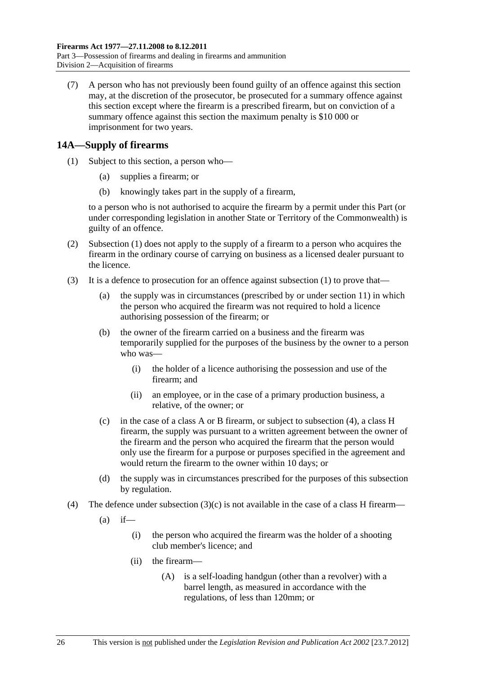<span id="page-25-0"></span> (7) A person who has not previously been found guilty of an offence against this section may, at the discretion of the prosecutor, be prosecuted for a summary offence against this section except where the firearm is a prescribed firearm, but on conviction of a summary offence against this section the maximum penalty is \$10 000 or imprisonment for two years.

# **14A—Supply of firearms**

- (1) Subject to this section, a person who—
	- (a) supplies a firearm; or
	- (b) knowingly takes part in the supply of a firearm,

to a person who is not authorised to acquire the firearm by a permit under this Part (or under corresponding legislation in another State or Territory of the Commonwealth) is guilty of an offence.

- (2) [Subsection \(1\)](#page-25-0) does not apply to the supply of a firearm to a person who acquires the firearm in the ordinary course of carrying on business as a licensed dealer pursuant to the licence.
- (3) It is a defence to prosecution for an offence against [subsection \(1\)](#page-25-0) to prove that—
	- (a) the supply was in circumstances (prescribed by or under [section 11\)](#page-17-0) in which the person who acquired the firearm was not required to hold a licence authorising possession of the firearm; or
	- (b) the owner of the firearm carried on a business and the firearm was temporarily supplied for the purposes of the business by the owner to a person who was—
		- (i) the holder of a licence authorising the possession and use of the firearm; and
		- (ii) an employee, or in the case of a primary production business, a relative, of the owner; or
	- (c) in the case of a class A or B firearm, or subject to [subsection \(4\),](#page-25-0) a class H firearm, the supply was pursuant to a written agreement between the owner of the firearm and the person who acquired the firearm that the person would only use the firearm for a purpose or purposes specified in the agreement and would return the firearm to the owner within 10 days; or
	- (d) the supply was in circumstances prescribed for the purposes of this subsection by regulation.
- (4) The defence under subsection  $(3)(c)$  is not available in the case of a class H firearm—
	- $(a)$  if—
		- (i) the person who acquired the firearm was the holder of a shooting club member's licence; and
		- (ii) the firearm—
			- (A) is a self-loading handgun (other than a revolver) with a barrel length, as measured in accordance with the regulations, of less than 120mm; or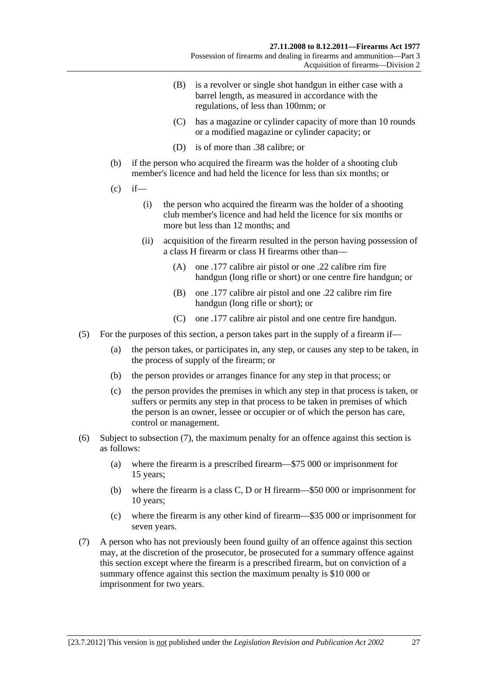- <span id="page-26-0"></span> (B) is a revolver or single shot handgun in either case with a barrel length, as measured in accordance with the regulations, of less than 100mm; or
- (C) has a magazine or cylinder capacity of more than 10 rounds or a modified magazine or cylinder capacity; or
- (D) is of more than .38 calibre; or
- (b) if the person who acquired the firearm was the holder of a shooting club member's licence and had held the licence for less than six months; or
- $(c)$  if—
	- (i) the person who acquired the firearm was the holder of a shooting club member's licence and had held the licence for six months or more but less than 12 months; and
	- (ii) acquisition of the firearm resulted in the person having possession of a class H firearm or class H firearms other than—
		- (A) one .177 calibre air pistol or one .22 calibre rim fire handgun (long rifle or short) or one centre fire handgun; or
		- (B) one .177 calibre air pistol and one .22 calibre rim fire handgun (long rifle or short); or
		- (C) one .177 calibre air pistol and one centre fire handgun.
- (5) For the purposes of this section, a person takes part in the supply of a firearm if—
	- (a) the person takes, or participates in, any step, or causes any step to be taken, in the process of supply of the firearm; or
	- (b) the person provides or arranges finance for any step in that process; or
	- (c) the person provides the premises in which any step in that process is taken, or suffers or permits any step in that process to be taken in premises of which the person is an owner, lessee or occupier or of which the person has care, control or management.
- (6) Subject to [subsection \(7\),](#page-26-0) the maximum penalty for an offence against this section is as follows:
	- (a) where the firearm is a prescribed firearm—\$75 000 or imprisonment for 15 years;
	- (b) where the firearm is a class C, D or H firearm—\$50 000 or imprisonment for 10 years;
	- (c) where the firearm is any other kind of firearm—\$35 000 or imprisonment for seven years.
- (7) A person who has not previously been found guilty of an offence against this section may, at the discretion of the prosecutor, be prosecuted for a summary offence against this section except where the firearm is a prescribed firearm, but on conviction of a summary offence against this section the maximum penalty is \$10 000 or imprisonment for two years.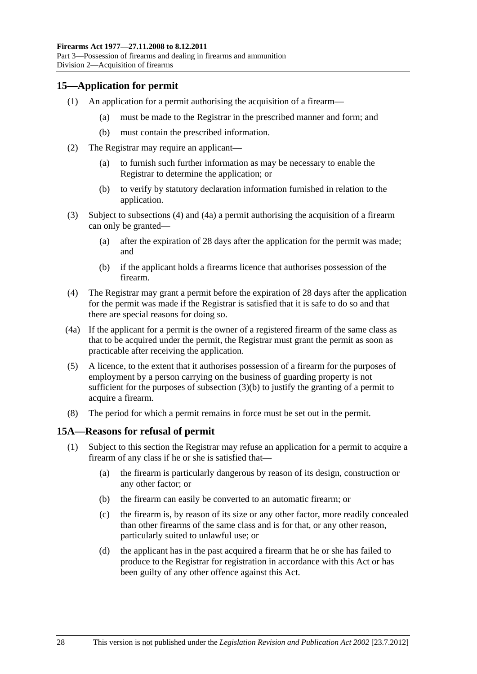# <span id="page-27-0"></span>**15—Application for permit**

- (1) An application for a permit authorising the acquisition of a firearm—
	- (a) must be made to the Registrar in the prescribed manner and form; and
	- (b) must contain the prescribed information.
- (2) The Registrar may require an applicant—
	- (a) to furnish such further information as may be necessary to enable the Registrar to determine the application; or
	- (b) to verify by statutory declaration information furnished in relation to the application.
- (3) Subject to [subsections \(4\)](#page-27-0) and [\(4a\)](#page-27-0) a permit authorising the acquisition of a firearm can only be granted—
	- (a) after the expiration of 28 days after the application for the permit was made; and
	- (b) if the applicant holds a firearms licence that authorises possession of the firearm.
- (4) The Registrar may grant a permit before the expiration of 28 days after the application for the permit was made if the Registrar is satisfied that it is safe to do so and that there are special reasons for doing so.
- (4a) If the applicant for a permit is the owner of a registered firearm of the same class as that to be acquired under the permit, the Registrar must grant the permit as soon as practicable after receiving the application.
- (5) A licence, to the extent that it authorises possession of a firearm for the purposes of employment by a person carrying on the business of guarding property is not sufficient for the purposes of subsection  $(3)(b)$  to justify the granting of a permit to acquire a firearm.
- (8) The period for which a permit remains in force must be set out in the permit.

# **15A—Reasons for refusal of permit**

- (1) Subject to this section the Registrar may refuse an application for a permit to acquire a firearm of any class if he or she is satisfied that—
	- (a) the firearm is particularly dangerous by reason of its design, construction or any other factor; or
	- (b) the firearm can easily be converted to an automatic firearm; or
	- (c) the firearm is, by reason of its size or any other factor, more readily concealed than other firearms of the same class and is for that, or any other reason, particularly suited to unlawful use; or
	- (d) the applicant has in the past acquired a firearm that he or she has failed to produce to the Registrar for registration in accordance with this Act or has been guilty of any other offence against this Act.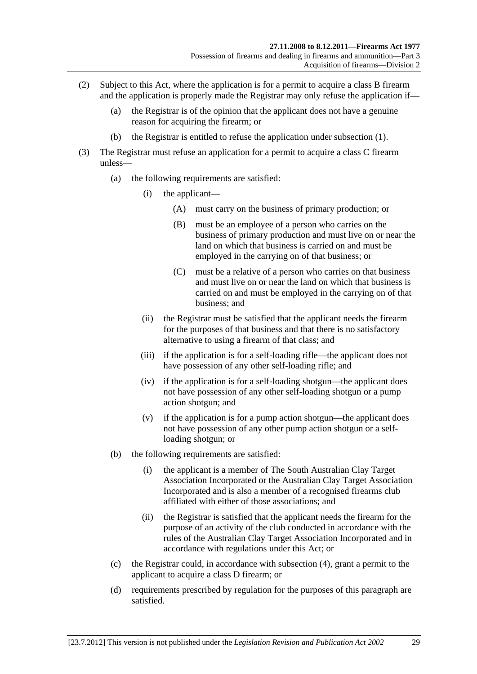- (2) Subject to this Act, where the application is for a permit to acquire a class B firearm and the application is properly made the Registrar may only refuse the application if—
	- (a) the Registrar is of the opinion that the applicant does not have a genuine reason for acquiring the firearm; or
	- (b) the Registrar is entitled to refuse the application under [subsection \(1\).](#page-27-0)
- (3) The Registrar must refuse an application for a permit to acquire a class C firearm unless—
	- (a) the following requirements are satisfied:
		- (i) the applicant—
			- (A) must carry on the business of primary production; or
			- (B) must be an employee of a person who carries on the business of primary production and must live on or near the land on which that business is carried on and must be employed in the carrying on of that business; or
			- (C) must be a relative of a person who carries on that business and must live on or near the land on which that business is carried on and must be employed in the carrying on of that business; and
		- (ii) the Registrar must be satisfied that the applicant needs the firearm for the purposes of that business and that there is no satisfactory alternative to using a firearm of that class; and
		- (iii) if the application is for a self-loading rifle—the applicant does not have possession of any other self-loading rifle; and
		- (iv) if the application is for a self-loading shotgun—the applicant does not have possession of any other self-loading shotgun or a pump action shotgun; and
		- (v) if the application is for a pump action shotgun—the applicant does not have possession of any other pump action shotgun or a selfloading shotgun; or
	- (b) the following requirements are satisfied:
		- (i) the applicant is a member of The South Australian Clay Target Association Incorporated or the Australian Clay Target Association Incorporated and is also a member of a recognised firearms club affiliated with either of those associations; and
		- (ii) the Registrar is satisfied that the applicant needs the firearm for the purpose of an activity of the club conducted in accordance with the rules of the Australian Clay Target Association Incorporated and in accordance with regulations under this Act; or
	- (c) the Registrar could, in accordance with [subsection \(4\)](#page-29-0), grant a permit to the applicant to acquire a class D firearm; or
	- (d) requirements prescribed by regulation for the purposes of this paragraph are satisfied.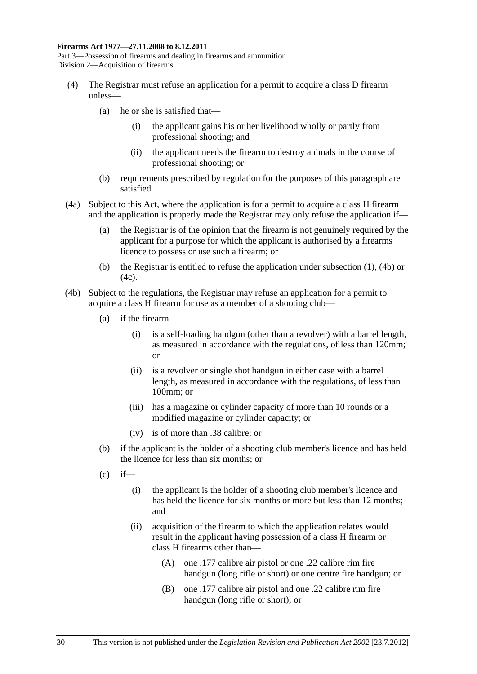- <span id="page-29-0"></span> (4) The Registrar must refuse an application for a permit to acquire a class D firearm unless—
	- (a) he or she is satisfied that—
		- (i) the applicant gains his or her livelihood wholly or partly from professional shooting; and
		- (ii) the applicant needs the firearm to destroy animals in the course of professional shooting; or
	- (b) requirements prescribed by regulation for the purposes of this paragraph are satisfied.
- (4a) Subject to this Act, where the application is for a permit to acquire a class H firearm and the application is properly made the Registrar may only refuse the application if—
	- (a) the Registrar is of the opinion that the firearm is not genuinely required by the applicant for a purpose for which the applicant is authorised by a firearms licence to possess or use such a firearm; or
	- (b) the Registrar is entitled to refuse the application under [subsection \(1\),](#page-27-0) [\(4b\)](#page-29-0) or  $(4c)$ .
- (4b) Subject to the regulations, the Registrar may refuse an application for a permit to acquire a class H firearm for use as a member of a shooting club—
	- (a) if the firearm—
		- (i) is a self-loading handgun (other than a revolver) with a barrel length, as measured in accordance with the regulations, of less than 120mm; or
		- (ii) is a revolver or single shot handgun in either case with a barrel length, as measured in accordance with the regulations, of less than 100mm; or
		- (iii) has a magazine or cylinder capacity of more than 10 rounds or a modified magazine or cylinder capacity; or
		- (iv) is of more than .38 calibre; or
	- (b) if the applicant is the holder of a shooting club member's licence and has held the licence for less than six months; or
	- $(c)$  if—
		- (i) the applicant is the holder of a shooting club member's licence and has held the licence for six months or more but less than 12 months; and
		- (ii) acquisition of the firearm to which the application relates would result in the applicant having possession of a class H firearm or class H firearms other than—
			- (A) one .177 calibre air pistol or one .22 calibre rim fire handgun (long rifle or short) or one centre fire handgun; or
			- (B) one .177 calibre air pistol and one .22 calibre rim fire handgun (long rifle or short); or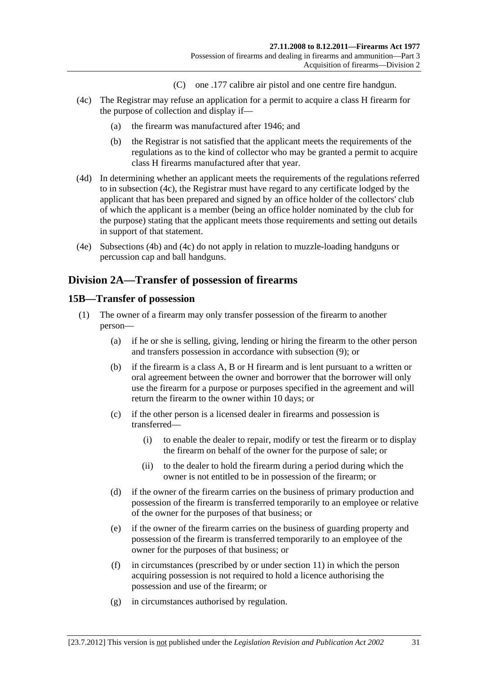- (C) one .177 calibre air pistol and one centre fire handgun.
- <span id="page-30-0"></span> (4c) The Registrar may refuse an application for a permit to acquire a class H firearm for the purpose of collection and display if—
	- (a) the firearm was manufactured after 1946; and
	- (b) the Registrar is not satisfied that the applicant meets the requirements of the regulations as to the kind of collector who may be granted a permit to acquire class H firearms manufactured after that year.
- (4d) In determining whether an applicant meets the requirements of the regulations referred to in [subsection \(4c\)](#page-30-0), the Registrar must have regard to any certificate lodged by the applicant that has been prepared and signed by an office holder of the collectors' club of which the applicant is a member (being an office holder nominated by the club for the purpose) stating that the applicant meets those requirements and setting out details in support of that statement.
- (4e) [Subsections \(4b\)](#page-29-0) and [\(4c\)](#page-30-0) do not apply in relation to muzzle-loading handguns or percussion cap and ball handguns.

# **Division 2A—Transfer of possession of firearms**

#### **15B—Transfer of possession**

- (1) The owner of a firearm may only transfer possession of the firearm to another person—
	- (a) if he or she is selling, giving, lending or hiring the firearm to the other person and transfers possession in accordance with [subsection \(9\)](#page-32-0); or
	- (b) if the firearm is a class A, B or H firearm and is lent pursuant to a written or oral agreement between the owner and borrower that the borrower will only use the firearm for a purpose or purposes specified in the agreement and will return the firearm to the owner within 10 days; or
	- (c) if the other person is a licensed dealer in firearms and possession is transferred—
		- (i) to enable the dealer to repair, modify or test the firearm or to display the firearm on behalf of the owner for the purpose of sale; or
		- (ii) to the dealer to hold the firearm during a period during which the owner is not entitled to be in possession of the firearm; or
	- (d) if the owner of the firearm carries on the business of primary production and possession of the firearm is transferred temporarily to an employee or relative of the owner for the purposes of that business; or
	- (e) if the owner of the firearm carries on the business of guarding property and possession of the firearm is transferred temporarily to an employee of the owner for the purposes of that business; or
	- (f) in circumstances (prescribed by or under [section 11\)](#page-17-0) in which the person acquiring possession is not required to hold a licence authorising the possession and use of the firearm; or
	- (g) in circumstances authorised by regulation.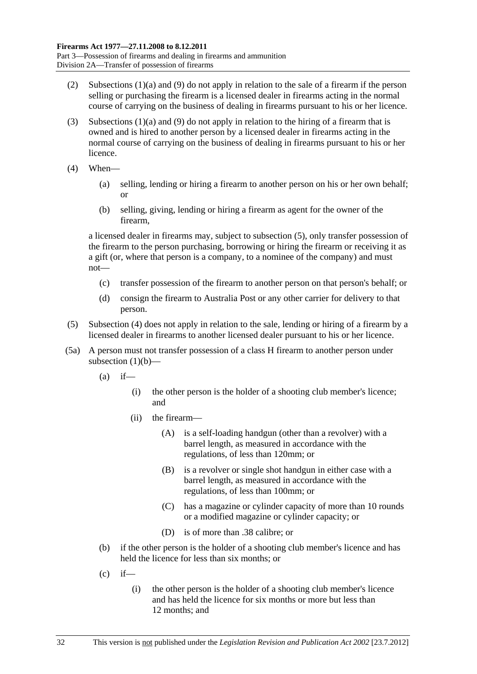- <span id="page-31-0"></span> (2) [Subsections \(1\)\(a\)](#page-30-0) and [\(9\)](#page-32-0) do not apply in relation to the sale of a firearm if the person selling or purchasing the firearm is a licensed dealer in firearms acting in the normal course of carrying on the business of dealing in firearms pursuant to his or her licence.
- (3) [Subsections \(1\)\(a\)](#page-30-0) and [\(9\)](#page-32-0) do not apply in relation to the hiring of a firearm that is owned and is hired to another person by a licensed dealer in firearms acting in the normal course of carrying on the business of dealing in firearms pursuant to his or her licence.
- (4) When—
	- (a) selling, lending or hiring a firearm to another person on his or her own behalf; or
	- (b) selling, giving, lending or hiring a firearm as agent for the owner of the firearm,

a licensed dealer in firearms may, subject to [subsection \(5\),](#page-31-0) only transfer possession of the firearm to the person purchasing, borrowing or hiring the firearm or receiving it as a gift (or, where that person is a company, to a nominee of the company) and must not—

- (c) transfer possession of the firearm to another person on that person's behalf; or
- (d) consign the firearm to Australia Post or any other carrier for delivery to that person.
- (5) [Subsection \(4\)](#page-31-0) does not apply in relation to the sale, lending or hiring of a firearm by a licensed dealer in firearms to another licensed dealer pursuant to his or her licence.
- (5a) A person must not transfer possession of a class H firearm to another person under [subsection \(1\)\(b\)—](#page-30-0)
	- $(a)$  if—
		- (i) the other person is the holder of a shooting club member's licence; and
		- (ii) the firearm—
			- (A) is a self-loading handgun (other than a revolver) with a barrel length, as measured in accordance with the regulations, of less than 120mm; or
			- (B) is a revolver or single shot handgun in either case with a barrel length, as measured in accordance with the regulations, of less than 100mm; or
			- (C) has a magazine or cylinder capacity of more than 10 rounds or a modified magazine or cylinder capacity; or
			- (D) is of more than .38 calibre; or
	- (b) if the other person is the holder of a shooting club member's licence and has held the licence for less than six months; or
	- $(c)$  if—
		- (i) the other person is the holder of a shooting club member's licence and has held the licence for six months or more but less than 12 months; and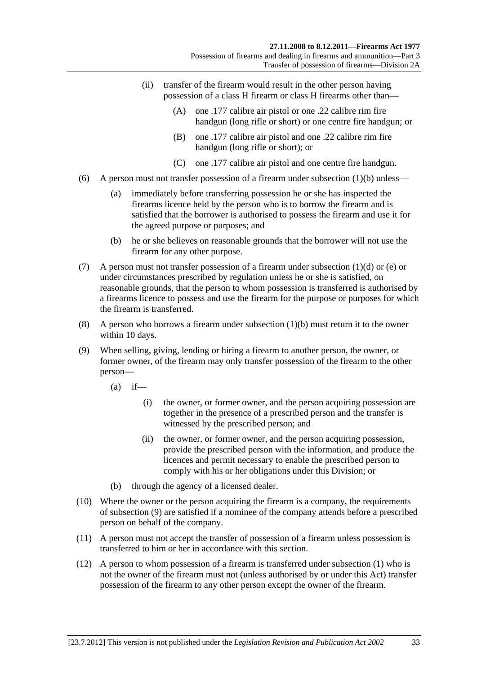- <span id="page-32-0"></span> (ii) transfer of the firearm would result in the other person having possession of a class H firearm or class H firearms other than—
	- (A) one .177 calibre air pistol or one .22 calibre rim fire handgun (long rifle or short) or one centre fire handgun; or
	- (B) one .177 calibre air pistol and one .22 calibre rim fire handgun (long rifle or short); or
	- (C) one .177 calibre air pistol and one centre fire handgun.
- (6) A person must not transfer possession of a firearm under subsection  $(1)(b)$  unless—
	- (a) immediately before transferring possession he or she has inspected the firearms licence held by the person who is to borrow the firearm and is satisfied that the borrower is authorised to possess the firearm and use it for the agreed purpose or purposes; and
	- (b) he or she believes on reasonable grounds that the borrower will not use the firearm for any other purpose.
- (7) A person must not transfer possession of a firearm under [subsection \(1\)\(d\)](#page-30-0) or [\(e\)](#page-30-0) or under circumstances prescribed by regulation unless he or she is satisfied, on reasonable grounds, that the person to whom possession is transferred is authorised by a firearms licence to possess and use the firearm for the purpose or purposes for which the firearm is transferred.
- (8) A person who borrows a firearm under [subsection \(1\)\(b\)](#page-30-0) must return it to the owner within 10 days.
- (9) When selling, giving, lending or hiring a firearm to another person, the owner, or former owner, of the firearm may only transfer possession of the firearm to the other person—
	- $(a)$  if—
		- (i) the owner, or former owner, and the person acquiring possession are together in the presence of a prescribed person and the transfer is witnessed by the prescribed person; and
		- (ii) the owner, or former owner, and the person acquiring possession, provide the prescribed person with the information, and produce the licences and permit necessary to enable the prescribed person to comply with his or her obligations under this Division; or
	- (b) through the agency of a licensed dealer.
- (10) Where the owner or the person acquiring the firearm is a company, the requirements of [subsection \(9\)](#page-32-0) are satisfied if a nominee of the company attends before a prescribed person on behalf of the company.
- (11) A person must not accept the transfer of possession of a firearm unless possession is transferred to him or her in accordance with this section.
- (12) A person to whom possession of a firearm is transferred under [subsection \(1\)](#page-30-0) who is not the owner of the firearm must not (unless authorised by or under this Act) transfer possession of the firearm to any other person except the owner of the firearm.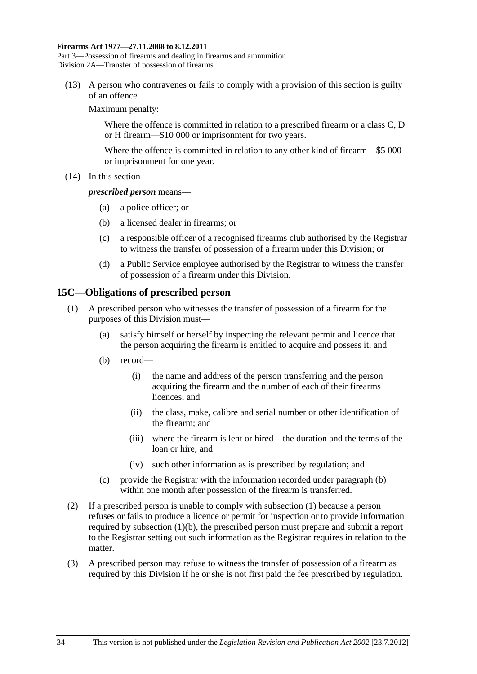<span id="page-33-0"></span>Part 3—Possession of firearms and dealing in firearms and ammunition Division 2A—Transfer of possession of firearms

 (13) A person who contravenes or fails to comply with a provision of this section is guilty of an offence.

Maximum penalty:

Where the offence is committed in relation to a prescribed firearm or a class C, D or H firearm—\$10 000 or imprisonment for two years.

Where the offence is committed in relation to any other kind of firearm—\$5 000 or imprisonment for one year.

(14) In this section—

#### *prescribed person* means—

- (a) a police officer; or
- (b) a licensed dealer in firearms; or
- (c) a responsible officer of a recognised firearms club authorised by the Registrar to witness the transfer of possession of a firearm under this Division; or
- (d) a Public Service employee authorised by the Registrar to witness the transfer of possession of a firearm under this Division.

#### **15C—Obligations of prescribed person**

- (1) A prescribed person who witnesses the transfer of possession of a firearm for the purposes of this Division must—
	- (a) satisfy himself or herself by inspecting the relevant permit and licence that the person acquiring the firearm is entitled to acquire and possess it; and
	- (b) record—
		- (i) the name and address of the person transferring and the person acquiring the firearm and the number of each of their firearms licences; and
		- (ii) the class, make, calibre and serial number or other identification of the firearm; and
		- (iii) where the firearm is lent or hired—the duration and the terms of the loan or hire; and
		- (iv) such other information as is prescribed by regulation; and
	- (c) provide the Registrar with the information recorded under [paragraph \(b\)](#page-33-0) within one month after possession of the firearm is transferred.
- (2) If a prescribed person is unable to comply with [subsection \(1\)](#page-33-0) because a person refuses or fails to produce a licence or permit for inspection or to provide information required by [subsection \(1\)\(b\),](#page-33-0) the prescribed person must prepare and submit a report to the Registrar setting out such information as the Registrar requires in relation to the matter.
- (3) A prescribed person may refuse to witness the transfer of possession of a firearm as required by this Division if he or she is not first paid the fee prescribed by regulation.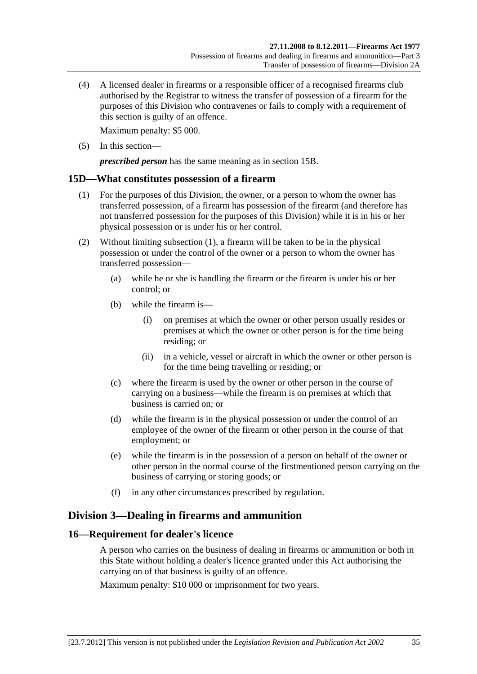<span id="page-34-0"></span> (4) A licensed dealer in firearms or a responsible officer of a recognised firearms club authorised by the Registrar to witness the transfer of possession of a firearm for the purposes of this Division who contravenes or fails to comply with a requirement of this section is guilty of an offence.

Maximum penalty: \$5 000.

(5) In this section—

*prescribed person* has the same meaning as in [section 15B.](#page-30-0)

# **15D—What constitutes possession of a firearm**

- (1) For the purposes of this Division, the owner, or a person to whom the owner has transferred possession, of a firearm has possession of the firearm (and therefore has not transferred possession for the purposes of this Division) while it is in his or her physical possession or is under his or her control.
- (2) Without limiting [subsection \(1\),](#page-34-0) a firearm will be taken to be in the physical possession or under the control of the owner or a person to whom the owner has transferred possession—
	- (a) while he or she is handling the firearm or the firearm is under his or her control; or
	- (b) while the firearm is—
		- (i) on premises at which the owner or other person usually resides or premises at which the owner or other person is for the time being residing; or
		- (ii) in a vehicle, vessel or aircraft in which the owner or other person is for the time being travelling or residing; or
	- (c) where the firearm is used by the owner or other person in the course of carrying on a business—while the firearm is on premises at which that business is carried on; or
	- (d) while the firearm is in the physical possession or under the control of an employee of the owner of the firearm or other person in the course of that employment; or
	- (e) while the firearm is in the possession of a person on behalf of the owner or other person in the normal course of the firstmentioned person carrying on the business of carrying or storing goods; or
	- (f) in any other circumstances prescribed by regulation.

# **Division 3—Dealing in firearms and ammunition**

# **16—Requirement for dealer's licence**

A person who carries on the business of dealing in firearms or ammunition or both in this State without holding a dealer's licence granted under this Act authorising the carrying on of that business is guilty of an offence.

Maximum penalty: \$10 000 or imprisonment for two years.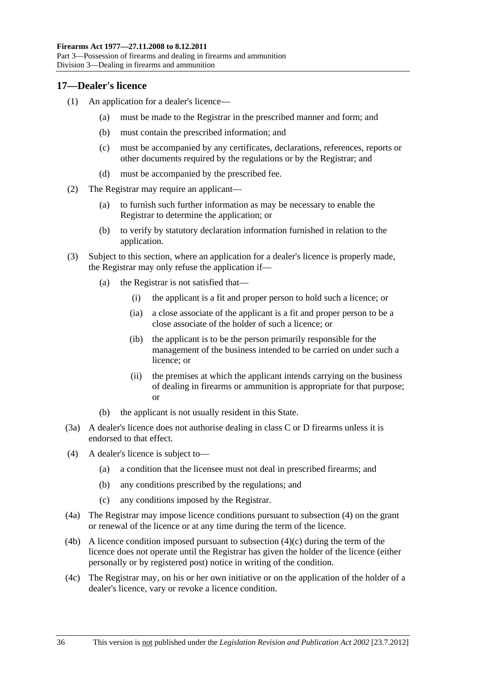#### <span id="page-35-0"></span>**17—Dealer's licence**

- (1) An application for a dealer's licence—
	- (a) must be made to the Registrar in the prescribed manner and form; and
	- (b) must contain the prescribed information; and
	- (c) must be accompanied by any certificates, declarations, references, reports or other documents required by the regulations or by the Registrar; and
	- (d) must be accompanied by the prescribed fee.
- (2) The Registrar may require an applicant—
	- (a) to furnish such further information as may be necessary to enable the Registrar to determine the application; or
	- (b) to verify by statutory declaration information furnished in relation to the application.
- (3) Subject to this section, where an application for a dealer's licence is properly made, the Registrar may only refuse the application if—
	- (a) the Registrar is not satisfied that—
		- (i) the applicant is a fit and proper person to hold such a licence; or
		- (ia) a close associate of the applicant is a fit and proper person to be a close associate of the holder of such a licence; or
		- (ib) the applicant is to be the person primarily responsible for the management of the business intended to be carried on under such a licence; or
		- (ii) the premises at which the applicant intends carrying on the business of dealing in firearms or ammunition is appropriate for that purpose; or
	- (b) the applicant is not usually resident in this State.
- (3a) A dealer's licence does not authorise dealing in class C or D firearms unless it is endorsed to that effect.
- (4) A dealer's licence is subject to—
	- (a) a condition that the licensee must not deal in prescribed firearms; and
	- (b) any conditions prescribed by the regulations; and
	- (c) any conditions imposed by the Registrar.
- (4a) The Registrar may impose licence conditions pursuant to [subsection \(4\)](#page-35-0) on the grant or renewal of the licence or at any time during the term of the licence.
- (4b) A licence condition imposed pursuant to subsection  $(4)(c)$  during the term of the licence does not operate until the Registrar has given the holder of the licence (either personally or by registered post) notice in writing of the condition.
- (4c) The Registrar may, on his or her own initiative or on the application of the holder of a dealer's licence, vary or revoke a licence condition.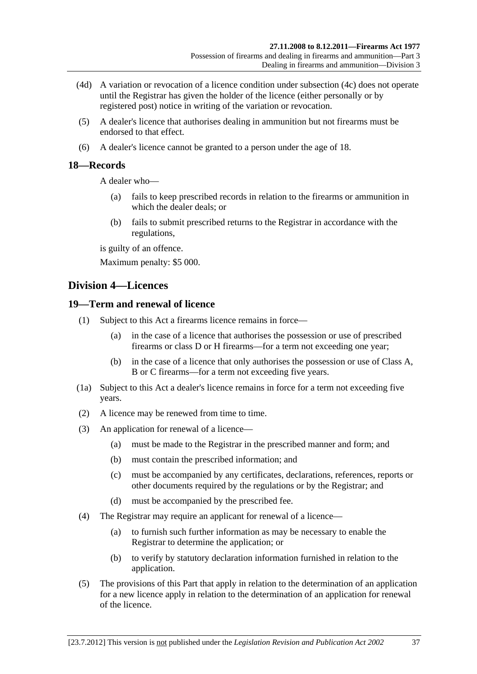- (4d) A variation or revocation of a licence condition under [subsection \(4c\)](#page-35-0) does not operate until the Registrar has given the holder of the licence (either personally or by registered post) notice in writing of the variation or revocation.
- (5) A dealer's licence that authorises dealing in ammunition but not firearms must be endorsed to that effect.
- (6) A dealer's licence cannot be granted to a person under the age of 18.

# **18—Records**

A dealer who—

- (a) fails to keep prescribed records in relation to the firearms or ammunition in which the dealer deals; or
- (b) fails to submit prescribed returns to the Registrar in accordance with the regulations,

is guilty of an offence.

Maximum penalty: \$5 000.

# **Division 4—Licences**

# **19—Term and renewal of licence**

- (1) Subject to this Act a firearms licence remains in force—
	- (a) in the case of a licence that authorises the possession or use of prescribed firearms or class D or H firearms—for a term not exceeding one year;
	- (b) in the case of a licence that only authorises the possession or use of Class A, B or C firearms—for a term not exceeding five years.
- (1a) Subject to this Act a dealer's licence remains in force for a term not exceeding five years.
- (2) A licence may be renewed from time to time.
- (3) An application for renewal of a licence—
	- (a) must be made to the Registrar in the prescribed manner and form; and
	- (b) must contain the prescribed information; and
	- (c) must be accompanied by any certificates, declarations, references, reports or other documents required by the regulations or by the Registrar; and
	- (d) must be accompanied by the prescribed fee.
- (4) The Registrar may require an applicant for renewal of a licence—
	- (a) to furnish such further information as may be necessary to enable the Registrar to determine the application; or
	- (b) to verify by statutory declaration information furnished in relation to the application.
- (5) The provisions of this Part that apply in relation to the determination of an application for a new licence apply in relation to the determination of an application for renewal of the licence.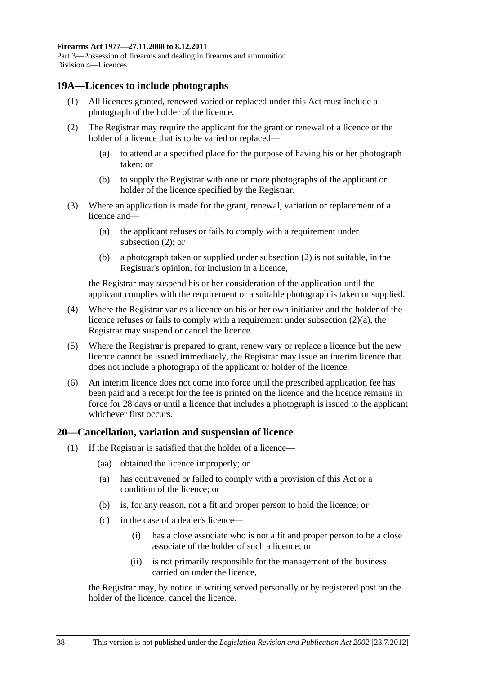#### <span id="page-37-0"></span>**19A—Licences to include photographs**

- (1) All licences granted, renewed varied or replaced under this Act must include a photograph of the holder of the licence.
- (2) The Registrar may require the applicant for the grant or renewal of a licence or the holder of a licence that is to be varied or replaced—
	- (a) to attend at a specified place for the purpose of having his or her photograph taken; or
	- (b) to supply the Registrar with one or more photographs of the applicant or holder of the licence specified by the Registrar.
- (3) Where an application is made for the grant, renewal, variation or replacement of a licence and—
	- (a) the applicant refuses or fails to comply with a requirement under [subsection \(2\)](#page-37-0); or
	- (b) a photograph taken or supplied under [subsection \(2\)](#page-37-0) is not suitable, in the Registrar's opinion, for inclusion in a licence,

the Registrar may suspend his or her consideration of the application until the applicant complies with the requirement or a suitable photograph is taken or supplied.

- (4) Where the Registrar varies a licence on his or her own initiative and the holder of the licence refuses or fails to comply with a requirement under [subsection \(2\)\(a\)](#page-37-0), the Registrar may suspend or cancel the licence.
- (5) Where the Registrar is prepared to grant, renew vary or replace a licence but the new licence cannot be issued immediately, the Registrar may issue an interim licence that does not include a photograph of the applicant or holder of the licence.
- (6) An interim licence does not come into force until the prescribed application fee has been paid and a receipt for the fee is printed on the licence and the licence remains in force for 28 days or until a licence that includes a photograph is issued to the applicant whichever first occurs.

#### **20—Cancellation, variation and suspension of licence**

- (1) If the Registrar is satisfied that the holder of a licence—
	- (aa) obtained the licence improperly; or
	- (a) has contravened or failed to comply with a provision of this Act or a condition of the licence; or
	- (b) is, for any reason, not a fit and proper person to hold the licence; or
	- (c) in the case of a dealer's licence—
		- (i) has a close associate who is not a fit and proper person to be a close associate of the holder of such a licence; or
		- (ii) is not primarily responsible for the management of the business carried on under the licence,

the Registrar may, by notice in writing served personally or by registered post on the holder of the licence, cancel the licence.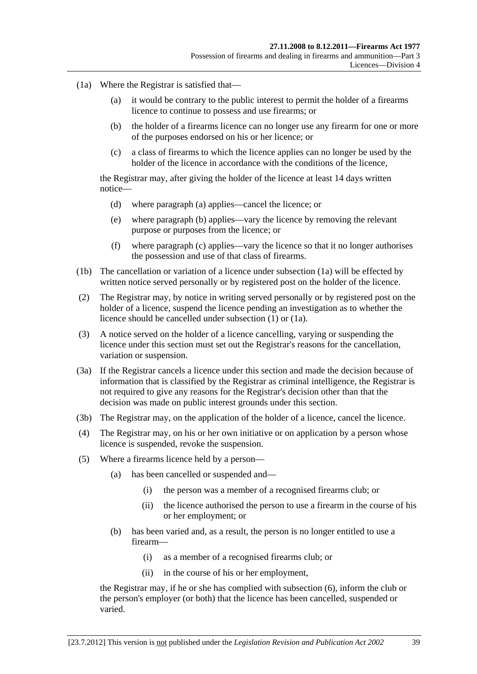- <span id="page-38-0"></span> (1a) Where the Registrar is satisfied that—
	- (a) it would be contrary to the public interest to permit the holder of a firearms licence to continue to possess and use firearms; or
	- (b) the holder of a firearms licence can no longer use any firearm for one or more of the purposes endorsed on his or her licence; or
	- (c) a class of firearms to which the licence applies can no longer be used by the holder of the licence in accordance with the conditions of the licence,

the Registrar may, after giving the holder of the licence at least 14 days written notice—

- (d) where [paragraph \(a\)](#page-38-0) applies—cancel the licence; or
- (e) where [paragraph \(b\)](#page-38-0) applies—vary the licence by removing the relevant purpose or purposes from the licence; or
- (f) where [paragraph \(c\)](#page-38-0) applies—vary the licence so that it no longer authorises the possession and use of that class of firearms.
- (1b) The cancellation or variation of a licence under [subsection \(1a\)](#page-38-0) will be effected by written notice served personally or by registered post on the holder of the licence.
- (2) The Registrar may, by notice in writing served personally or by registered post on the holder of a licence, suspend the licence pending an investigation as to whether the licence should be cancelled under [subsection \(1\)](#page-37-0) or [\(1a\).](#page-38-0)
- (3) A notice served on the holder of a licence cancelling, varying or suspending the licence under this section must set out the Registrar's reasons for the cancellation, variation or suspension.
- (3a) If the Registrar cancels a licence under this section and made the decision because of information that is classified by the Registrar as criminal intelligence, the Registrar is not required to give any reasons for the Registrar's decision other than that the decision was made on public interest grounds under this section.
- (3b) The Registrar may, on the application of the holder of a licence, cancel the licence.
- (4) The Registrar may, on his or her own initiative or on application by a person whose licence is suspended, revoke the suspension.
- (5) Where a firearms licence held by a person—
	- (a) has been cancelled or suspended and—
		- (i) the person was a member of a recognised firearms club; or
		- (ii) the licence authorised the person to use a firearm in the course of his or her employment; or
	- (b) has been varied and, as a result, the person is no longer entitled to use a firearm—
		- (i) as a member of a recognised firearms club; or
		- (ii) in the course of his or her employment,

the Registrar may, if he or she has complied with [subsection \(6\),](#page-39-0) inform the club or the person's employer (or both) that the licence has been cancelled, suspended or varied.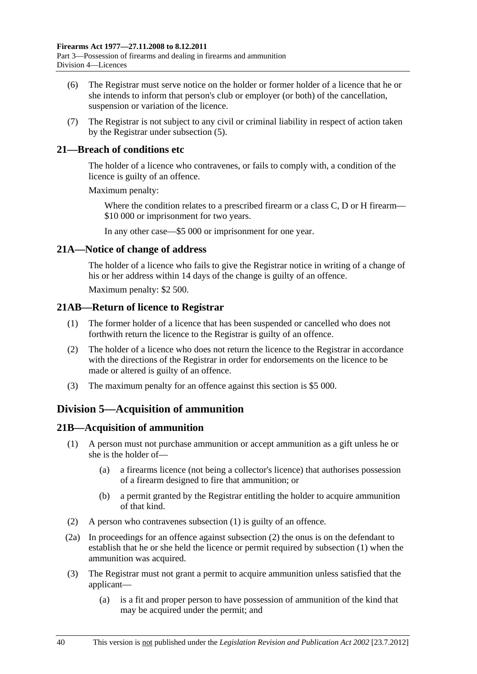- <span id="page-39-0"></span> (6) The Registrar must serve notice on the holder or former holder of a licence that he or she intends to inform that person's club or employer (or both) of the cancellation, suspension or variation of the licence.
- (7) The Registrar is not subject to any civil or criminal liability in respect of action taken by the Registrar under [subsection \(5\).](#page-38-0)

# **21—Breach of conditions etc**

The holder of a licence who contravenes, or fails to comply with, a condition of the licence is guilty of an offence.

Maximum penalty:

Where the condition relates to a prescribed firearm or a class C, D or H firearm— \$10 000 or imprisonment for two years.

In any other case—\$5 000 or imprisonment for one year.

# **21A—Notice of change of address**

The holder of a licence who fails to give the Registrar notice in writing of a change of his or her address within 14 days of the change is guilty of an offence.

Maximum penalty: \$2 500.

# **21AB—Return of licence to Registrar**

- (1) The former holder of a licence that has been suspended or cancelled who does not forthwith return the licence to the Registrar is guilty of an offence.
- (2) The holder of a licence who does not return the licence to the Registrar in accordance with the directions of the Registrar in order for endorsements on the licence to be made or altered is guilty of an offence.
- (3) The maximum penalty for an offence against this section is \$5 000.

# **Division 5—Acquisition of ammunition**

# **21B—Acquisition of ammunition**

- (1) A person must not purchase ammunition or accept ammunition as a gift unless he or she is the holder of—
	- (a) a firearms licence (not being a collector's licence) that authorises possession of a firearm designed to fire that ammunition; or
	- (b) a permit granted by the Registrar entitling the holder to acquire ammunition of that kind.
- (2) A person who contravenes [subsection \(1\)](#page-39-0) is guilty of an offence.
- (2a) In proceedings for an offence against [subsection \(2\)](#page-39-0) the onus is on the defendant to establish that he or she held the licence or permit required by [subsection \(1\)](#page-39-0) when the ammunition was acquired.
- (3) The Registrar must not grant a permit to acquire ammunition unless satisfied that the applicant—
	- (a) is a fit and proper person to have possession of ammunition of the kind that may be acquired under the permit; and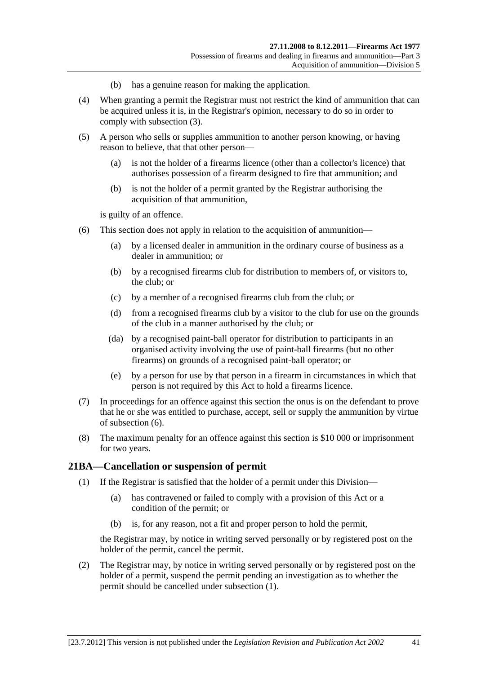- (b) has a genuine reason for making the application.
- <span id="page-40-0"></span> (4) When granting a permit the Registrar must not restrict the kind of ammunition that can be acquired unless it is, in the Registrar's opinion, necessary to do so in order to comply with [subsection \(3\)](#page-39-0).
- (5) A person who sells or supplies ammunition to another person knowing, or having reason to believe, that that other person—
	- (a) is not the holder of a firearms licence (other than a collector's licence) that authorises possession of a firearm designed to fire that ammunition; and
	- (b) is not the holder of a permit granted by the Registrar authorising the acquisition of that ammunition,

is guilty of an offence.

- (6) This section does not apply in relation to the acquisition of ammunition—
	- (a) by a licensed dealer in ammunition in the ordinary course of business as a dealer in ammunition; or
	- (b) by a recognised firearms club for distribution to members of, or visitors to, the club; or
	- (c) by a member of a recognised firearms club from the club; or
	- (d) from a recognised firearms club by a visitor to the club for use on the grounds of the club in a manner authorised by the club; or
	- (da) by a recognised paint-ball operator for distribution to participants in an organised activity involving the use of paint-ball firearms (but no other firearms) on grounds of a recognised paint-ball operator; or
	- (e) by a person for use by that person in a firearm in circumstances in which that person is not required by this Act to hold a firearms licence.
- (7) In proceedings for an offence against this section the onus is on the defendant to prove that he or she was entitled to purchase, accept, sell or supply the ammunition by virtue of [subsection \(6\)](#page-40-0).
- (8) The maximum penalty for an offence against this section is \$10 000 or imprisonment for two years.

#### **21BA—Cancellation or suspension of permit**

- (1) If the Registrar is satisfied that the holder of a permit under this Division—
	- (a) has contravened or failed to comply with a provision of this Act or a condition of the permit; or
	- (b) is, for any reason, not a fit and proper person to hold the permit,

the Registrar may, by notice in writing served personally or by registered post on the holder of the permit, cancel the permit.

 (2) The Registrar may, by notice in writing served personally or by registered post on the holder of a permit, suspend the permit pending an investigation as to whether the permit should be cancelled under [subsection \(1\)](#page-40-0).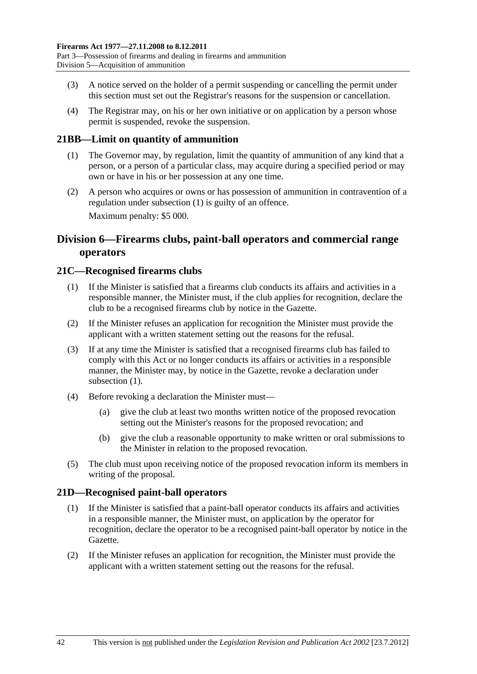- <span id="page-41-0"></span> (3) A notice served on the holder of a permit suspending or cancelling the permit under this section must set out the Registrar's reasons for the suspension or cancellation.
- (4) The Registrar may, on his or her own initiative or on application by a person whose permit is suspended, revoke the suspension.

# **21BB—Limit on quantity of ammunition**

- (1) The Governor may, by regulation, limit the quantity of ammunition of any kind that a person, or a person of a particular class, may acquire during a specified period or may own or have in his or her possession at any one time.
- (2) A person who acquires or owns or has possession of ammunition in contravention of a regulation under [subsection \(1\)](#page-41-0) is guilty of an offence. Maximum penalty: \$5 000.

# **Division 6—Firearms clubs, paint-ball operators and commercial range operators**

# **21C—Recognised firearms clubs**

- (1) If the Minister is satisfied that a firearms club conducts its affairs and activities in a responsible manner, the Minister must, if the club applies for recognition, declare the club to be a recognised firearms club by notice in the Gazette.
- (2) If the Minister refuses an application for recognition the Minister must provide the applicant with a written statement setting out the reasons for the refusal.
- (3) If at any time the Minister is satisfied that a recognised firearms club has failed to comply with this Act or no longer conducts its affairs or activities in a responsible manner, the Minister may, by notice in the Gazette, revoke a declaration under subsection  $(1)$ .
- (4) Before revoking a declaration the Minister must—
	- (a) give the club at least two months written notice of the proposed revocation setting out the Minister's reasons for the proposed revocation; and
	- (b) give the club a reasonable opportunity to make written or oral submissions to the Minister in relation to the proposed revocation.
- (5) The club must upon receiving notice of the proposed revocation inform its members in writing of the proposal.

# **21D—Recognised paint-ball operators**

- (1) If the Minister is satisfied that a paint-ball operator conducts its affairs and activities in a responsible manner, the Minister must, on application by the operator for recognition, declare the operator to be a recognised paint-ball operator by notice in the Gazette.
- (2) If the Minister refuses an application for recognition, the Minister must provide the applicant with a written statement setting out the reasons for the refusal.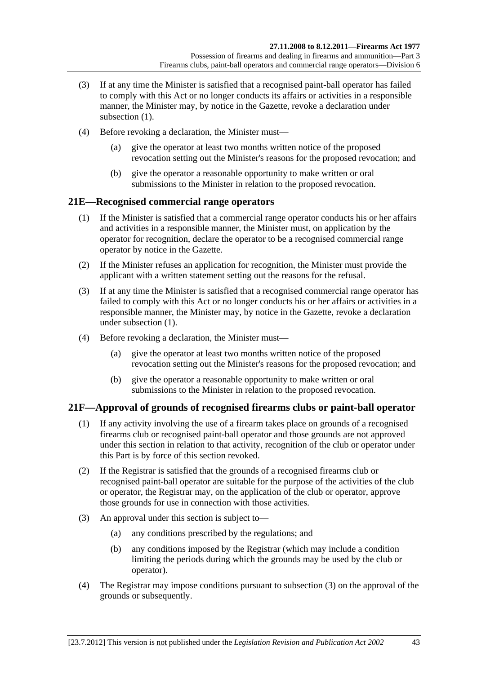- <span id="page-42-0"></span> (3) If at any time the Minister is satisfied that a recognised paint-ball operator has failed to comply with this Act or no longer conducts its affairs or activities in a responsible manner, the Minister may, by notice in the Gazette, revoke a declaration under subsection  $(1)$ .
- (4) Before revoking a declaration, the Minister must—
	- (a) give the operator at least two months written notice of the proposed revocation setting out the Minister's reasons for the proposed revocation; and
	- (b) give the operator a reasonable opportunity to make written or oral submissions to the Minister in relation to the proposed revocation.

# **21E—Recognised commercial range operators**

- (1) If the Minister is satisfied that a commercial range operator conducts his or her affairs and activities in a responsible manner, the Minister must, on application by the operator for recognition, declare the operator to be a recognised commercial range operator by notice in the Gazette.
- (2) If the Minister refuses an application for recognition, the Minister must provide the applicant with a written statement setting out the reasons for the refusal.
- (3) If at any time the Minister is satisfied that a recognised commercial range operator has failed to comply with this Act or no longer conducts his or her affairs or activities in a responsible manner, the Minister may, by notice in the Gazette, revoke a declaration under [subsection \(1\).](#page-42-0)
- (4) Before revoking a declaration, the Minister must—
	- (a) give the operator at least two months written notice of the proposed revocation setting out the Minister's reasons for the proposed revocation; and
	- (b) give the operator a reasonable opportunity to make written or oral submissions to the Minister in relation to the proposed revocation.

# **21F—Approval of grounds of recognised firearms clubs or paint-ball operator**

- (1) If any activity involving the use of a firearm takes place on grounds of a recognised firearms club or recognised paint-ball operator and those grounds are not approved under this section in relation to that activity, recognition of the club or operator under this Part is by force of this section revoked.
- (2) If the Registrar is satisfied that the grounds of a recognised firearms club or recognised paint-ball operator are suitable for the purpose of the activities of the club or operator, the Registrar may, on the application of the club or operator, approve those grounds for use in connection with those activities.
- (3) An approval under this section is subject to—
	- (a) any conditions prescribed by the regulations; and
	- (b) any conditions imposed by the Registrar (which may include a condition limiting the periods during which the grounds may be used by the club or operator).
- (4) The Registrar may impose conditions pursuant to [subsection \(3\)](#page-42-0) on the approval of the grounds or subsequently.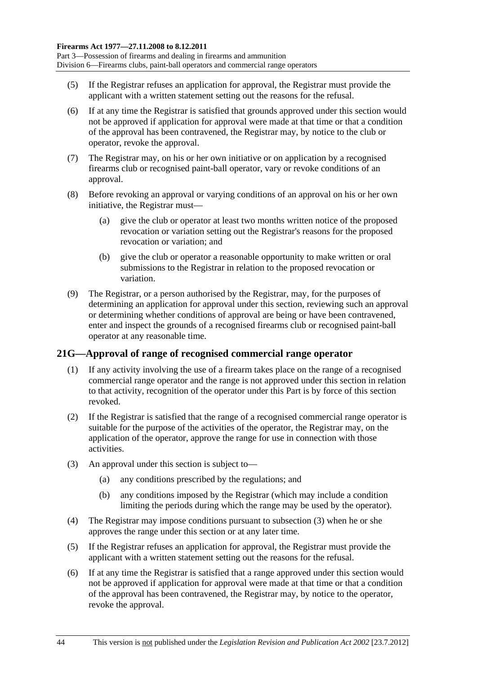- <span id="page-43-0"></span> (5) If the Registrar refuses an application for approval, the Registrar must provide the applicant with a written statement setting out the reasons for the refusal.
- (6) If at any time the Registrar is satisfied that grounds approved under this section would not be approved if application for approval were made at that time or that a condition of the approval has been contravened, the Registrar may, by notice to the club or operator, revoke the approval.
- (7) The Registrar may, on his or her own initiative or on application by a recognised firearms club or recognised paint-ball operator, vary or revoke conditions of an approval.
- (8) Before revoking an approval or varying conditions of an approval on his or her own initiative, the Registrar must—
	- (a) give the club or operator at least two months written notice of the proposed revocation or variation setting out the Registrar's reasons for the proposed revocation or variation; and
	- (b) give the club or operator a reasonable opportunity to make written or oral submissions to the Registrar in relation to the proposed revocation or variation.
- (9) The Registrar, or a person authorised by the Registrar, may, for the purposes of determining an application for approval under this section, reviewing such an approval or determining whether conditions of approval are being or have been contravened, enter and inspect the grounds of a recognised firearms club or recognised paint-ball operator at any reasonable time.

# **21G—Approval of range of recognised commercial range operator**

- (1) If any activity involving the use of a firearm takes place on the range of a recognised commercial range operator and the range is not approved under this section in relation to that activity, recognition of the operator under this Part is by force of this section revoked.
- (2) If the Registrar is satisfied that the range of a recognised commercial range operator is suitable for the purpose of the activities of the operator, the Registrar may, on the application of the operator, approve the range for use in connection with those activities.
- (3) An approval under this section is subject to—
	- (a) any conditions prescribed by the regulations; and
	- (b) any conditions imposed by the Registrar (which may include a condition limiting the periods during which the range may be used by the operator).
- (4) The Registrar may impose conditions pursuant to [subsection \(3\)](#page-43-0) when he or she approves the range under this section or at any later time.
- (5) If the Registrar refuses an application for approval, the Registrar must provide the applicant with a written statement setting out the reasons for the refusal.
- (6) If at any time the Registrar is satisfied that a range approved under this section would not be approved if application for approval were made at that time or that a condition of the approval has been contravened, the Registrar may, by notice to the operator, revoke the approval.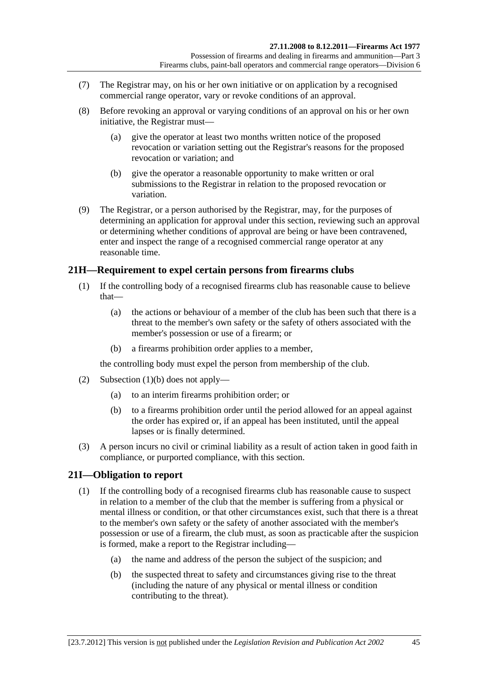- <span id="page-44-0"></span> (7) The Registrar may, on his or her own initiative or on application by a recognised commercial range operator, vary or revoke conditions of an approval.
- (8) Before revoking an approval or varying conditions of an approval on his or her own initiative, the Registrar must—
	- (a) give the operator at least two months written notice of the proposed revocation or variation setting out the Registrar's reasons for the proposed revocation or variation; and
	- (b) give the operator a reasonable opportunity to make written or oral submissions to the Registrar in relation to the proposed revocation or variation.
- (9) The Registrar, or a person authorised by the Registrar, may, for the purposes of determining an application for approval under this section, reviewing such an approval or determining whether conditions of approval are being or have been contravened, enter and inspect the range of a recognised commercial range operator at any reasonable time.

# **21H—Requirement to expel certain persons from firearms clubs**

- (1) If the controlling body of a recognised firearms club has reasonable cause to believe that—
	- (a) the actions or behaviour of a member of the club has been such that there is a threat to the member's own safety or the safety of others associated with the member's possession or use of a firearm; or
	- (b) a firearms prohibition order applies to a member,

the controlling body must expel the person from membership of the club.

- (2) [Subsection \(1\)\(b\)](#page-44-0) does not apply—
	- (a) to an interim firearms prohibition order; or
	- (b) to a firearms prohibition order until the period allowed for an appeal against the order has expired or, if an appeal has been instituted, until the appeal lapses or is finally determined.
- (3) A person incurs no civil or criminal liability as a result of action taken in good faith in compliance, or purported compliance, with this section.

# **21I—Obligation to report**

- (1) If the controlling body of a recognised firearms club has reasonable cause to suspect in relation to a member of the club that the member is suffering from a physical or mental illness or condition, or that other circumstances exist, such that there is a threat to the member's own safety or the safety of another associated with the member's possession or use of a firearm, the club must, as soon as practicable after the suspicion is formed, make a report to the Registrar including—
	- (a) the name and address of the person the subject of the suspicion; and
	- (b) the suspected threat to safety and circumstances giving rise to the threat (including the nature of any physical or mental illness or condition contributing to the threat).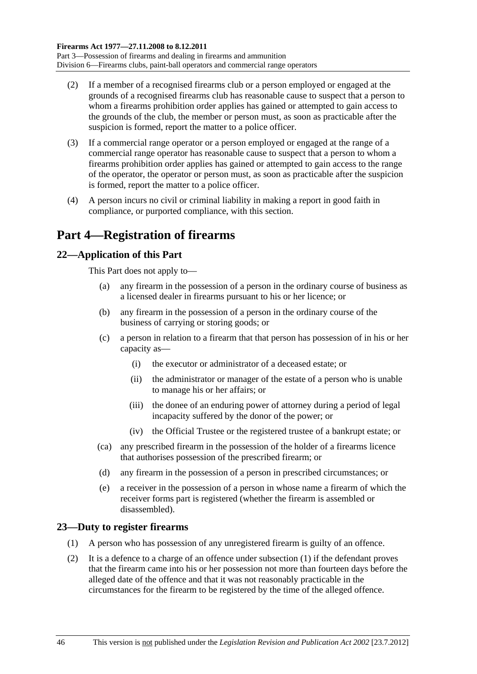- <span id="page-45-0"></span> (2) If a member of a recognised firearms club or a person employed or engaged at the grounds of a recognised firearms club has reasonable cause to suspect that a person to whom a firearms prohibition order applies has gained or attempted to gain access to the grounds of the club, the member or person must, as soon as practicable after the suspicion is formed, report the matter to a police officer.
- (3) If a commercial range operator or a person employed or engaged at the range of a commercial range operator has reasonable cause to suspect that a person to whom a firearms prohibition order applies has gained or attempted to gain access to the range of the operator, the operator or person must, as soon as practicable after the suspicion is formed, report the matter to a police officer.
- (4) A person incurs no civil or criminal liability in making a report in good faith in compliance, or purported compliance, with this section.

# **Part 4—Registration of firearms**

# **22—Application of this Part**

This Part does not apply to—

- (a) any firearm in the possession of a person in the ordinary course of business as a licensed dealer in firearms pursuant to his or her licence; or
- (b) any firearm in the possession of a person in the ordinary course of the business of carrying or storing goods; or
- (c) a person in relation to a firearm that that person has possession of in his or her capacity as—
	- (i) the executor or administrator of a deceased estate; or
	- (ii) the administrator or manager of the estate of a person who is unable to manage his or her affairs; or
	- (iii) the donee of an enduring power of attorney during a period of legal incapacity suffered by the donor of the power; or
	- (iv) the Official Trustee or the registered trustee of a bankrupt estate; or
- (ca) any prescribed firearm in the possession of the holder of a firearms licence that authorises possession of the prescribed firearm; or
- (d) any firearm in the possession of a person in prescribed circumstances; or
- (e) a receiver in the possession of a person in whose name a firearm of which the receiver forms part is registered (whether the firearm is assembled or disassembled).

# **23—Duty to register firearms**

- (1) A person who has possession of any unregistered firearm is guilty of an offence.
- (2) It is a defence to a charge of an offence under [subsection \(1\)](#page-45-0) if the defendant proves that the firearm came into his or her possession not more than fourteen days before the alleged date of the offence and that it was not reasonably practicable in the circumstances for the firearm to be registered by the time of the alleged offence.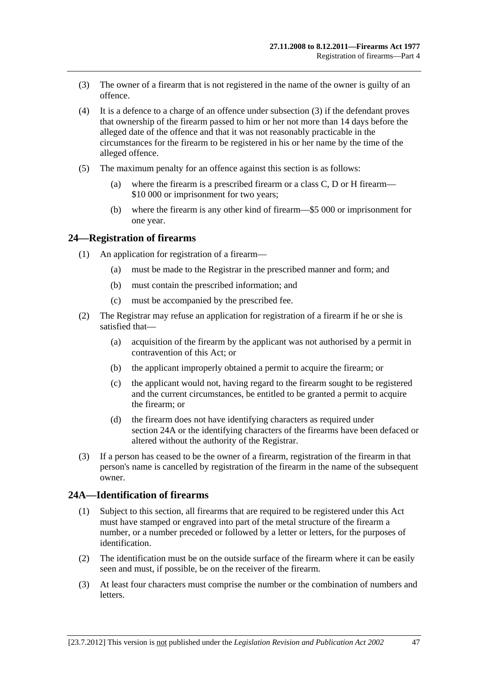- <span id="page-46-0"></span> (3) The owner of a firearm that is not registered in the name of the owner is guilty of an offence.
- (4) It is a defence to a charge of an offence under [subsection \(3\)](#page-46-0) if the defendant proves that ownership of the firearm passed to him or her not more than 14 days before the alleged date of the offence and that it was not reasonably practicable in the circumstances for the firearm to be registered in his or her name by the time of the alleged offence.
- (5) The maximum penalty for an offence against this section is as follows:
	- (a) where the firearm is a prescribed firearm or a class C, D or H firearm— \$10 000 or imprisonment for two years;
	- (b) where the firearm is any other kind of firearm—\$5 000 or imprisonment for one year.

#### **24—Registration of firearms**

- (1) An application for registration of a firearm—
	- (a) must be made to the Registrar in the prescribed manner and form; and
	- (b) must contain the prescribed information; and
	- (c) must be accompanied by the prescribed fee.
- (2) The Registrar may refuse an application for registration of a firearm if he or she is satisfied that—
	- (a) acquisition of the firearm by the applicant was not authorised by a permit in contravention of this Act; or
	- (b) the applicant improperly obtained a permit to acquire the firearm; or
	- (c) the applicant would not, having regard to the firearm sought to be registered and the current circumstances, be entitled to be granted a permit to acquire the firearm; or
	- (d) the firearm does not have identifying characters as required under [section 24A](#page-46-0) or the identifying characters of the firearms have been defaced or altered without the authority of the Registrar.
- (3) If a person has ceased to be the owner of a firearm, registration of the firearm in that person's name is cancelled by registration of the firearm in the name of the subsequent owner.

#### **24A—Identification of firearms**

- (1) Subject to this section, all firearms that are required to be registered under this Act must have stamped or engraved into part of the metal structure of the firearm a number, or a number preceded or followed by a letter or letters, for the purposes of identification.
- (2) The identification must be on the outside surface of the firearm where it can be easily seen and must, if possible, be on the receiver of the firearm.
- (3) At least four characters must comprise the number or the combination of numbers and letters.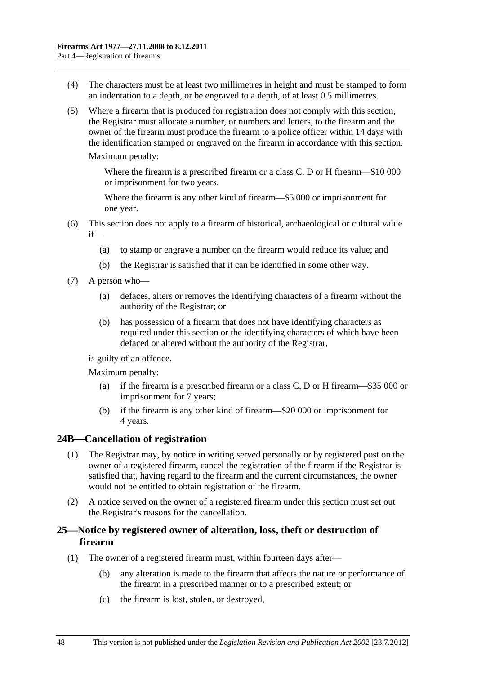- <span id="page-47-0"></span> (4) The characters must be at least two millimetres in height and must be stamped to form an indentation to a depth, or be engraved to a depth, of at least 0.5 millimetres.
- (5) Where a firearm that is produced for registration does not comply with this section, the Registrar must allocate a number, or numbers and letters, to the firearm and the owner of the firearm must produce the firearm to a police officer within 14 days with the identification stamped or engraved on the firearm in accordance with this section.

Maximum penalty:

Where the firearm is a prescribed firearm or a class C, D or H firearm—\$10 000 or imprisonment for two years.

Where the firearm is any other kind of firearm—\$5 000 or imprisonment for one year.

- (6) This section does not apply to a firearm of historical, archaeological or cultural value if—
	- (a) to stamp or engrave a number on the firearm would reduce its value; and
	- (b) the Registrar is satisfied that it can be identified in some other way.
- (7) A person who—
	- (a) defaces, alters or removes the identifying characters of a firearm without the authority of the Registrar; or
	- (b) has possession of a firearm that does not have identifying characters as required under this section or the identifying characters of which have been defaced or altered without the authority of the Registrar,

is guilty of an offence.

Maximum penalty:

- (a) if the firearm is a prescribed firearm or a class C, D or H firearm—\$35 000 or imprisonment for 7 years;
- (b) if the firearm is any other kind of firearm—\$20 000 or imprisonment for 4 years.

#### **24B—Cancellation of registration**

- (1) The Registrar may, by notice in writing served personally or by registered post on the owner of a registered firearm, cancel the registration of the firearm if the Registrar is satisfied that, having regard to the firearm and the current circumstances, the owner would not be entitled to obtain registration of the firearm.
- (2) A notice served on the owner of a registered firearm under this section must set out the Registrar's reasons for the cancellation.

# **25—Notice by registered owner of alteration, loss, theft or destruction of firearm**

- (1) The owner of a registered firearm must, within fourteen days after—
	- (b) any alteration is made to the firearm that affects the nature or performance of the firearm in a prescribed manner or to a prescribed extent; or
	- (c) the firearm is lost, stolen, or destroyed,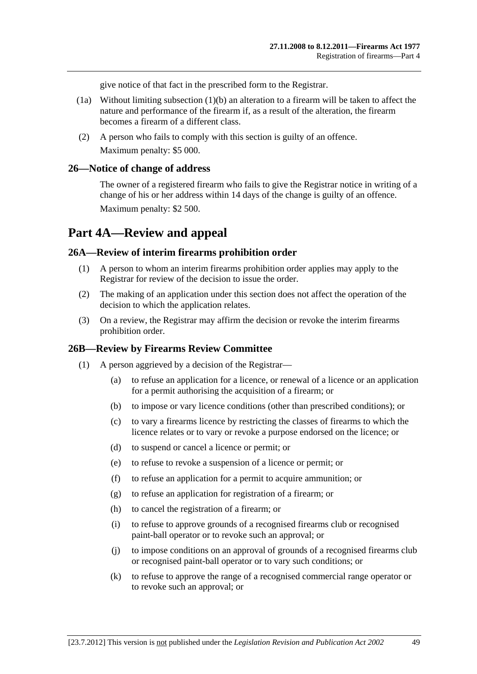give notice of that fact in the prescribed form to the Registrar.

- (1a) Without limiting [subsection \(1\)\(b\)](#page-47-0) an alteration to a firearm will be taken to affect the nature and performance of the firearm if, as a result of the alteration, the firearm becomes a firearm of a different class.
- (2) A person who fails to comply with this section is guilty of an offence. Maximum penalty: \$5 000.

#### **26—Notice of change of address**

The owner of a registered firearm who fails to give the Registrar notice in writing of a change of his or her address within 14 days of the change is guilty of an offence. Maximum penalty: \$2 500.

# **Part 4A—Review and appeal**

#### **26A—Review of interim firearms prohibition order**

- (1) A person to whom an interim firearms prohibition order applies may apply to the Registrar for review of the decision to issue the order.
- (2) The making of an application under this section does not affect the operation of the decision to which the application relates.
- (3) On a review, the Registrar may affirm the decision or revoke the interim firearms prohibition order.

#### **26B—Review by Firearms Review Committee**

- (1) A person aggrieved by a decision of the Registrar—
	- (a) to refuse an application for a licence, or renewal of a licence or an application for a permit authorising the acquisition of a firearm; or
	- (b) to impose or vary licence conditions (other than prescribed conditions); or
	- (c) to vary a firearms licence by restricting the classes of firearms to which the licence relates or to vary or revoke a purpose endorsed on the licence; or
	- (d) to suspend or cancel a licence or permit; or
	- (e) to refuse to revoke a suspension of a licence or permit; or
	- (f) to refuse an application for a permit to acquire ammunition; or
	- (g) to refuse an application for registration of a firearm; or
	- (h) to cancel the registration of a firearm; or
	- (i) to refuse to approve grounds of a recognised firearms club or recognised paint-ball operator or to revoke such an approval; or
	- (j) to impose conditions on an approval of grounds of a recognised firearms club or recognised paint-ball operator or to vary such conditions; or
	- (k) to refuse to approve the range of a recognised commercial range operator or to revoke such an approval; or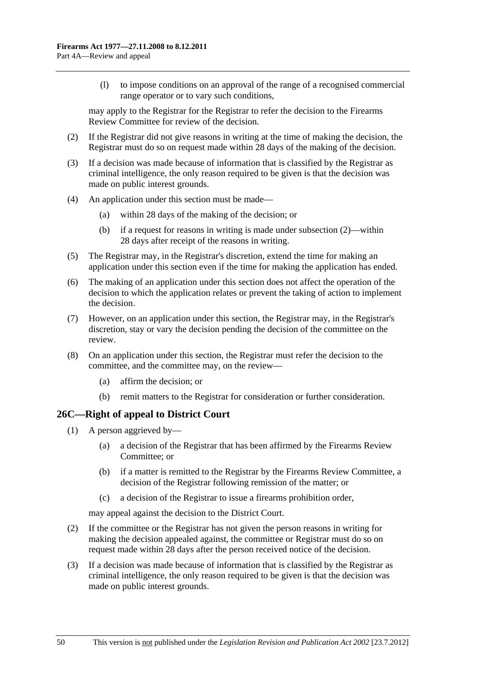<span id="page-49-0"></span> (l) to impose conditions on an approval of the range of a recognised commercial range operator or to vary such conditions,

may apply to the Registrar for the Registrar to refer the decision to the Firearms Review Committee for review of the decision.

- (2) If the Registrar did not give reasons in writing at the time of making the decision, the Registrar must do so on request made within 28 days of the making of the decision.
- (3) If a decision was made because of information that is classified by the Registrar as criminal intelligence, the only reason required to be given is that the decision was made on public interest grounds.
- (4) An application under this section must be made—
	- (a) within 28 days of the making of the decision; or
	- (b) if a request for reasons in writing is made under [subsection \(2\)](#page-49-0)—within 28 days after receipt of the reasons in writing.
- (5) The Registrar may, in the Registrar's discretion, extend the time for making an application under this section even if the time for making the application has ended.
- (6) The making of an application under this section does not affect the operation of the decision to which the application relates or prevent the taking of action to implement the decision.
- (7) However, on an application under this section, the Registrar may, in the Registrar's discretion, stay or vary the decision pending the decision of the committee on the review.
- (8) On an application under this section, the Registrar must refer the decision to the committee, and the committee may, on the review—
	- (a) affirm the decision; or
	- (b) remit matters to the Registrar for consideration or further consideration.

# **26C—Right of appeal to District Court**

- (1) A person aggrieved by—
	- (a) a decision of the Registrar that has been affirmed by the Firearms Review Committee; or
	- (b) if a matter is remitted to the Registrar by the Firearms Review Committee, a decision of the Registrar following remission of the matter; or
	- (c) a decision of the Registrar to issue a firearms prohibition order,

may appeal against the decision to the District Court.

- (2) If the committee or the Registrar has not given the person reasons in writing for making the decision appealed against, the committee or Registrar must do so on request made within 28 days after the person received notice of the decision.
- (3) If a decision was made because of information that is classified by the Registrar as criminal intelligence, the only reason required to be given is that the decision was made on public interest grounds.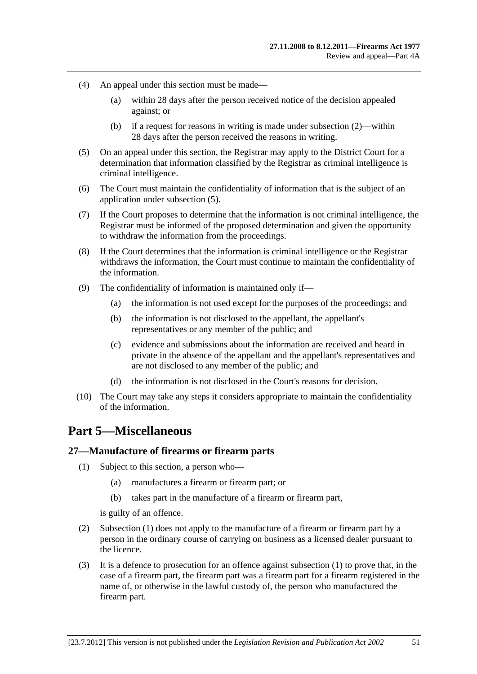- <span id="page-50-0"></span> (4) An appeal under this section must be made—
	- (a) within 28 days after the person received notice of the decision appealed against; or
	- (b) if a request for reasons in writing is made under [subsection \(2\)](#page-49-0)—within 28 days after the person received the reasons in writing.
- (5) On an appeal under this section, the Registrar may apply to the District Court for a determination that information classified by the Registrar as criminal intelligence is criminal intelligence.
- (6) The Court must maintain the confidentiality of information that is the subject of an application under [subsection \(5\).](#page-50-0)
- (7) If the Court proposes to determine that the information is not criminal intelligence, the Registrar must be informed of the proposed determination and given the opportunity to withdraw the information from the proceedings.
- (8) If the Court determines that the information is criminal intelligence or the Registrar withdraws the information, the Court must continue to maintain the confidentiality of the information.
- (9) The confidentiality of information is maintained only if—
	- (a) the information is not used except for the purposes of the proceedings; and
	- (b) the information is not disclosed to the appellant, the appellant's representatives or any member of the public; and
	- (c) evidence and submissions about the information are received and heard in private in the absence of the appellant and the appellant's representatives and are not disclosed to any member of the public; and
	- (d) the information is not disclosed in the Court's reasons for decision.
- (10) The Court may take any steps it considers appropriate to maintain the confidentiality of the information.

# **Part 5—Miscellaneous**

#### **27—Manufacture of firearms or firearm parts**

- (1) Subject to this section, a person who—
	- (a) manufactures a firearm or firearm part; or
	- (b) takes part in the manufacture of a firearm or firearm part,

is guilty of an offence.

- (2) [Subsection \(1\)](#page-50-0) does not apply to the manufacture of a firearm or firearm part by a person in the ordinary course of carrying on business as a licensed dealer pursuant to the licence.
- (3) It is a defence to prosecution for an offence against [subsection \(1\)](#page-50-0) to prove that, in the case of a firearm part, the firearm part was a firearm part for a firearm registered in the name of, or otherwise in the lawful custody of, the person who manufactured the firearm part.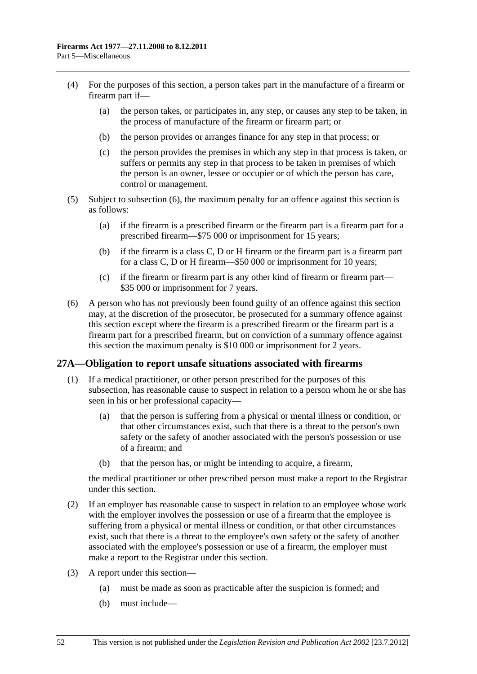- <span id="page-51-0"></span> (4) For the purposes of this section, a person takes part in the manufacture of a firearm or firearm part if—
	- (a) the person takes, or participates in, any step, or causes any step to be taken, in the process of manufacture of the firearm or firearm part; or
	- (b) the person provides or arranges finance for any step in that process; or
	- (c) the person provides the premises in which any step in that process is taken, or suffers or permits any step in that process to be taken in premises of which the person is an owner, lessee or occupier or of which the person has care, control or management.
- (5) Subject to [subsection \(6\),](#page-51-0) the maximum penalty for an offence against this section is as follows:
	- (a) if the firearm is a prescribed firearm or the firearm part is a firearm part for a prescribed firearm—\$75 000 or imprisonment for 15 years;
	- (b) if the firearm is a class C, D or H firearm or the firearm part is a firearm part for a class C, D or H firearm—\$50 000 or imprisonment for 10 years;
	- (c) if the firearm or firearm part is any other kind of firearm or firearm part— \$35 000 or imprisonment for 7 years.
- (6) A person who has not previously been found guilty of an offence against this section may, at the discretion of the prosecutor, be prosecuted for a summary offence against this section except where the firearm is a prescribed firearm or the firearm part is a firearm part for a prescribed firearm, but on conviction of a summary offence against this section the maximum penalty is \$10 000 or imprisonment for 2 years.

#### **27A—Obligation to report unsafe situations associated with firearms**

- (1) If a medical practitioner, or other person prescribed for the purposes of this subsection, has reasonable cause to suspect in relation to a person whom he or she has seen in his or her professional capacity—
	- (a) that the person is suffering from a physical or mental illness or condition, or that other circumstances exist, such that there is a threat to the person's own safety or the safety of another associated with the person's possession or use of a firearm; and
	- (b) that the person has, or might be intending to acquire, a firearm,

the medical practitioner or other prescribed person must make a report to the Registrar under this section.

- (2) If an employer has reasonable cause to suspect in relation to an employee whose work with the employer involves the possession or use of a firearm that the employee is suffering from a physical or mental illness or condition, or that other circumstances exist, such that there is a threat to the employee's own safety or the safety of another associated with the employee's possession or use of a firearm, the employer must make a report to the Registrar under this section.
- (3) A report under this section—
	- (a) must be made as soon as practicable after the suspicion is formed; and
	- (b) must include—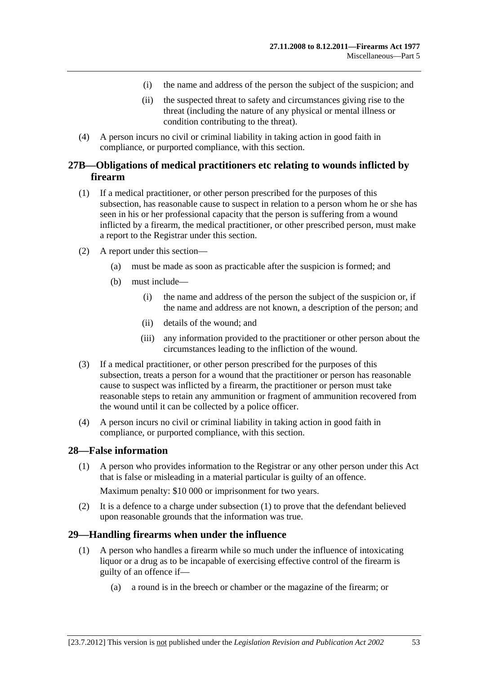- (i) the name and address of the person the subject of the suspicion; and
- (ii) the suspected threat to safety and circumstances giving rise to the threat (including the nature of any physical or mental illness or condition contributing to the threat).
- <span id="page-52-0"></span> (4) A person incurs no civil or criminal liability in taking action in good faith in compliance, or purported compliance, with this section.

# **27B—Obligations of medical practitioners etc relating to wounds inflicted by firearm**

- (1) If a medical practitioner, or other person prescribed for the purposes of this subsection, has reasonable cause to suspect in relation to a person whom he or she has seen in his or her professional capacity that the person is suffering from a wound inflicted by a firearm, the medical practitioner, or other prescribed person, must make a report to the Registrar under this section.
- (2) A report under this section—
	- (a) must be made as soon as practicable after the suspicion is formed; and
	- (b) must include—
		- (i) the name and address of the person the subject of the suspicion or, if the name and address are not known, a description of the person; and
		- (ii) details of the wound; and
		- (iii) any information provided to the practitioner or other person about the circumstances leading to the infliction of the wound.
- (3) If a medical practitioner, or other person prescribed for the purposes of this subsection, treats a person for a wound that the practitioner or person has reasonable cause to suspect was inflicted by a firearm, the practitioner or person must take reasonable steps to retain any ammunition or fragment of ammunition recovered from the wound until it can be collected by a police officer.
- (4) A person incurs no civil or criminal liability in taking action in good faith in compliance, or purported compliance, with this section.

#### **28—False information**

 (1) A person who provides information to the Registrar or any other person under this Act that is false or misleading in a material particular is guilty of an offence.

Maximum penalty: \$10 000 or imprisonment for two years.

 (2) It is a defence to a charge under [subsection \(1\)](#page-52-0) to prove that the defendant believed upon reasonable grounds that the information was true.

#### **29—Handling firearms when under the influence**

- (1) A person who handles a firearm while so much under the influence of intoxicating liquor or a drug as to be incapable of exercising effective control of the firearm is guilty of an offence if—
	- (a) a round is in the breech or chamber or the magazine of the firearm; or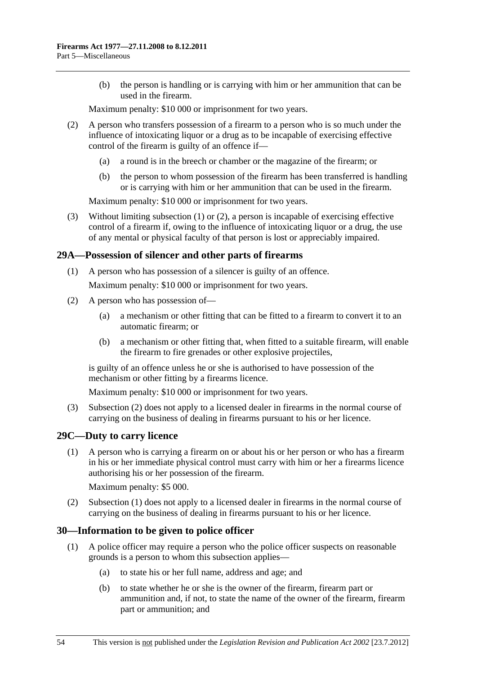<span id="page-53-0"></span> (b) the person is handling or is carrying with him or her ammunition that can be used in the firearm.

Maximum penalty: \$10 000 or imprisonment for two years.

- (2) A person who transfers possession of a firearm to a person who is so much under the influence of intoxicating liquor or a drug as to be incapable of exercising effective control of the firearm is guilty of an offence if—
	- (a) a round is in the breech or chamber or the magazine of the firearm; or
	- (b) the person to whom possession of the firearm has been transferred is handling or is carrying with him or her ammunition that can be used in the firearm.

Maximum penalty: \$10 000 or imprisonment for two years.

 (3) Without limiting [subsection \(1\)](#page-52-0) or [\(2\)](#page-53-0), a person is incapable of exercising effective control of a firearm if, owing to the influence of intoxicating liquor or a drug, the use of any mental or physical faculty of that person is lost or appreciably impaired.

# **29A—Possession of silencer and other parts of firearms**

(1) A person who has possession of a silencer is guilty of an offence.

Maximum penalty: \$10 000 or imprisonment for two years.

- (2) A person who has possession of—
	- (a) a mechanism or other fitting that can be fitted to a firearm to convert it to an automatic firearm; or
	- (b) a mechanism or other fitting that, when fitted to a suitable firearm, will enable the firearm to fire grenades or other explosive projectiles,

is guilty of an offence unless he or she is authorised to have possession of the mechanism or other fitting by a firearms licence.

Maximum penalty: \$10 000 or imprisonment for two years.

 (3) [Subsection \(2\)](#page-53-0) does not apply to a licensed dealer in firearms in the normal course of carrying on the business of dealing in firearms pursuant to his or her licence.

# **29C—Duty to carry licence**

 (1) A person who is carrying a firearm on or about his or her person or who has a firearm in his or her immediate physical control must carry with him or her a firearms licence authorising his or her possession of the firearm.

Maximum penalty: \$5 000.

 (2) [Subsection \(1\)](#page-53-0) does not apply to a licensed dealer in firearms in the normal course of carrying on the business of dealing in firearms pursuant to his or her licence.

# **30—Information to be given to police officer**

- (1) A police officer may require a person who the police officer suspects on reasonable grounds is a person to whom this subsection applies—
	- (a) to state his or her full name, address and age; and
	- (b) to state whether he or she is the owner of the firearm, firearm part or ammunition and, if not, to state the name of the owner of the firearm, firearm part or ammunition; and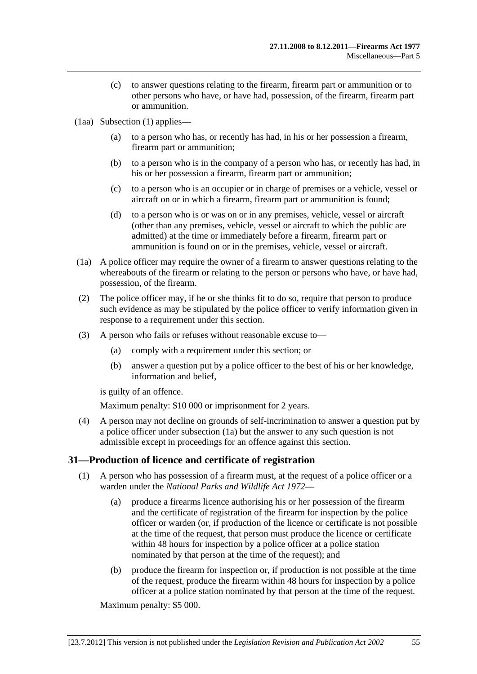- <span id="page-54-0"></span> (c) to answer questions relating to the firearm, firearm part or ammunition or to other persons who have, or have had, possession, of the firearm, firearm part or ammunition.
- (1aa) [Subsection \(1\)](#page-53-0) applies—
	- (a) to a person who has, or recently has had, in his or her possession a firearm, firearm part or ammunition;
	- (b) to a person who is in the company of a person who has, or recently has had, in his or her possession a firearm, firearm part or ammunition;
	- (c) to a person who is an occupier or in charge of premises or a vehicle, vessel or aircraft on or in which a firearm, firearm part or ammunition is found;
	- (d) to a person who is or was on or in any premises, vehicle, vessel or aircraft (other than any premises, vehicle, vessel or aircraft to which the public are admitted) at the time or immediately before a firearm, firearm part or ammunition is found on or in the premises, vehicle, vessel or aircraft.
- (1a) A police officer may require the owner of a firearm to answer questions relating to the whereabouts of the firearm or relating to the person or persons who have, or have had, possession, of the firearm.
- (2) The police officer may, if he or she thinks fit to do so, require that person to produce such evidence as may be stipulated by the police officer to verify information given in response to a requirement under this section.
- (3) A person who fails or refuses without reasonable excuse to—
	- (a) comply with a requirement under this section; or
	- (b) answer a question put by a police officer to the best of his or her knowledge, information and belief,

is guilty of an offence.

Maximum penalty: \$10 000 or imprisonment for 2 years.

 (4) A person may not decline on grounds of self-incrimination to answer a question put by a police officer under [subsection \(1a\)](#page-54-0) but the answer to any such question is not admissible except in proceedings for an offence against this section.

# **31—Production of licence and certificate of registration**

- (1) A person who has possession of a firearm must, at the request of a police officer or a warden under the *[National Parks and Wildlife Act 1972](http://www.legislation.sa.gov.au/index.aspx?action=legref&type=act&legtitle=National%20Parks%20and%20Wildlife%20Act%201972)*—
	- (a) produce a firearms licence authorising his or her possession of the firearm and the certificate of registration of the firearm for inspection by the police officer or warden (or, if production of the licence or certificate is not possible at the time of the request, that person must produce the licence or certificate within 48 hours for inspection by a police officer at a police station nominated by that person at the time of the request); and
	- (b) produce the firearm for inspection or, if production is not possible at the time of the request, produce the firearm within 48 hours for inspection by a police officer at a police station nominated by that person at the time of the request.

Maximum penalty: \$5 000.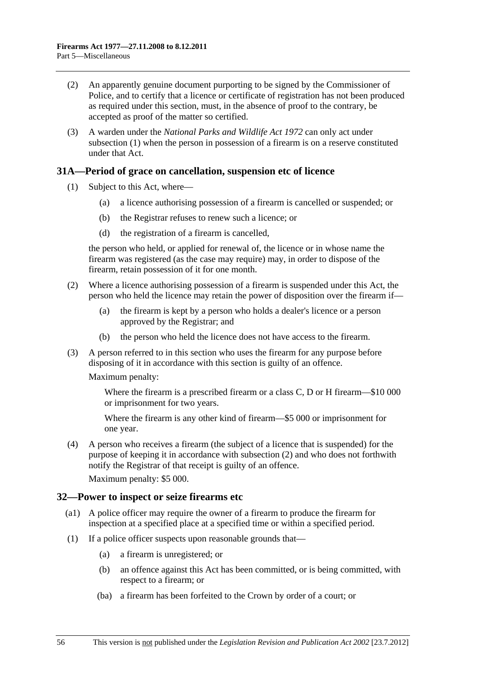- <span id="page-55-0"></span> (2) An apparently genuine document purporting to be signed by the Commissioner of Police, and to certify that a licence or certificate of registration has not been produced as required under this section, must, in the absence of proof to the contrary, be accepted as proof of the matter so certified.
- (3) A warden under the *[National Parks and Wildlife Act 1972](http://www.legislation.sa.gov.au/index.aspx?action=legref&type=act&legtitle=National%20Parks%20and%20Wildlife%20Act%201972)* can only act under [subsection \(1\)](#page-54-0) when the person in possession of a firearm is on a reserve constituted under that Act.

#### **31A—Period of grace on cancellation, suspension etc of licence**

- (1) Subject to this Act, where—
	- (a) a licence authorising possession of a firearm is cancelled or suspended; or
	- (b) the Registrar refuses to renew such a licence; or
	- (d) the registration of a firearm is cancelled,

the person who held, or applied for renewal of, the licence or in whose name the firearm was registered (as the case may require) may, in order to dispose of the firearm, retain possession of it for one month.

- (2) Where a licence authorising possession of a firearm is suspended under this Act, the person who held the licence may retain the power of disposition over the firearm if—
	- (a) the firearm is kept by a person who holds a dealer's licence or a person approved by the Registrar; and
	- (b) the person who held the licence does not have access to the firearm.
- (3) A person referred to in this section who uses the firearm for any purpose before disposing of it in accordance with this section is guilty of an offence.

Maximum penalty:

Where the firearm is a prescribed firearm or a class C, D or H firearm—\$10 000 or imprisonment for two years.

Where the firearm is any other kind of firearm—\$5 000 or imprisonment for one year.

 (4) A person who receives a firearm (the subject of a licence that is suspended) for the purpose of keeping it in accordance with [subsection \(2\)](#page-55-0) and who does not forthwith notify the Registrar of that receipt is guilty of an offence.

Maximum penalty: \$5 000.

#### **32—Power to inspect or seize firearms etc**

- (a1) A police officer may require the owner of a firearm to produce the firearm for inspection at a specified place at a specified time or within a specified period.
- (1) If a police officer suspects upon reasonable grounds that—
	- (a) a firearm is unregistered; or
	- (b) an offence against this Act has been committed, or is being committed, with respect to a firearm; or
	- (ba) a firearm has been forfeited to the Crown by order of a court; or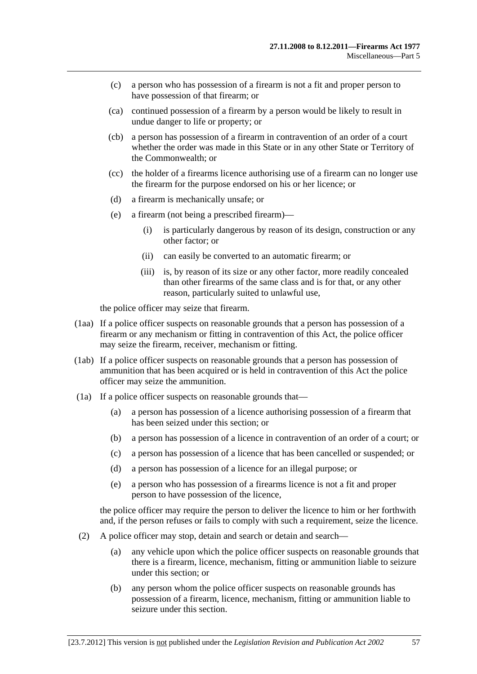- (c) a person who has possession of a firearm is not a fit and proper person to have possession of that firearm; or
- (ca) continued possession of a firearm by a person would be likely to result in undue danger to life or property; or
- (cb) a person has possession of a firearm in contravention of an order of a court whether the order was made in this State or in any other State or Territory of the Commonwealth; or
- (cc) the holder of a firearms licence authorising use of a firearm can no longer use the firearm for the purpose endorsed on his or her licence; or
- (d) a firearm is mechanically unsafe; or
- (e) a firearm (not being a prescribed firearm)—
	- (i) is particularly dangerous by reason of its design, construction or any other factor; or
	- (ii) can easily be converted to an automatic firearm; or
	- (iii) is, by reason of its size or any other factor, more readily concealed than other firearms of the same class and is for that, or any other reason, particularly suited to unlawful use,

the police officer may seize that firearm.

- (1aa) If a police officer suspects on reasonable grounds that a person has possession of a firearm or any mechanism or fitting in contravention of this Act, the police officer may seize the firearm, receiver, mechanism or fitting.
- (1ab) If a police officer suspects on reasonable grounds that a person has possession of ammunition that has been acquired or is held in contravention of this Act the police officer may seize the ammunition.
- (1a) If a police officer suspects on reasonable grounds that—
	- (a) a person has possession of a licence authorising possession of a firearm that has been seized under this section; or
	- (b) a person has possession of a licence in contravention of an order of a court; or
	- (c) a person has possession of a licence that has been cancelled or suspended; or
	- (d) a person has possession of a licence for an illegal purpose; or
	- (e) a person who has possession of a firearms licence is not a fit and proper person to have possession of the licence,

the police officer may require the person to deliver the licence to him or her forthwith and, if the person refuses or fails to comply with such a requirement, seize the licence.

- (2) A police officer may stop, detain and search or detain and search—
	- (a) any vehicle upon which the police officer suspects on reasonable grounds that there is a firearm, licence, mechanism, fitting or ammunition liable to seizure under this section; or
	- (b) any person whom the police officer suspects on reasonable grounds has possession of a firearm, licence, mechanism, fitting or ammunition liable to seizure under this section.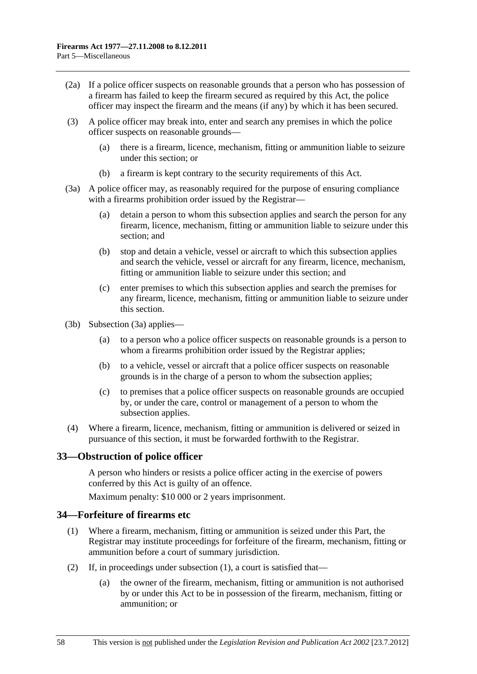- <span id="page-57-0"></span> (2a) If a police officer suspects on reasonable grounds that a person who has possession of a firearm has failed to keep the firearm secured as required by this Act, the police officer may inspect the firearm and the means (if any) by which it has been secured.
- (3) A police officer may break into, enter and search any premises in which the police officer suspects on reasonable grounds—
	- (a) there is a firearm, licence, mechanism, fitting or ammunition liable to seizure under this section; or
	- (b) a firearm is kept contrary to the security requirements of this Act.
- (3a) A police officer may, as reasonably required for the purpose of ensuring compliance with a firearms prohibition order issued by the Registrar—
	- (a) detain a person to whom this subsection applies and search the person for any firearm, licence, mechanism, fitting or ammunition liable to seizure under this section; and
	- (b) stop and detain a vehicle, vessel or aircraft to which this subsection applies and search the vehicle, vessel or aircraft for any firearm, licence, mechanism, fitting or ammunition liable to seizure under this section; and
	- (c) enter premises to which this subsection applies and search the premises for any firearm, licence, mechanism, fitting or ammunition liable to seizure under this section.
- (3b) [Subsection \(3a\)](#page-57-0) applies—
	- (a) to a person who a police officer suspects on reasonable grounds is a person to whom a firearms prohibition order issued by the Registrar applies;
	- (b) to a vehicle, vessel or aircraft that a police officer suspects on reasonable grounds is in the charge of a person to whom the subsection applies;
	- (c) to premises that a police officer suspects on reasonable grounds are occupied by, or under the care, control or management of a person to whom the subsection applies.
- (4) Where a firearm, licence, mechanism, fitting or ammunition is delivered or seized in pursuance of this section, it must be forwarded forthwith to the Registrar.

# **33—Obstruction of police officer**

A person who hinders or resists a police officer acting in the exercise of powers conferred by this Act is guilty of an offence.

Maximum penalty: \$10 000 or 2 years imprisonment.

#### **34—Forfeiture of firearms etc**

- (1) Where a firearm, mechanism, fitting or ammunition is seized under this Part, the Registrar may institute proceedings for forfeiture of the firearm, mechanism, fitting or ammunition before a court of summary jurisdiction.
- (2) If, in proceedings under [subsection \(1\)](#page-57-0), a court is satisfied that—
	- (a) the owner of the firearm, mechanism, fitting or ammunition is not authorised by or under this Act to be in possession of the firearm, mechanism, fitting or ammunition; or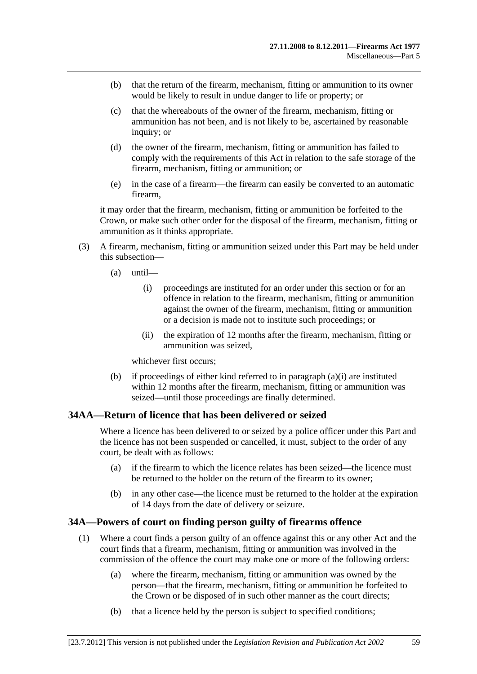- <span id="page-58-0"></span> (b) that the return of the firearm, mechanism, fitting or ammunition to its owner would be likely to result in undue danger to life or property; or
- (c) that the whereabouts of the owner of the firearm, mechanism, fitting or ammunition has not been, and is not likely to be, ascertained by reasonable inquiry; or
- (d) the owner of the firearm, mechanism, fitting or ammunition has failed to comply with the requirements of this Act in relation to the safe storage of the firearm, mechanism, fitting or ammunition; or
- (e) in the case of a firearm—the firearm can easily be converted to an automatic firearm,

it may order that the firearm, mechanism, fitting or ammunition be forfeited to the Crown, or make such other order for the disposal of the firearm, mechanism, fitting or ammunition as it thinks appropriate.

- (3) A firearm, mechanism, fitting or ammunition seized under this Part may be held under this subsection—
	- (a) until—
		- (i) proceedings are instituted for an order under this section or for an offence in relation to the firearm, mechanism, fitting or ammunition against the owner of the firearm, mechanism, fitting or ammunition or a decision is made not to institute such proceedings; or
		- (ii) the expiration of 12 months after the firearm, mechanism, fitting or ammunition was seized,

whichever first occurs;

 (b) if proceedings of either kind referred to in [paragraph \(a\)\(i\)](#page-58-0) are instituted within 12 months after the firearm, mechanism, fitting or ammunition was seized—until those proceedings are finally determined.

# **34AA—Return of licence that has been delivered or seized**

Where a licence has been delivered to or seized by a police officer under this Part and the licence has not been suspended or cancelled, it must, subject to the order of any court, be dealt with as follows:

- (a) if the firearm to which the licence relates has been seized—the licence must be returned to the holder on the return of the firearm to its owner;
- (b) in any other case—the licence must be returned to the holder at the expiration of 14 days from the date of delivery or seizure.

# **34A—Powers of court on finding person guilty of firearms offence**

- (1) Where a court finds a person guilty of an offence against this or any other Act and the court finds that a firearm, mechanism, fitting or ammunition was involved in the commission of the offence the court may make one or more of the following orders:
	- (a) where the firearm, mechanism, fitting or ammunition was owned by the person—that the firearm, mechanism, fitting or ammunition be forfeited to the Crown or be disposed of in such other manner as the court directs;
	- (b) that a licence held by the person is subject to specified conditions;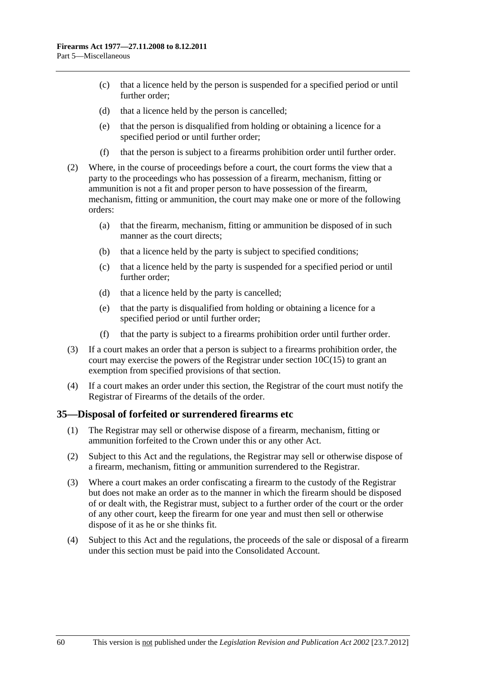- (c) that a licence held by the person is suspended for a specified period or until further order;
- (d) that a licence held by the person is cancelled;
- (e) that the person is disqualified from holding or obtaining a licence for a specified period or until further order;
- (f) that the person is subject to a firearms prohibition order until further order.
- (2) Where, in the course of proceedings before a court, the court forms the view that a party to the proceedings who has possession of a firearm, mechanism, fitting or ammunition is not a fit and proper person to have possession of the firearm, mechanism, fitting or ammunition, the court may make one or more of the following orders:
	- (a) that the firearm, mechanism, fitting or ammunition be disposed of in such manner as the court directs;
	- (b) that a licence held by the party is subject to specified conditions;
	- (c) that a licence held by the party is suspended for a specified period or until further order;
	- (d) that a licence held by the party is cancelled;
	- (e) that the party is disqualified from holding or obtaining a licence for a specified period or until further order;
	- (f) that the party is subject to a firearms prohibition order until further order.
- (3) If a court makes an order that a person is subject to a firearms prohibition order, the court may exercise the powers of the Registrar under section  $10C(15)$  to grant an exemption from specified provisions of that section.
- (4) If a court makes an order under this section, the Registrar of the court must notify the Registrar of Firearms of the details of the order.

# **35—Disposal of forfeited or surrendered firearms etc**

- (1) The Registrar may sell or otherwise dispose of a firearm, mechanism, fitting or ammunition forfeited to the Crown under this or any other Act.
- (2) Subject to this Act and the regulations, the Registrar may sell or otherwise dispose of a firearm, mechanism, fitting or ammunition surrendered to the Registrar.
- (3) Where a court makes an order confiscating a firearm to the custody of the Registrar but does not make an order as to the manner in which the firearm should be disposed of or dealt with, the Registrar must, subject to a further order of the court or the order of any other court, keep the firearm for one year and must then sell or otherwise dispose of it as he or she thinks fit.
- (4) Subject to this Act and the regulations, the proceeds of the sale or disposal of a firearm under this section must be paid into the Consolidated Account.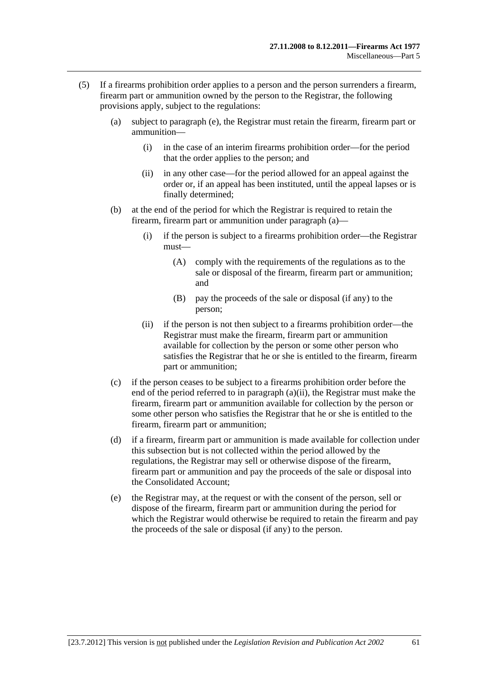- <span id="page-60-0"></span> (5) If a firearms prohibition order applies to a person and the person surrenders a firearm, firearm part or ammunition owned by the person to the Registrar, the following provisions apply, subject to the regulations:
	- (a) subject to [paragraph \(e\)](#page-60-0), the Registrar must retain the firearm, firearm part or ammunition—
		- (i) in the case of an interim firearms prohibition order—for the period that the order applies to the person; and
		- (ii) in any other case—for the period allowed for an appeal against the order or, if an appeal has been instituted, until the appeal lapses or is finally determined;
	- (b) at the end of the period for which the Registrar is required to retain the firearm, firearm part or ammunition under [paragraph \(a\)](#page-60-0)—
		- (i) if the person is subject to a firearms prohibition order—the Registrar must—
			- (A) comply with the requirements of the regulations as to the sale or disposal of the firearm, firearm part or ammunition; and
			- (B) pay the proceeds of the sale or disposal (if any) to the person;
		- (ii) if the person is not then subject to a firearms prohibition order—the Registrar must make the firearm, firearm part or ammunition available for collection by the person or some other person who satisfies the Registrar that he or she is entitled to the firearm, firearm part or ammunition;
	- (c) if the person ceases to be subject to a firearms prohibition order before the end of the period referred to in [paragraph \(a\)\(ii\)](#page-60-0), the Registrar must make the firearm, firearm part or ammunition available for collection by the person or some other person who satisfies the Registrar that he or she is entitled to the firearm, firearm part or ammunition;
	- (d) if a firearm, firearm part or ammunition is made available for collection under this subsection but is not collected within the period allowed by the regulations, the Registrar may sell or otherwise dispose of the firearm, firearm part or ammunition and pay the proceeds of the sale or disposal into the Consolidated Account;
	- (e) the Registrar may, at the request or with the consent of the person, sell or dispose of the firearm, firearm part or ammunition during the period for which the Registrar would otherwise be required to retain the firearm and pay the proceeds of the sale or disposal (if any) to the person.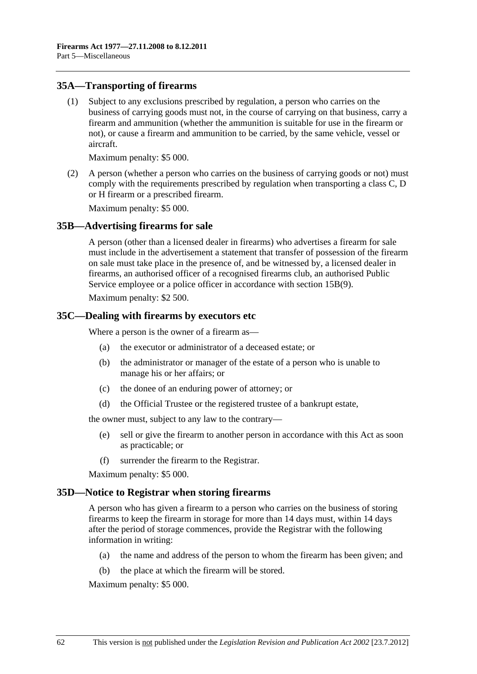#### **35A—Transporting of firearms**

 (1) Subject to any exclusions prescribed by regulation, a person who carries on the business of carrying goods must not, in the course of carrying on that business, carry a firearm and ammunition (whether the ammunition is suitable for use in the firearm or not), or cause a firearm and ammunition to be carried, by the same vehicle, vessel or aircraft.

Maximum penalty: \$5 000.

 (2) A person (whether a person who carries on the business of carrying goods or not) must comply with the requirements prescribed by regulation when transporting a class C, D or H firearm or a prescribed firearm.

Maximum penalty: \$5 000.

#### **35B—Advertising firearms for sale**

A person (other than a licensed dealer in firearms) who advertises a firearm for sale must include in the advertisement a statement that transfer of possession of the firearm on sale must take place in the presence of, and be witnessed by, a licensed dealer in firearms, an authorised officer of a recognised firearms club, an authorised Public Service employee or a police officer in accordance with [section 15B\(9\)](#page-32-0).

Maximum penalty: \$2 500.

#### **35C—Dealing with firearms by executors etc**

Where a person is the owner of a firearm as—

- (a) the executor or administrator of a deceased estate; or
- (b) the administrator or manager of the estate of a person who is unable to manage his or her affairs; or
- (c) the donee of an enduring power of attorney; or
- (d) the Official Trustee or the registered trustee of a bankrupt estate,

the owner must, subject to any law to the contrary—

- (e) sell or give the firearm to another person in accordance with this Act as soon as practicable; or
- (f) surrender the firearm to the Registrar.

Maximum penalty: \$5 000.

#### **35D—Notice to Registrar when storing firearms**

A person who has given a firearm to a person who carries on the business of storing firearms to keep the firearm in storage for more than 14 days must, within 14 days after the period of storage commences, provide the Registrar with the following information in writing:

- (a) the name and address of the person to whom the firearm has been given; and
- (b) the place at which the firearm will be stored.

Maximum penalty: \$5 000.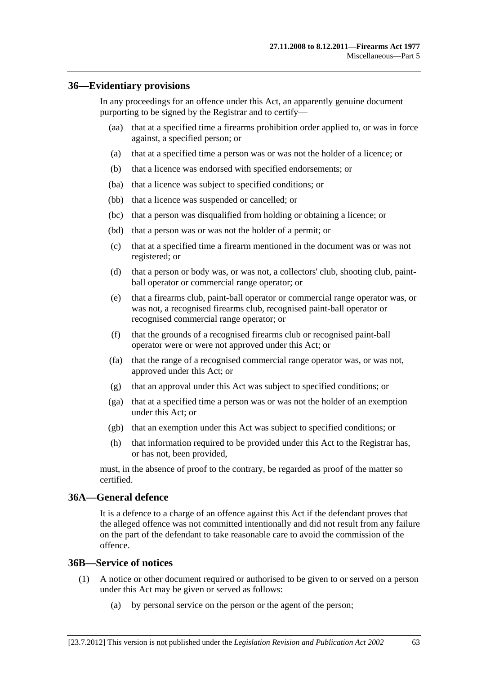#### **36—Evidentiary provisions**

In any proceedings for an offence under this Act, an apparently genuine document purporting to be signed by the Registrar and to certify—

- (aa) that at a specified time a firearms prohibition order applied to, or was in force against, a specified person; or
- (a) that at a specified time a person was or was not the holder of a licence; or
- (b) that a licence was endorsed with specified endorsements; or
- (ba) that a licence was subject to specified conditions; or
- (bb) that a licence was suspended or cancelled; or
- (bc) that a person was disqualified from holding or obtaining a licence; or
- (bd) that a person was or was not the holder of a permit; or
- (c) that at a specified time a firearm mentioned in the document was or was not registered; or
- (d) that a person or body was, or was not, a collectors' club, shooting club, paintball operator or commercial range operator; or
- (e) that a firearms club, paint-ball operator or commercial range operator was, or was not, a recognised firearms club, recognised paint-ball operator or recognised commercial range operator; or
- (f) that the grounds of a recognised firearms club or recognised paint-ball operator were or were not approved under this Act; or
- (fa) that the range of a recognised commercial range operator was, or was not, approved under this Act; or
- (g) that an approval under this Act was subject to specified conditions; or
- (ga) that at a specified time a person was or was not the holder of an exemption under this Act; or
- (gb) that an exemption under this Act was subject to specified conditions; or
- (h) that information required to be provided under this Act to the Registrar has, or has not, been provided,

must, in the absence of proof to the contrary, be regarded as proof of the matter so certified.

#### **36A—General defence**

It is a defence to a charge of an offence against this Act if the defendant proves that the alleged offence was not committed intentionally and did not result from any failure on the part of the defendant to take reasonable care to avoid the commission of the offence.

#### **36B—Service of notices**

- (1) A notice or other document required or authorised to be given to or served on a person under this Act may be given or served as follows:
	- (a) by personal service on the person or the agent of the person;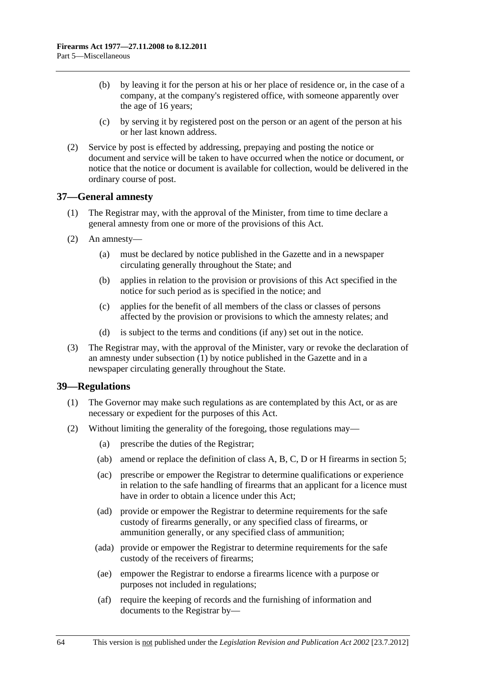- <span id="page-63-0"></span> (b) by leaving it for the person at his or her place of residence or, in the case of a company, at the company's registered office, with someone apparently over the age of 16 years;
- (c) by serving it by registered post on the person or an agent of the person at his or her last known address.
- (2) Service by post is effected by addressing, prepaying and posting the notice or document and service will be taken to have occurred when the notice or document, or notice that the notice or document is available for collection, would be delivered in the ordinary course of post.

#### **37—General amnesty**

- (1) The Registrar may, with the approval of the Minister, from time to time declare a general amnesty from one or more of the provisions of this Act.
- (2) An amnesty—
	- (a) must be declared by notice published in the Gazette and in a newspaper circulating generally throughout the State; and
	- (b) applies in relation to the provision or provisions of this Act specified in the notice for such period as is specified in the notice; and
	- (c) applies for the benefit of all members of the class or classes of persons affected by the provision or provisions to which the amnesty relates; and
	- (d) is subject to the terms and conditions (if any) set out in the notice.
- (3) The Registrar may, with the approval of the Minister, vary or revoke the declaration of an amnesty under [subsection \(1\)](#page-63-0) by notice published in the Gazette and in a newspaper circulating generally throughout the State.

# **39—Regulations**

- (1) The Governor may make such regulations as are contemplated by this Act, or as are necessary or expedient for the purposes of this Act.
- (2) Without limiting the generality of the foregoing, those regulations may—
	- (a) prescribe the duties of the Registrar;
	- (ab) amend or replace the definition of class A, B, C, D or H firearms in [section 5](#page-2-0);
	- (ac) prescribe or empower the Registrar to determine qualifications or experience in relation to the safe handling of firearms that an applicant for a licence must have in order to obtain a licence under this Act;
	- (ad) provide or empower the Registrar to determine requirements for the safe custody of firearms generally, or any specified class of firearms, or ammunition generally, or any specified class of ammunition;
	- (ada) provide or empower the Registrar to determine requirements for the safe custody of the receivers of firearms;
	- (ae) empower the Registrar to endorse a firearms licence with a purpose or purposes not included in regulations;
	- (af) require the keeping of records and the furnishing of information and documents to the Registrar by—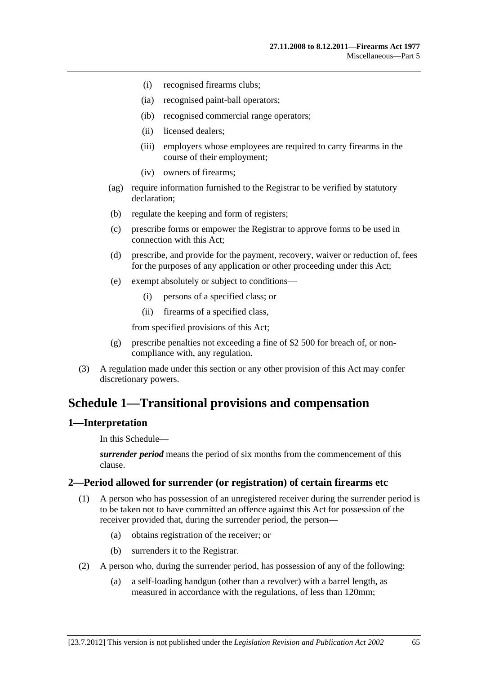- <span id="page-64-0"></span>(i) recognised firearms clubs;
- (ia) recognised paint-ball operators;
- (ib) recognised commercial range operators;
- (ii) licensed dealers;
- (iii) employers whose employees are required to carry firearms in the course of their employment;
- (iv) owners of firearms;
- (ag) require information furnished to the Registrar to be verified by statutory declaration;
- (b) regulate the keeping and form of registers;
- (c) prescribe forms or empower the Registrar to approve forms to be used in connection with this Act;
- (d) prescribe, and provide for the payment, recovery, waiver or reduction of, fees for the purposes of any application or other proceeding under this Act;
- (e) exempt absolutely or subject to conditions—
	- (i) persons of a specified class; or
	- (ii) firearms of a specified class,

from specified provisions of this Act;

- (g) prescribe penalties not exceeding a fine of \$2 500 for breach of, or noncompliance with, any regulation.
- (3) A regulation made under this section or any other provision of this Act may confer discretionary powers.

# **Schedule 1—Transitional provisions and compensation**

#### **1—Interpretation**

In this Schedule—

*surrender period* means the period of six months from the commencement of this clause.

# **2—Period allowed for surrender (or registration) of certain firearms etc**

- (1) A person who has possession of an unregistered receiver during the surrender period is to be taken not to have committed an offence against this Act for possession of the receiver provided that, during the surrender period, the person—
	- (a) obtains registration of the receiver; or
	- (b) surrenders it to the Registrar.
- (2) A person who, during the surrender period, has possession of any of the following:
	- (a) a self-loading handgun (other than a revolver) with a barrel length, as measured in accordance with the regulations, of less than 120mm;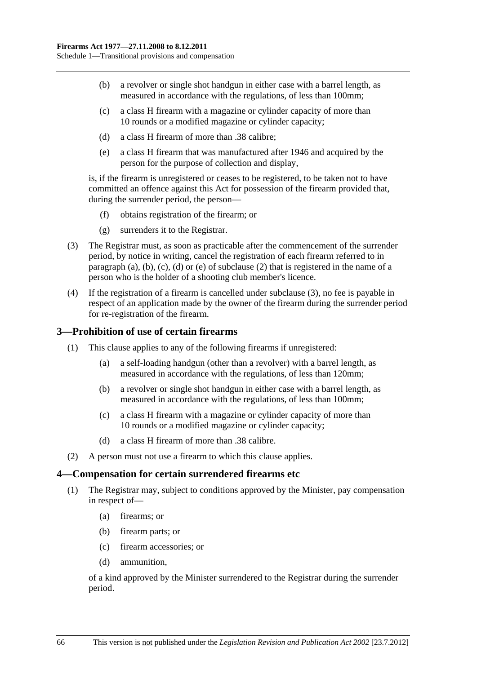- <span id="page-65-0"></span> (b) a revolver or single shot handgun in either case with a barrel length, as measured in accordance with the regulations, of less than 100mm;
- (c) a class H firearm with a magazine or cylinder capacity of more than 10 rounds or a modified magazine or cylinder capacity;
- (d) a class H firearm of more than .38 calibre;
- (e) a class H firearm that was manufactured after 1946 and acquired by the person for the purpose of collection and display,

is, if the firearm is unregistered or ceases to be registered, to be taken not to have committed an offence against this Act for possession of the firearm provided that, during the surrender period, the person—

- (f) obtains registration of the firearm; or
- (g) surrenders it to the Registrar.
- (3) The Registrar must, as soon as practicable after the commencement of the surrender period, by notice in writing, cancel the registration of each firearm referred to in [paragraph \(a\)](#page-64-0), [\(b\)](#page-65-0), [\(c\),](#page-65-0) [\(d\)](#page-65-0) or [\(e\)](#page-65-0) of [subclause \(2\)](#page-64-0) that is registered in the name of a person who is the holder of a shooting club member's licence.
- (4) If the registration of a firearm is cancelled under [subclause \(3\)](#page-65-0), no fee is payable in respect of an application made by the owner of the firearm during the surrender period for re-registration of the firearm.

# **3—Prohibition of use of certain firearms**

- (1) This clause applies to any of the following firearms if unregistered:
	- (a) a self-loading handgun (other than a revolver) with a barrel length, as measured in accordance with the regulations, of less than 120mm;
	- (b) a revolver or single shot handgun in either case with a barrel length, as measured in accordance with the regulations, of less than 100mm;
	- (c) a class H firearm with a magazine or cylinder capacity of more than 10 rounds or a modified magazine or cylinder capacity;
	- (d) a class H firearm of more than .38 calibre.
- (2) A person must not use a firearm to which this clause applies.

#### **4—Compensation for certain surrendered firearms etc**

- (1) The Registrar may, subject to conditions approved by the Minister, pay compensation in respect of—
	- (a) firearms; or
	- (b) firearm parts; or
	- (c) firearm accessories; or
	- (d) ammunition,

of a kind approved by the Minister surrendered to the Registrar during the surrender period.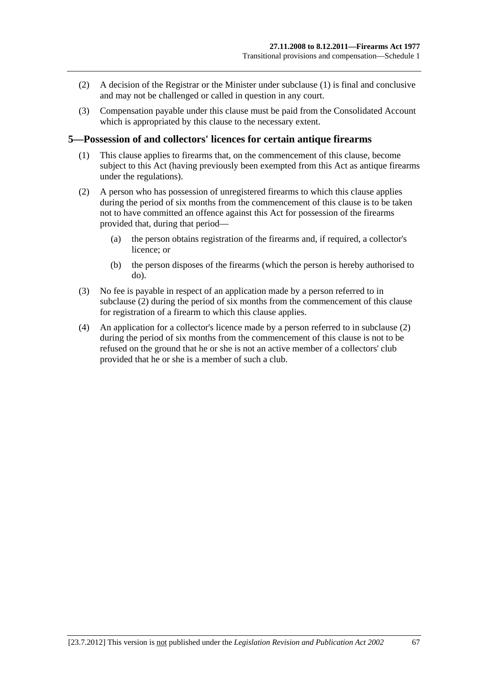- <span id="page-66-0"></span> (2) A decision of the Registrar or the Minister under [subclause \(1\)](#page-65-0) is final and conclusive and may not be challenged or called in question in any court.
- (3) Compensation payable under this clause must be paid from the Consolidated Account which is appropriated by this clause to the necessary extent.

# **5—Possession of and collectors' licences for certain antique firearms**

- (1) This clause applies to firearms that, on the commencement of this clause, become subject to this Act (having previously been exempted from this Act as antique firearms under the regulations).
- (2) A person who has possession of unregistered firearms to which this clause applies during the period of six months from the commencement of this clause is to be taken not to have committed an offence against this Act for possession of the firearms provided that, during that period—
	- (a) the person obtains registration of the firearms and, if required, a collector's licence; or
	- (b) the person disposes of the firearms (which the person is hereby authorised to do).
- (3) No fee is payable in respect of an application made by a person referred to in [subclause \(2\)](#page-66-0) during the period of six months from the commencement of this clause for registration of a firearm to which this clause applies.
- (4) An application for a collector's licence made by a person referred to in [subclause \(2\)](#page-66-0)  during the period of six months from the commencement of this clause is not to be refused on the ground that he or she is not an active member of a collectors' club provided that he or she is a member of such a club.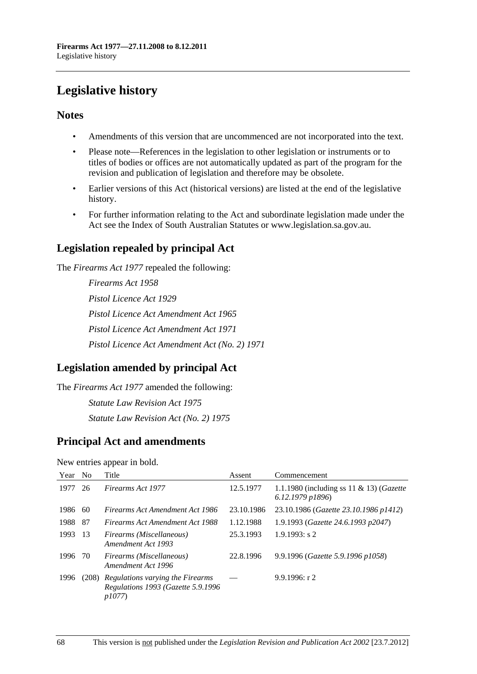# **Legislative history**

# **Notes**

- Amendments of this version that are uncommenced are not incorporated into the text.
- Please note—References in the legislation to other legislation or instruments or to titles of bodies or offices are not automatically updated as part of the program for the revision and publication of legislation and therefore may be obsolete.
- Earlier versions of this Act (historical versions) are listed at the end of the legislative history.
- For further information relating to the Act and subordinate legislation made under the Act see the Index of South Australian Statutes or www.legislation.sa.gov.au.

# **Legislation repealed by principal Act**

The *Firearms Act 1977* repealed the following:

*Firearms Act 1958 Pistol Licence Act 1929 Pistol Licence Act Amendment Act 1965 Pistol Licence Act Amendment Act 1971 Pistol Licence Act Amendment Act (No. 2) 1971*

# **Legislation amended by principal Act**

The *Firearms Act 1977* amended the following: *Statute Law Revision Act 1975 Statute Law Revision Act (No. 2) 1975*

# **Principal Act and amendments**

New entries appear in bold.

| Year | N <sub>o</sub> | Title                                                                                 | Assent     | Commencement                                                            |
|------|----------------|---------------------------------------------------------------------------------------|------------|-------------------------------------------------------------------------|
| 1977 | 26             | Firearms Act 1977                                                                     | 12.5.1977  | 1.1.1980 (including ss 11 & 13) ( <i>Gazette</i><br>$6.12.1979$ $p1896$ |
| 1986 | 60             | Firearms Act Amendment Act 1986                                                       | 23.10.1986 | 23.10.1986 (Gazette 23.10.1986 p1412)                                   |
| 1988 | -87            | <b>Firearms Act Amendment Act 1988</b>                                                | 1.12.1988  | 1.9.1993 (Gazette 24.6.1993 p2047)                                      |
| 1993 | -13            | Firearms (Miscellaneous)<br>Amendment Act 1993                                        | 25.3.1993  | $1.9.1993$ : s 2                                                        |
| 1996 | -70            | Firearms (Miscellaneous)<br>Amendment Act 1996                                        | 22.8.1996  | 9.9.1996 (Gazette 5.9.1996 p1058)                                       |
| 1996 |                | (208) Regulations varying the Firearms<br>Regulations 1993 (Gazette 5.9.1996<br>p1077 |            | 9.9.1996: r2                                                            |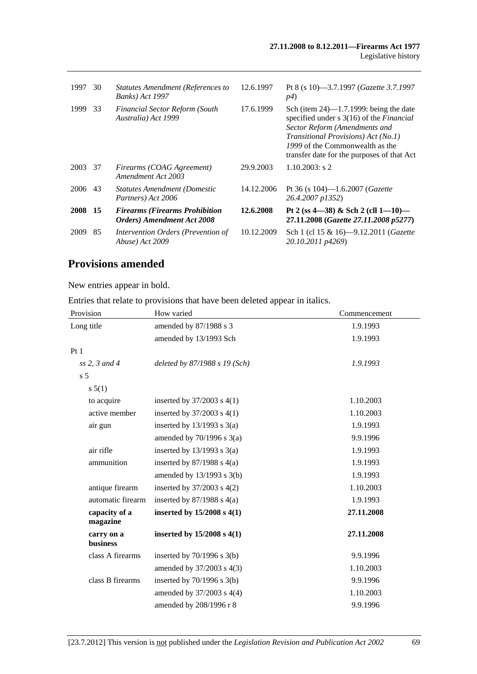| 1997 | 30  | <b>Statutes Amendment (References to</b><br><b>Banks</b> ) Act 1997          | 12.6.1997  | Pt 8 (s 10)-3.7.1997 ( <i>Gazette 3.7.1997</i><br><i>p4</i> )                                                                                                                                                                                                  |
|------|-----|------------------------------------------------------------------------------|------------|----------------------------------------------------------------------------------------------------------------------------------------------------------------------------------------------------------------------------------------------------------------|
| 1999 | 33  | <b>Financial Sector Reform (South</b><br>Australia) Act 1999                 | 17.6.1999  | Sch (item $24$ )—1.7.1999: being the date<br>specified under $s$ 3(16) of the <i>Financial</i><br>Sector Reform (Amendments and<br><i>Transitional Provisions)</i> Act (No.1)<br>1999 of the Commonwealth as the<br>transfer date for the purposes of that Act |
| 2003 | 37  | Firearms (COAG Agreement)<br>Amendment Act 2003                              | 29.9.2003  | $1.10.2003$ : s 2                                                                                                                                                                                                                                              |
| 2006 | 43  | <b>Statutes Amendment (Domestic</b><br>Partners) Act 2006                    | 14.12.2006 | Pt 36 (s 104)-1.6.2007 (Gazette<br>26.4.2007 p1352)                                                                                                                                                                                                            |
| 2008 | -15 | <b>Firearms (Firearms Prohibition)</b><br><b>Orders</b> ) Amendment Act 2008 | 12.6.2008  | Pt 2 (ss $4-38$ ) & Sch 2 (cll $1-10$ )<br>27.11.2008 (Gazette 27.11.2008 p5277)                                                                                                                                                                               |
| 2009 | 85  | Intervention Orders (Prevention of<br>Abuse) Act 2009                        | 10.12.2009 | Sch 1 (cl 15 & 16)-9.12.2011 (Gazette<br>20.10.2011 p4269)                                                                                                                                                                                                     |

# **Provisions amended**

New entries appear in bold.

Entries that relate to provisions that have been deleted appear in italics.

| Provision                     | How varied                     | Commencement |
|-------------------------------|--------------------------------|--------------|
| Long title                    | amended by 87/1988 s 3         | 1.9.1993     |
|                               | amended by 13/1993 Sch         | 1.9.1993     |
| Pt <sub>1</sub>               |                                |              |
| $ss$ 2, 3 and 4               | deleted by 87/1988 s 19 (Sch)  | 1.9.1993     |
| s <sub>5</sub>                |                                |              |
| s 5(1)                        |                                |              |
| to acquire                    | inserted by $37/2003$ s $4(1)$ | 1.10.2003    |
| active member                 | inserted by $37/2003$ s $4(1)$ | 1.10.2003    |
| air gun                       | inserted by $13/1993$ s $3(a)$ | 1.9.1993     |
|                               | amended by $70/1996$ s $3(a)$  | 9.9.1996     |
| air rifle                     | inserted by $13/1993$ s $3(a)$ | 1.9.1993     |
| ammunition                    | inserted by $87/1988$ s $4(a)$ | 1.9.1993     |
|                               | amended by 13/1993 s 3(b)      | 1.9.1993     |
| antique firearm               | inserted by $37/2003$ s $4(2)$ | 1.10.2003    |
| automatic firearm             | inserted by $87/1988$ s $4(a)$ | 1.9.1993     |
| capacity of a<br>magazine     | inserted by $15/2008$ s $4(1)$ | 27.11.2008   |
| carry on a<br><b>business</b> | inserted by $15/2008$ s $4(1)$ | 27.11.2008   |
| class A firearms              | inserted by $70/1996$ s $3(b)$ | 9.9.1996     |
|                               | amended by 37/2003 s 4(3)      | 1.10.2003    |
| class B firearms              | inserted by $70/1996$ s $3(b)$ | 9.9.1996     |
|                               | amended by 37/2003 s 4(4)      | 1.10.2003    |
|                               | amended by 208/1996 r 8        | 9.9.1996     |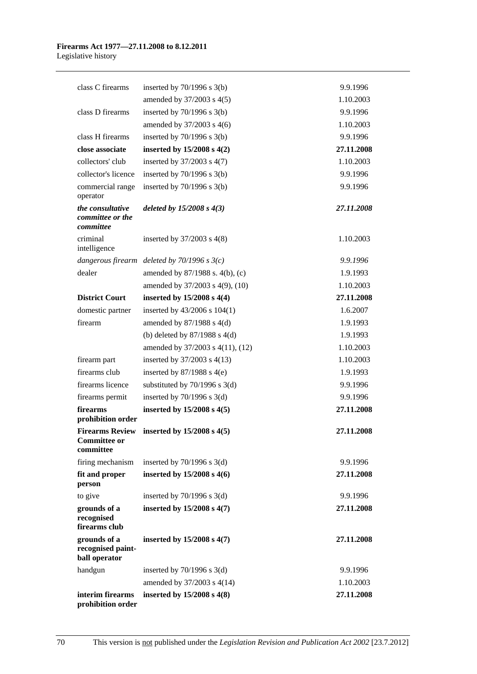| class C firearms                                           | inserted by $70/1996$ s $3(b)$                  | 9.9.1996   |
|------------------------------------------------------------|-------------------------------------------------|------------|
|                                                            | amended by 37/2003 s 4(5)                       | 1.10.2003  |
| class D firearms                                           | inserted by $70/1996$ s $3(b)$                  | 9.9.1996   |
|                                                            | amended by 37/2003 s 4(6)                       | 1.10.2003  |
| class H firearms                                           | inserted by $70/1996$ s $3(b)$                  | 9.9.1996   |
| close associate                                            | inserted by 15/2008 s 4(2)                      | 27.11.2008 |
| collectors' club                                           | inserted by 37/2003 s 4(7)                      | 1.10.2003  |
| collector's licence                                        | inserted by $70/1996$ s $3(b)$                  | 9.9.1996   |
| commercial range<br>operator                               | inserted by $70/1996$ s $3(b)$                  | 9.9.1996   |
| the consultative<br>committee or the<br>committee          | deleted by $15/2008$ s $4(3)$                   | 27.11.2008 |
| criminal<br>intelligence                                   | inserted by $37/2003$ s 4(8)                    | 1.10.2003  |
|                                                            | dangerous firearm deleted by $70/1996$ s $3(c)$ | 9.9.1996   |
| dealer                                                     | amended by 87/1988 s. 4(b), (c)                 | 1.9.1993   |
|                                                            | amended by 37/2003 s 4(9), (10)                 | 1.10.2003  |
| <b>District Court</b>                                      | inserted by $15/2008$ s $4(4)$                  | 27.11.2008 |
| domestic partner                                           | inserted by 43/2006 s 104(1)                    | 1.6.2007   |
| firearm                                                    | amended by $87/1988$ s $4(d)$                   | 1.9.1993   |
|                                                            | (b) deleted by $87/1988$ s $4(d)$               | 1.9.1993   |
|                                                            | amended by 37/2003 s 4(11), (12)                | 1.10.2003  |
| firearm part                                               | inserted by $37/2003$ s 4(13)                   | 1.10.2003  |
| firearms club                                              | inserted by $87/1988$ s 4(e)                    | 1.9.1993   |
| firearms licence                                           | substituted by $70/1996$ s $3(d)$               | 9.9.1996   |
| firearms permit                                            | inserted by $70/1996$ s $3(d)$                  | 9.9.1996   |
| firearms<br>prohibition order                              | inserted by $15/2008$ s $4(5)$                  | 27.11.2008 |
| <b>Firearms Review</b><br><b>Committee or</b><br>committee | inserted by $15/2008$ s $4(5)$                  | 27.11.2008 |
| firing mechanism                                           | inserted by $70/1996$ s $3(d)$                  | 9.9.1996   |
| fit and proper<br>person                                   | inserted by $15/2008$ s $4(6)$                  | 27.11.2008 |
| to give                                                    | inserted by $70/1996$ s $3(d)$                  | 9.9.1996   |
| grounds of a<br>recognised<br>firearms club                | inserted by $15/2008$ s $4(7)$                  | 27.11.2008 |
| grounds of a<br>recognised paint-<br>ball operator         | inserted by $15/2008$ s $4(7)$                  | 27.11.2008 |
| handgun                                                    | inserted by $70/1996$ s $3(d)$                  | 9.9.1996   |
|                                                            | amended by 37/2003 s 4(14)                      | 1.10.2003  |
| interim firearms<br>prohibition order                      | inserted by $15/2008$ s $4(8)$                  | 27.11.2008 |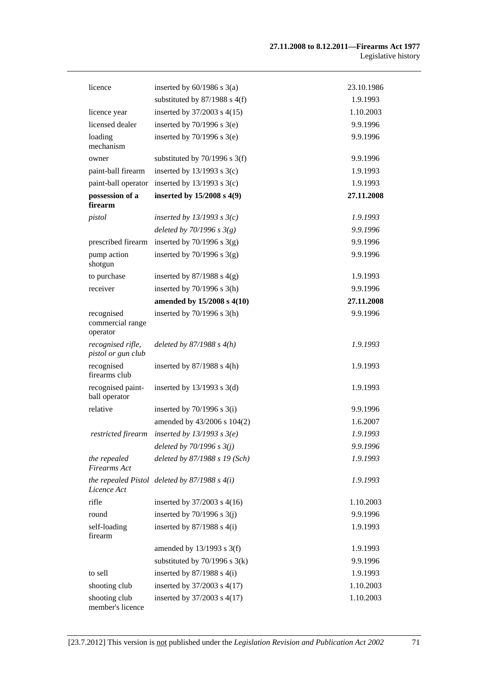| licence                                    | inserted by $60/1986$ s $3(a)$                    | 23.10.1986 |
|--------------------------------------------|---------------------------------------------------|------------|
|                                            | substituted by 87/1988 s 4(f)                     | 1.9.1993   |
| licence year                               | inserted by 37/2003 s 4(15)                       | 1.10.2003  |
| licensed dealer                            | inserted by $70/1996$ s $3(e)$                    | 9.9.1996   |
| loading<br>mechanism                       | inserted by $70/1996$ s $3(e)$                    | 9.9.1996   |
| owner                                      | substituted by $70/1996$ s $3(f)$                 | 9.9.1996   |
| paint-ball firearm                         | inserted by $13/1993$ s $3(c)$                    | 1.9.1993   |
| paint-ball operator                        | inserted by $13/1993$ s $3(c)$                    | 1.9.1993   |
| possession of a<br>firearm                 | inserted by $15/2008$ s $4(9)$                    | 27.11.2008 |
| pistol                                     | inserted by $13/1993$ s $3(c)$                    | 1.9.1993   |
|                                            | deleted by $70/1996$ s $3(g)$                     | 9.9.1996   |
| prescribed firearm                         | inserted by $70/1996$ s $3(g)$                    | 9.9.1996   |
| pump action<br>shotgun                     | inserted by $70/1996$ s $3(g)$                    | 9.9.1996   |
| to purchase                                | inserted by $87/1988$ s $4(g)$                    | 1.9.1993   |
| receiver                                   | inserted by $70/1996$ s $3(h)$                    | 9.9.1996   |
|                                            | amended by 15/2008 s 4(10)                        | 27.11.2008 |
| recognised<br>commercial range<br>operator | inserted by $70/1996$ s $3(h)$                    | 9.9.1996   |
| recognised rifle,<br>pistol or gun club    | deleted by $87/1988 s 4(h)$                       | 1.9.1993   |
| recognised<br>firearms club                | inserted by $87/1988$ s 4(h)                      | 1.9.1993   |
| recognised paint-<br>ball operator         | inserted by $13/1993$ s $3(d)$                    | 1.9.1993   |
| relative                                   | inserted by $70/1996$ s $3(i)$                    | 9.9.1996   |
|                                            | amended by 43/2006 s 104(2)                       | 1.6.2007   |
| restricted firearm                         | inserted by $13/1993$ s $3(e)$                    | 1.9.1993   |
|                                            | deleted by $70/1996$ s $3(j)$                     | 9.9.1996   |
| the repealed<br><b>Firearms</b> Act        | deleted by 87/1988 s 19 (Sch)                     | 1.9.1993   |
| Licence Act                                | the repealed Pistol deleted by $87/1988$ s $4(i)$ | 1.9.1993   |
| rifle                                      | inserted by $37/2003$ s 4(16)                     | 1.10.2003  |
| round                                      | inserted by $70/1996$ s $3(j)$                    | 9.9.1996   |
| self-loading<br>firearm                    | inserted by $87/1988$ s $4(i)$                    | 1.9.1993   |
|                                            | amended by $13/1993$ s $3(f)$                     | 1.9.1993   |
|                                            | substituted by $70/1996$ s $3(k)$                 | 9.9.1996   |
| to sell                                    | inserted by $87/1988$ s $4(i)$                    | 1.9.1993   |
| shooting club                              | inserted by $37/2003$ s $4(17)$                   | 1.10.2003  |
| shooting club<br>member's licence          | inserted by 37/2003 s 4(17)                       | 1.10.2003  |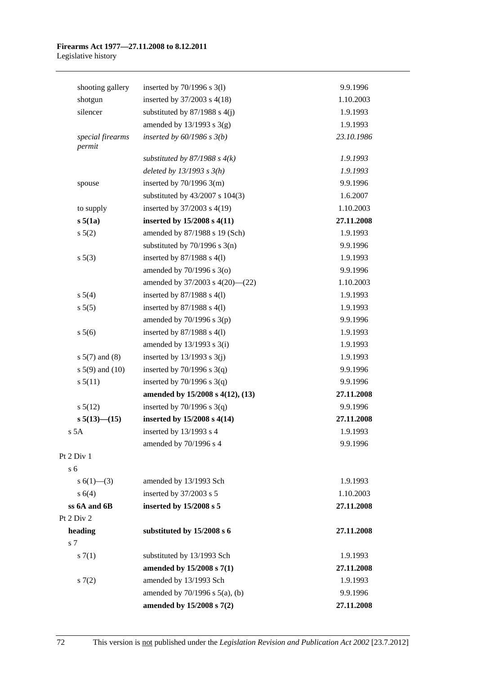#### **Firearms Act 1977—27.11.2008 to 8.12.2011**  Legislative history

| shooting gallery           | inserted by $70/1996$ s $3(1)$          | 9.9.1996   |
|----------------------------|-----------------------------------------|------------|
| shotgun                    | inserted by $37/2003$ s $4(18)$         | 1.10.2003  |
| silencer                   | substituted by $87/1988$ s $4(j)$       | 1.9.1993   |
|                            | amended by $13/1993$ s $3(g)$           | 1.9.1993   |
| special firearms<br>permit | inserted by $60/1986$ s $3(b)$          | 23.10.1986 |
|                            | substituted by $87/1988$ s $4(k)$       | 1.9.1993   |
|                            | deleted by $13/1993$ s $3(h)$           | 1.9.1993   |
| spouse                     | inserted by $70/1996$ 3(m)              | 9.9.1996   |
|                            | substituted by $43/2007$ s $104(3)$     | 1.6.2007   |
| to supply                  | inserted by 37/2003 s 4(19)             | 1.10.2003  |
| s 5(1a)                    | inserted by 15/2008 s 4(11)             | 27.11.2008 |
| $s\ 5(2)$                  | amended by 87/1988 s 19 (Sch)           | 1.9.1993   |
|                            | substituted by $70/1996$ s $3(n)$       | 9.9.1996   |
| $s\ 5(3)$                  | inserted by $87/1988$ s $4(1)$          | 1.9.1993   |
|                            | amended by $70/1996$ s $3(0)$           | 9.9.1996   |
|                            | amended by $37/2003$ s $4(20)$ — $(22)$ | 1.10.2003  |
| $s\ 5(4)$                  | inserted by $87/1988$ s $4(1)$          | 1.9.1993   |
| s 5(5)                     | inserted by $87/1988$ s $4(1)$          | 1.9.1993   |
|                            | amended by $70/1996$ s $3(p)$           | 9.9.1996   |
| s 5(6)                     | inserted by $87/1988$ s $4(1)$          | 1.9.1993   |
|                            | amended by $13/1993$ s $3(i)$           | 1.9.1993   |
| $s 5(7)$ and (8)           | inserted by $13/1993$ s $3(j)$          | 1.9.1993   |
| $s 5(9)$ and $(10)$        | inserted by $70/1996$ s $3(q)$          | 9.9.1996   |
| s 5(11)                    | inserted by $70/1996$ s $3(q)$          | 9.9.1996   |
|                            | amended by 15/2008 s 4(12), (13)        | 27.11.2008 |
| $s\,5(12)$                 | inserted by $70/1996$ s $3(q)$          | 9.9.1996   |
| $s\,5(13)$ - (15)          | inserted by 15/2008 s 4(14)             | 27.11.2008 |
| s <sub>5A</sub>            | inserted by 13/1993 s 4                 | 1.9.1993   |
|                            | amended by 70/1996 s 4                  | 9.9.1996   |
| Pt 2 Div 1                 |                                         |            |
| s <sub>6</sub>             |                                         |            |
| s $6(1)$ — $(3)$           | amended by 13/1993 Sch                  | 1.9.1993   |
| s 6(4)                     | inserted by 37/2003 s 5                 | 1.10.2003  |
| ss 6A and 6B               | inserted by 15/2008 s 5                 | 27.11.2008 |
| Pt 2 Div 2                 |                                         |            |
| heading                    | substituted by 15/2008 s 6              | 27.11.2008 |
| s 7                        |                                         |            |
| s(7(1))                    | substituted by 13/1993 Sch              | 1.9.1993   |
|                            | amended by 15/2008 s 7(1)               | 27.11.2008 |
| s(7(2)                     | amended by 13/1993 Sch                  | 1.9.1993   |
|                            | amended by 70/1996 s 5(a), (b)          | 9.9.1996   |
|                            | amended by 15/2008 s 7(2)               | 27.11.2008 |

 $\Pr$ 

 $Pt$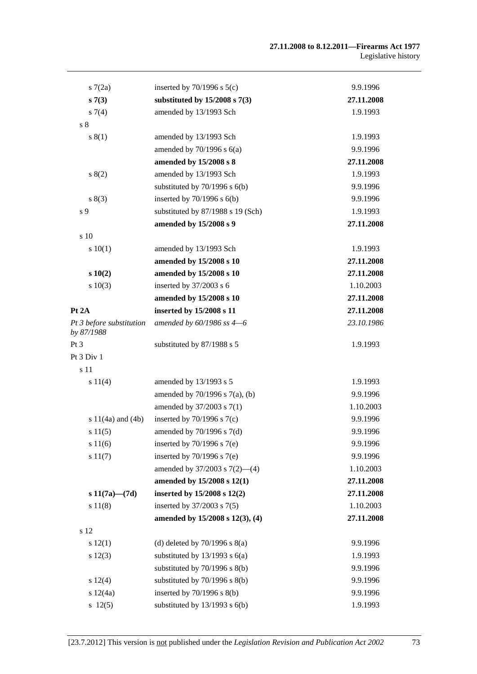| 57(2a)                                 | inserted by $70/1996$ s $5(c)$      | 9.9.1996   |
|----------------------------------------|-------------------------------------|------------|
| s7(3)                                  | substituted by $15/2008$ s $7(3)$   | 27.11.2008 |
| $s \, 7(4)$                            | amended by 13/1993 Sch              | 1.9.1993   |
| s <sub>8</sub>                         |                                     |            |
| s(1)                                   | amended by 13/1993 Sch              | 1.9.1993   |
|                                        | amended by $70/1996$ s $6(a)$       | 9.9.1996   |
|                                        | amended by 15/2008 s 8              | 27.11.2008 |
| s(2)                                   | amended by 13/1993 Sch              | 1.9.1993   |
|                                        | substituted by $70/1996$ s $6(b)$   | 9.9.1996   |
| s(3)                                   | inserted by $70/1996$ s $6(b)$      | 9.9.1996   |
| s 9                                    | substituted by 87/1988 s 19 (Sch)   | 1.9.1993   |
|                                        | amended by 15/2008 s 9              | 27.11.2008 |
| s 10                                   |                                     |            |
| 10(1)                                  | amended by 13/1993 Sch              | 1.9.1993   |
|                                        | amended by 15/2008 s 10             | 27.11.2008 |
| s 10(2)                                | amended by 15/2008 s 10             | 27.11.2008 |
| s 10(3)                                | inserted by 37/2003 s 6             | 1.10.2003  |
|                                        | amended by 15/2008 s 10             | 27.11.2008 |
| Pt 2A                                  | inserted by 15/2008 s 11            | 27.11.2008 |
| Pt 3 before substitution<br>by 87/1988 | amended by $60/1986$ ss $4-6$       | 23.10.1986 |
| Pt 3                                   | substituted by 87/1988 s 5          | 1.9.1993   |
| Pt 3 Div 1                             |                                     |            |
| s 11                                   |                                     |            |
| s 11(4)                                | amended by 13/1993 s 5              | 1.9.1993   |
|                                        | amended by $70/1996$ s $7(a)$ , (b) | 9.9.1996   |
|                                        | amended by 37/2003 s 7(1)           | 1.10.2003  |
| s $11(4a)$ and $(4b)$                  | inserted by $70/1996$ s $7(c)$      | 9.9.1996   |
| s 11(5)                                | amended by 70/1996 s 7(d)           | 9.9.1996   |
| s 11(6)                                | inserted by $70/1996$ s $7(e)$      | 9.9.1996   |
| s 11(7)                                | inserted by $70/1996$ s $7(e)$      | 9.9.1996   |
|                                        | amended by $37/2003$ s $7(2)$ —(4)  | 1.10.2003  |
|                                        | amended by 15/2008 s 12(1)          | 27.11.2008 |
| s $11(7a)$ — $(7d)$                    | inserted by 15/2008 s 12(2)         | 27.11.2008 |
| s 11(8)                                | inserted by 37/2003 s 7(5)          | 1.10.2003  |
|                                        | amended by 15/2008 s 12(3), (4)     | 27.11.2008 |
| s 12                                   |                                     |            |
| s 12(1)                                | (d) deleted by $70/1996$ s $8(a)$   | 9.9.1996   |
| s 12(3)                                | substituted by $13/1993$ s $6(a)$   | 1.9.1993   |
|                                        | substituted by $70/1996$ s $8(b)$   | 9.9.1996   |
| s 12(4)                                | substituted by $70/1996$ s $8(b)$   | 9.9.1996   |
| s 12(4a)                               | inserted by $70/1996$ s $8(b)$      | 9.9.1996   |
| 12(5)                                  | substituted by $13/1993$ s $6(b)$   | 1.9.1993   |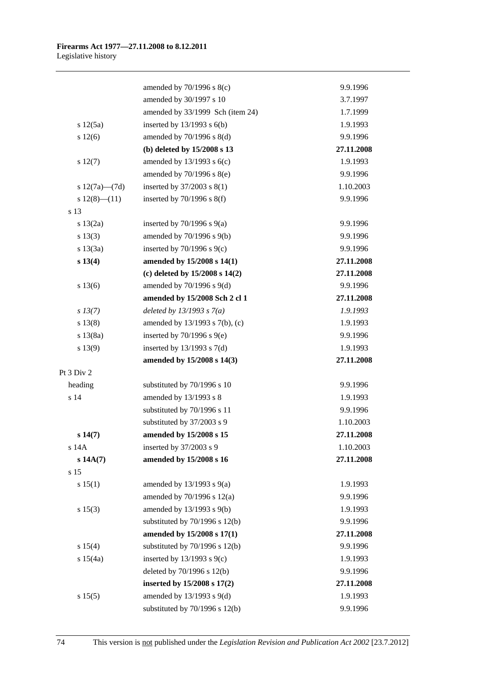|                     | amended by $70/1996$ s $8(c)$      | 9.9.1996   |
|---------------------|------------------------------------|------------|
|                     | amended by 30/1997 s 10            | 3.7.1997   |
|                     | amended by 33/1999 Sch (item 24)   | 1.7.1999   |
| s 12(5a)            | inserted by $13/1993$ s $6(b)$     | 1.9.1993   |
| s 12(6)             | amended by 70/1996 s 8(d)          | 9.9.1996   |
|                     | (b) deleted by 15/2008 s 13        | 27.11.2008 |
| s 12(7)             | amended by $13/1993$ s $6(c)$      | 1.9.1993   |
|                     | amended by $70/1996$ s $8(e)$      | 9.9.1996   |
| s $12(7a)$ — $(7d)$ | inserted by $37/2003$ s $8(1)$     | 1.10.2003  |
| $s\ 12(8)$ (11)     | inserted by $70/1996$ s $8(f)$     | 9.9.1996   |
| s 13                |                                    |            |
| s 13(2a)            | inserted by $70/1996$ s $9(a)$     | 9.9.1996   |
| s 13(3)             | amended by 70/1996 s 9(b)          | 9.9.1996   |
| s 13(3a)            | inserted by $70/1996$ s $9(c)$     | 9.9.1996   |
| s 13(4)             | amended by 15/2008 s 14(1)         | 27.11.2008 |
|                     | (c) deleted by $15/2008$ s $14(2)$ | 27.11.2008 |
| s 13(6)             | amended by 70/1996 s 9(d)          | 9.9.1996   |
|                     | amended by 15/2008 Sch 2 cl 1      | 27.11.2008 |
| $s\,13(7)$          | deleted by $13/1993 s 7(a)$        | 1.9.1993   |
| s 13(8)             | amended by 13/1993 s 7(b), (c)     | 1.9.1993   |
| s 13(8a)            | inserted by $70/1996$ s $9(e)$     | 9.9.1996   |
| s 13(9)             | inserted by $13/1993$ s $7(d)$     | 1.9.1993   |
|                     | amended by 15/2008 s 14(3)         | 27.11.2008 |
| Pt 3 Div 2          |                                    |            |
| heading             | substituted by 70/1996 s 10        | 9.9.1996   |
| s 14                | amended by 13/1993 s 8             | 1.9.1993   |
|                     | substituted by 70/1996 s 11        | 9.9.1996   |
|                     | substituted by 37/2003 s 9         | 1.10.2003  |
| s 14(7)             | amended by 15/2008 s 15            | 27.11.2008 |
| s 14A               | inserted by 37/2003 s 9            | 1.10.2003  |
| $s$ 14A $(7)$       | amended by 15/2008 s 16            | 27.11.2008 |
| s 15                |                                    |            |
| s 15(1)             | amended by $13/1993$ s $9(a)$      | 1.9.1993   |
|                     | amended by $70/1996$ s $12(a)$     | 9.9.1996   |
| s 15(3)             | amended by 13/1993 s 9(b)          | 1.9.1993   |
|                     | substituted by $70/1996$ s $12(b)$ | 9.9.1996   |
|                     | amended by 15/2008 s 17(1)         | 27.11.2008 |
| s 15(4)             | substituted by 70/1996 s 12(b)     | 9.9.1996   |
| s 15(4a)            | inserted by $13/1993$ s $9(c)$     | 1.9.1993   |
|                     | deleted by 70/1996 s 12(b)         | 9.9.1996   |
|                     | inserted by 15/2008 s 17(2)        | 27.11.2008 |
| s 15(5)             | amended by 13/1993 s 9(d)          | 1.9.1993   |
|                     | substituted by 70/1996 s 12(b)     | 9.9.1996   |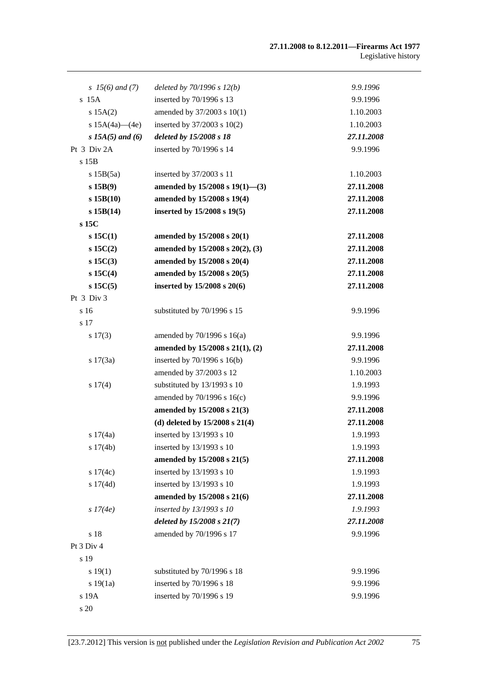| s $15(6)$ and (7)  | deleted by $70/1996 s 12(b)$       | 9.9.1996   |
|--------------------|------------------------------------|------------|
| $s$ 15A            | inserted by 70/1996 s 13           | 9.9.1996   |
| s 15A(2)           | amended by 37/2003 s 10(1)         | 1.10.2003  |
| s $15A(4a)$ (4e)   | inserted by $37/2003$ s $10(2)$    | 1.10.2003  |
| s $15A(5)$ and (6) | deleted by 15/2008 s 18            | 27.11.2008 |
| Pt 3 Div 2A        | inserted by 70/1996 s 14           | 9.9.1996   |
| s 15B              |                                    |            |
| s 15B(5a)          | inserted by 37/2003 s 11           | 1.10.2003  |
| s 15B(9)           | amended by 15/2008 s 19(1)-(3)     | 27.11.2008 |
| s 15B(10)          | amended by 15/2008 s 19(4)         | 27.11.2008 |
| s 15B(14)          | inserted by 15/2008 s 19(5)        | 27.11.2008 |
| s 15C              |                                    |            |
| $s$ 15C(1)         | amended by 15/2008 s 20(1)         | 27.11.2008 |
| $s$ 15C(2)         | amended by 15/2008 s 20(2), (3)    | 27.11.2008 |
| $s$ 15 $C(3)$      | amended by 15/2008 s 20(4)         | 27.11.2008 |
| $s$ 15C(4)         | amended by 15/2008 s 20(5)         | 27.11.2008 |
| $s$ 15C(5)         | inserted by 15/2008 s 20(6)        | 27.11.2008 |
| Pt 3 Div 3         |                                    |            |
| s 16               | substituted by 70/1996 s 15        | 9.9.1996   |
| s 17               |                                    |            |
| s 17(3)            | amended by $70/1996$ s $16(a)$     | 9.9.1996   |
|                    | amended by 15/2008 s 21(1), (2)    | 27.11.2008 |
| s 17(3a)           | inserted by $70/1996$ s $16(b)$    | 9.9.1996   |
|                    | amended by 37/2003 s 12            | 1.10.2003  |
| s 17(4)            | substituted by 13/1993 s 10        | 1.9.1993   |
|                    | amended by 70/1996 s 16(c)         | 9.9.1996   |
|                    | amended by 15/2008 s 21(3)         | 27.11.2008 |
|                    | (d) deleted by $15/2008$ s $21(4)$ | 27.11.2008 |
| s $17(4a)$         | inserted by 13/1993 s 10           | 1.9.1993   |
| s 17(4b)           | inserted by 13/1993 s 10           | 1.9.1993   |
|                    | amended by 15/2008 s 21(5)         | 27.11.2008 |
| s $17(4c)$         | inserted by 13/1993 s 10           | 1.9.1993   |
| s 17(4d)           | inserted by 13/1993 s 10           | 1.9.1993   |
|                    | amended by 15/2008 s 21(6)         | 27.11.2008 |
| s 17(4e)           | inserted by 13/1993 s 10           | 1.9.1993   |
|                    | deleted by $15/2008 s 21(7)$       | 27.11.2008 |
| s 18               | amended by 70/1996 s 17            | 9.9.1996   |
| Pt 3 Div 4         |                                    |            |
| s 19               |                                    |            |
| s 19(1)            | substituted by 70/1996 s 18        | 9.9.1996   |
| s 19(1a)           | inserted by 70/1996 s 18           | 9.9.1996   |
| s 19A              | inserted by 70/1996 s 19           | 9.9.1996   |
| s 20               |                                    |            |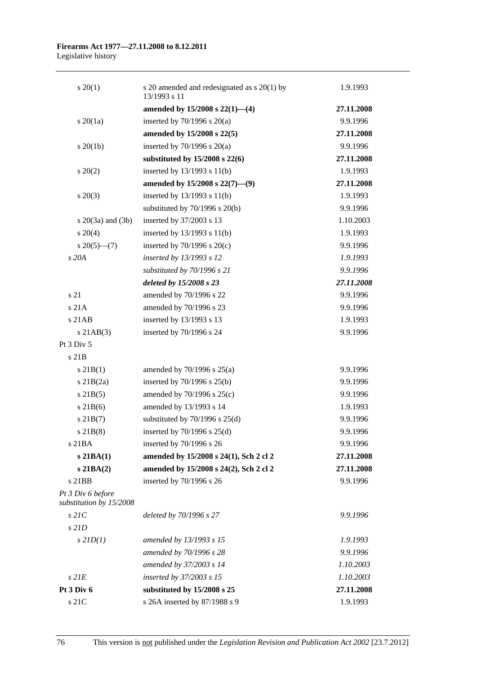| $s \ 20(1)$                                  | s 20 amended and redesignated as s 20(1) by<br>13/1993 s 11 | 1.9.1993   |
|----------------------------------------------|-------------------------------------------------------------|------------|
|                                              | amended by $15/2008$ s $22(1)$ —(4)                         | 27.11.2008 |
| $s\ 20(1a)$                                  | inserted by $70/1996$ s $20(a)$                             | 9.9.1996   |
|                                              | amended by 15/2008 s 22(5)                                  | 27.11.2008 |
| $s \ 20(1b)$                                 | inserted by $70/1996$ s $20(a)$                             | 9.9.1996   |
|                                              | substituted by 15/2008 s 22(6)                              | 27.11.2008 |
| $\pm 20(2)$                                  | inserted by 13/1993 s 11(b)                                 | 1.9.1993   |
|                                              | amended by $15/2008$ s $22(7)$ —(9)                         | 27.11.2008 |
| $s \ 20(3)$                                  | inserted by $13/1993$ s $11(b)$                             | 1.9.1993   |
|                                              | substituted by $70/1996$ s $20(b)$                          | 9.9.1996   |
| s $20(3a)$ and $(3b)$                        | inserted by 37/2003 s 13                                    | 1.10.2003  |
| $s \ 20(4)$                                  | inserted by $13/1993$ s $11(b)$                             | 1.9.1993   |
| $s \ 20(5)$ — $(7)$                          | inserted by $70/1996$ s $20(c)$                             | 9.9.1996   |
| s 20A                                        | inserted by 13/1993 s 12                                    | 1.9.1993   |
|                                              | substituted by 70/1996 s 21                                 | 9.9.1996   |
|                                              | deleted by 15/2008 s 23                                     | 27.11.2008 |
| s 21                                         | amended by 70/1996 s 22                                     | 9.9.1996   |
| s 21A                                        | amended by 70/1996 s 23                                     | 9.9.1996   |
| $s$ 21 $AB$                                  | inserted by 13/1993 s 13                                    | 1.9.1993   |
| $s$ 21AB $(3)$                               | inserted by 70/1996 s 24                                    | 9.9.1996   |
| Pt 3 Div 5                                   |                                                             |            |
| $s$ 21 $B$                                   |                                                             |            |
| s 21B(1)                                     | amended by $70/1996$ s $25(a)$                              | 9.9.1996   |
| $s$ 21B $(2a)$                               | inserted by $70/1996$ s $25(b)$                             | 9.9.1996   |
| $s$ 21B(5)                                   | amended by 70/1996 s 25(c)                                  | 9.9.1996   |
| $s$ 21B(6)                                   | amended by 13/1993 s 14                                     | 1.9.1993   |
| $s$ 21B $(7)$                                | substituted by $70/1996$ s $25(d)$                          | 9.9.1996   |
| $s$ 21B $(8)$                                | inserted by $70/1996$ s $25(d)$                             | 9.9.1996   |
| s 21BA                                       | inserted by 70/1996 s 26                                    | 9.9.1996   |
| $s$ 21BA $(1)$                               | amended by 15/2008 s 24(1), Sch 2 cl 2                      | 27.11.2008 |
| $s$ 21BA $(2)$                               | amended by 15/2008 s 24(2), Sch 2 cl 2                      | 27.11.2008 |
| $s$ 21BB                                     | inserted by 70/1996 s 26                                    | 9.9.1996   |
| Pt 3 Div 6 before<br>substitution by 15/2008 |                                                             |            |
| $s$ 21 $C$                                   | deleted by 70/1996 s 27                                     | 9.9.1996   |
| $s$ 21D                                      |                                                             |            |
| $s$ 21D(1)                                   | amended by 13/1993 s 15                                     | 1.9.1993   |
|                                              | amended by 70/1996 s 28                                     | 9.9.1996   |
|                                              | amended by 37/2003 s 14                                     | 1.10.2003  |
| $s$ $2IE$                                    | inserted by 37/2003 s 15                                    | 1.10.2003  |
| Pt 3 Div 6                                   | substituted by 15/2008 s 25                                 | 27.11.2008 |
| s 21C                                        | s 26A inserted by 87/1988 s 9                               | 1.9.1993   |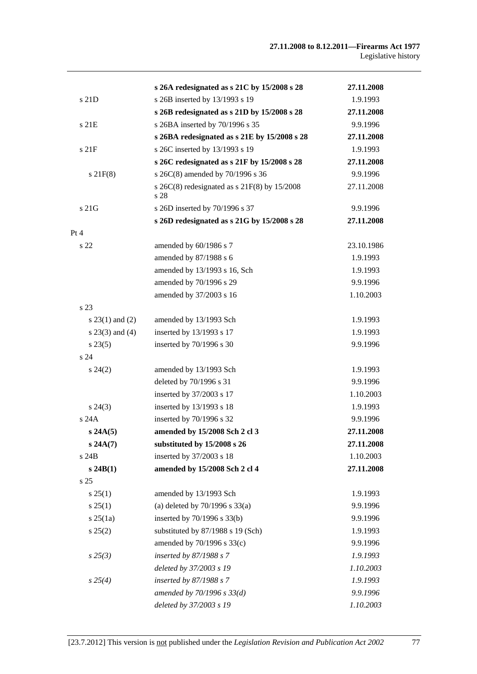|                   | s 26A redesignated as s 21C by 15/2008 s 28                | 27.11.2008 |
|-------------------|------------------------------------------------------------|------------|
| s 21D             | s 26B inserted by 13/1993 s 19                             | 1.9.1993   |
|                   | s 26B redesignated as s 21D by 15/2008 s 28                | 27.11.2008 |
| s 21E             | s 26BA inserted by 70/1996 s 35                            | 9.9.1996   |
|                   | s 26BA redesignated as s 21E by 15/2008 s 28               | 27.11.2008 |
| s21F              | s 26C inserted by 13/1993 s 19                             | 1.9.1993   |
|                   | s 26C redesignated as s 21F by 15/2008 s 28                | 27.11.2008 |
| $s$ 21 $F(8)$     | s 26C(8) amended by 70/1996 s 36                           | 9.9.1996   |
|                   | s $26C(8)$ redesignated as s $21F(8)$ by $15/2008$<br>s 28 | 27.11.2008 |
| s 21G             | s 26D inserted by 70/1996 s 37                             | 9.9.1996   |
|                   | s 26D redesignated as s 21G by 15/2008 s 28                | 27.11.2008 |
| Pt 4              |                                                            |            |
| s <sub>22</sub>   | amended by 60/1986 s 7                                     | 23.10.1986 |
|                   | amended by 87/1988 s 6                                     | 1.9.1993   |
|                   | amended by 13/1993 s 16, Sch                               | 1.9.1993   |
|                   | amended by 70/1996 s 29                                    | 9.9.1996   |
|                   | amended by 37/2003 s 16                                    | 1.10.2003  |
| s 23              |                                                            |            |
| $s 23(1)$ and (2) | amended by 13/1993 Sch                                     | 1.9.1993   |
| $s$ 23(3) and (4) | inserted by 13/1993 s 17                                   | 1.9.1993   |
| $s\,23(5)$        | inserted by 70/1996 s 30                                   | 9.9.1996   |
| s <sub>24</sub>   |                                                            |            |
| $s\,24(2)$        | amended by 13/1993 Sch                                     | 1.9.1993   |
|                   | deleted by 70/1996 s 31                                    | 9.9.1996   |
|                   | inserted by 37/2003 s 17                                   | 1.10.2003  |
| $s\,24(3)$        | inserted by 13/1993 s 18                                   | 1.9.1993   |
| s 24A             | inserted by 70/1996 s 32                                   | 9.9.1996   |
| s 24A(5)          | amended by 15/2008 Sch 2 cl 3                              | 27.11.2008 |
| s 24A(7)          | substituted by 15/2008 s 26                                | 27.11.2008 |
| s 24B             | inserted by 37/2003 s 18                                   | 1.10.2003  |
| s 24B(1)          | amended by 15/2008 Sch 2 cl 4                              | 27.11.2008 |
| s <sub>25</sub>   |                                                            |            |
| s 25(1)           | amended by 13/1993 Sch                                     | 1.9.1993   |
| $s \, 25(1)$      | (a) deleted by $70/1996$ s $33(a)$                         | 9.9.1996   |
| $s \, 25(1a)$     | inserted by 70/1996 s 33(b)                                | 9.9.1996   |
| s 25(2)           | substituted by 87/1988 s 19 (Sch)                          | 1.9.1993   |
|                   | amended by 70/1996 s 33(c)                                 | 9.9.1996   |
| $s\,25(3)$        | inserted by 87/1988 s 7                                    | 1.9.1993   |
|                   | deleted by 37/2003 s 19                                    | 1.10.2003  |
| $s\,25(4)$        | inserted by 87/1988 s 7                                    | 1.9.1993   |
|                   | amended by $70/1996 s 33(d)$                               | 9.9.1996   |
|                   | deleted by 37/2003 s 19                                    | 1.10.2003  |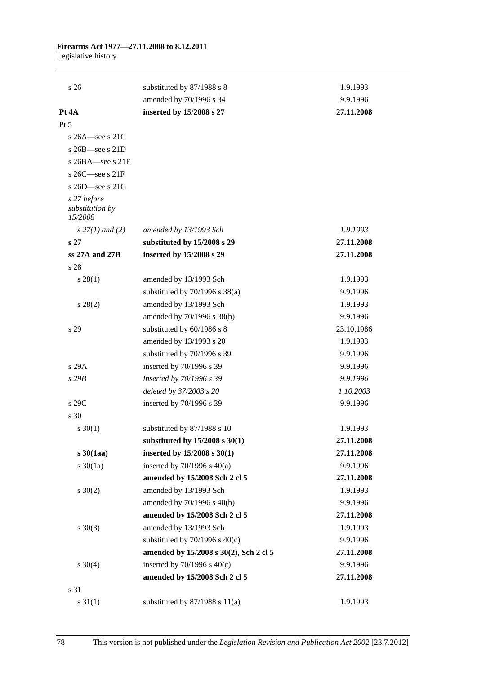## **Firearms Act 1977—27.11.2008 to 8.12.2011**  Legislative history

| s <sub>26</sub>                           | substituted by 87/1988 s 8             | 1.9.1993   |
|-------------------------------------------|----------------------------------------|------------|
|                                           | amended by 70/1996 s 34                | 9.9.1996   |
| Pt 4A                                     | inserted by 15/2008 s 27               | 27.11.2008 |
| Pt 5                                      |                                        |            |
| s $26A$ -see s $21C$                      |                                        |            |
| s 26B-see s 21D                           |                                        |            |
| s $26BA$ -see s $21E$                     |                                        |            |
| s 26C-see s 21F                           |                                        |            |
| s $26D$ see s $21G$                       |                                        |            |
| s 27 before<br>substitution by<br>15/2008 |                                        |            |
| $s$ 27(1) and (2)                         | amended by 13/1993 Sch                 | 1.9.1993   |
| s <sub>27</sub>                           | substituted by 15/2008 s 29            | 27.11.2008 |
| ss 27A and 27B                            | inserted by 15/2008 s 29               | 27.11.2008 |
| s 28                                      |                                        |            |
| s 28(1)                                   | amended by 13/1993 Sch                 | 1.9.1993   |
|                                           | substituted by $70/1996$ s $38(a)$     | 9.9.1996   |
| $s\,28(2)$                                | amended by 13/1993 Sch                 | 1.9.1993   |
|                                           | amended by 70/1996 s 38(b)             | 9.9.1996   |
| s 29                                      | substituted by 60/1986 s 8             | 23.10.1986 |
|                                           | amended by 13/1993 s 20                | 1.9.1993   |
|                                           | substituted by 70/1996 s 39            | 9.9.1996   |
| s 29A                                     | inserted by 70/1996 s 39               | 9.9.1996   |
| s29B                                      | inserted by 70/1996 s 39               | 9.9.1996   |
|                                           | deleted by 37/2003 s 20                | 1.10.2003  |
| s 29C                                     | inserted by 70/1996 s 39               | 9.9.1996   |
| s 30                                      |                                        |            |
| $s \ 30(1)$                               | substituted by 87/1988 s 10            | 1.9.1993   |
|                                           | substituted by $15/2008$ s $30(1)$     | 27.11.2008 |
| $s\,30(1aa)$                              | inserted by 15/2008 s 30(1)            | 27.11.2008 |
| $s \ 30(1a)$                              | inserted by $70/1996$ s $40(a)$        | 9.9.1996   |
|                                           | amended by 15/2008 Sch 2 cl 5          | 27.11.2008 |
| $s \ 30(2)$                               | amended by 13/1993 Sch                 | 1.9.1993   |
|                                           | amended by 70/1996 s 40(b)             | 9.9.1996   |
|                                           | amended by 15/2008 Sch 2 cl 5          | 27.11.2008 |
| $s \ 30(3)$                               | amended by 13/1993 Sch                 | 1.9.1993   |
|                                           | substituted by $70/1996$ s $40(c)$     | 9.9.1996   |
|                                           | amended by 15/2008 s 30(2), Sch 2 cl 5 | 27.11.2008 |
| $s \ 30(4)$                               | inserted by $70/1996$ s $40(c)$        | 9.9.1996   |
|                                           | amended by 15/2008 Sch 2 cl 5          | 27.11.2008 |
| s 31                                      |                                        |            |
| $s \ 31(1)$                               | substituted by $87/1988$ s $11(a)$     | 1.9.1993   |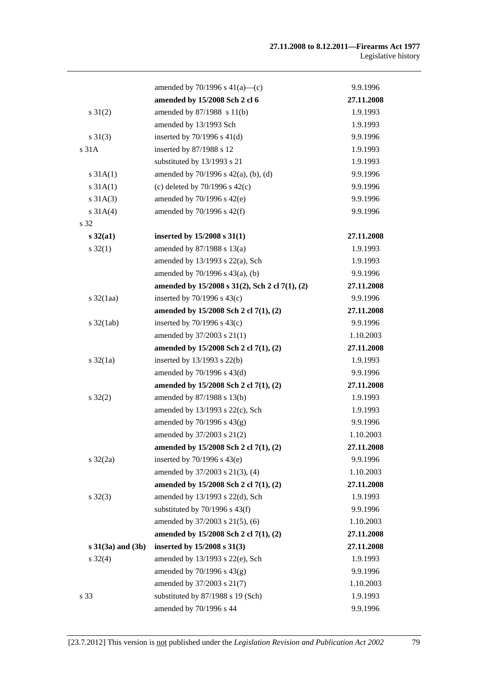|                              | amended by $70/1996$ s $41(a)$ —(c)            | 9.9.1996   |
|------------------------------|------------------------------------------------|------------|
|                              | amended by 15/2008 Sch 2 cl 6                  | 27.11.2008 |
| $s \, 31(2)$                 | amended by 87/1988 s 11(b)                     | 1.9.1993   |
|                              | amended by 13/1993 Sch                         | 1.9.1993   |
| $s \ 31(3)$                  | inserted by $70/1996$ s $41(d)$                | 9.9.1996   |
| s 31A                        | inserted by 87/1988 s 12                       | 1.9.1993   |
|                              | substituted by 13/1993 s 21                    | 1.9.1993   |
| $s \, 31A(1)$                | amended by $70/1996$ s $42(a)$ , (b), (d)      | 9.9.1996   |
| s 31A(1)                     | (c) deleted by $70/1996$ s $42(c)$             | 9.9.1996   |
| $s \, 31A(3)$                | amended by 70/1996 s 42(e)                     | 9.9.1996   |
| $s \, 31A(4)$                | amended by $70/1996$ s $42(f)$                 | 9.9.1996   |
| s 32                         |                                                |            |
| $s\,32(a1)$                  | inserted by 15/2008 s 31(1)                    | 27.11.2008 |
| $s \, 32(1)$                 | amended by $87/1988$ s $13(a)$                 | 1.9.1993   |
|                              | amended by 13/1993 s 22(a), Sch                | 1.9.1993   |
|                              | amended by 70/1996 s 43(a), (b)                | 9.9.1996   |
|                              | amended by 15/2008 s 31(2), Sch 2 cl 7(1), (2) | 27.11.2008 |
| $s$ 32(1aa)                  | inserted by $70/1996$ s $43(c)$                | 9.9.1996   |
|                              | amended by 15/2008 Sch 2 cl 7(1), (2)          | 27.11.2008 |
| $s \frac{32(\text{lab})}{ }$ | inserted by $70/1996$ s $43(c)$                | 9.9.1996   |
|                              | amended by 37/2003 s 21(1)                     | 1.10.2003  |
|                              | amended by 15/2008 Sch 2 cl 7(1), (2)          | 27.11.2008 |
| $s \frac{32}{1a}$            | inserted by $13/1993$ s $22(b)$                | 1.9.1993   |
|                              | amended by 70/1996 s 43(d)                     | 9.9.1996   |
|                              | amended by 15/2008 Sch 2 cl 7(1), (2)          | 27.11.2008 |
| $s \, 32(2)$                 | amended by 87/1988 s 13(b)                     | 1.9.1993   |
|                              | amended by 13/1993 s 22(c), Sch                | 1.9.1993   |
|                              | amended by $70/1996$ s $43(g)$                 | 9.9.1996   |
|                              | amended by 37/2003 s 21(2)                     | 1.10.2003  |
|                              | amended by 15/2008 Sch 2 cl 7(1), (2)          | 27.11.2008 |
| $s \frac{32}{2a}$            | inserted by $70/1996$ s $43(e)$                | 9.9.1996   |
|                              | amended by 37/2003 s 21(3), (4)                | 1.10.2003  |
|                              | amended by 15/2008 Sch 2 cl 7(1), (2)          | 27.11.2008 |
| $s \, 32(3)$                 | amended by 13/1993 s 22(d), Sch                | 1.9.1993   |
|                              | substituted by $70/1996$ s $43(f)$             | 9.9.1996   |
|                              | amended by 37/2003 s 21(5), (6)                | 1.10.2003  |
|                              | amended by 15/2008 Sch 2 cl 7(1), (2)          | 27.11.2008 |
| $s \ 31(3a)$ and $(3b)$      | inserted by 15/2008 s 31(3)                    | 27.11.2008 |
| $s \, 32(4)$                 | amended by $13/1993$ s $22(e)$ , Sch           | 1.9.1993   |
|                              | amended by $70/1996$ s $43(g)$                 | 9.9.1996   |
|                              | amended by 37/2003 s 21(7)                     | 1.10.2003  |
| s 33                         | substituted by 87/1988 s 19 (Sch)              | 1.9.1993   |
|                              | amended by 70/1996 s 44                        | 9.9.1996   |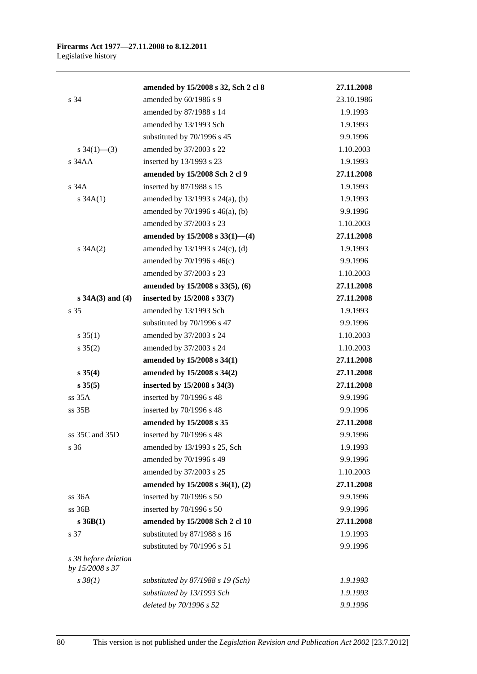|                                         | amended by 15/2008 s 32, Sch 2 cl 8  | 27.11.2008 |
|-----------------------------------------|--------------------------------------|------------|
| s 34                                    | amended by 60/1986 s 9               | 23.10.1986 |
|                                         | amended by 87/1988 s 14              | 1.9.1993   |
|                                         | amended by 13/1993 Sch               | 1.9.1993   |
|                                         | substituted by 70/1996 s 45          | 9.9.1996   |
| s $34(1)$ — $(3)$                       | amended by 37/2003 s 22              | 1.10.2003  |
| s 34AA                                  | inserted by 13/1993 s 23             | 1.9.1993   |
|                                         | amended by 15/2008 Sch 2 cl 9        | 27.11.2008 |
| s34A                                    | inserted by 87/1988 s 15             | 1.9.1993   |
| s $34A(1)$                              | amended by $13/1993$ s $24(a)$ , (b) | 1.9.1993   |
|                                         | amended by $70/1996$ s $46(a)$ , (b) | 9.9.1996   |
|                                         | amended by 37/2003 s 23              | 1.10.2003  |
|                                         | amended by 15/2008 s 33(1)-(4)       | 27.11.2008 |
| $s \, 34A(2)$                           | amended by 13/1993 s 24(c), (d)      | 1.9.1993   |
|                                         | amended by 70/1996 s 46(c)           | 9.9.1996   |
|                                         | amended by 37/2003 s 23              | 1.10.2003  |
|                                         | amended by 15/2008 s 33(5), (6)      | 27.11.2008 |
| $s 34A(3)$ and (4)                      | inserted by 15/2008 s 33(7)          | 27.11.2008 |
| s 35                                    | amended by 13/1993 Sch               | 1.9.1993   |
|                                         | substituted by 70/1996 s 47          | 9.9.1996   |
| $s \, 35(1)$                            | amended by 37/2003 s 24              | 1.10.2003  |
| $s \, 35(2)$                            | amended by 37/2003 s 24              | 1.10.2003  |
|                                         | amended by 15/2008 s 34(1)           | 27.11.2008 |
| $s \, 35(4)$                            | amended by 15/2008 s 34(2)           | 27.11.2008 |
| s 35(5)                                 | inserted by $15/2008$ s $34(3)$      | 27.11.2008 |
| ss 35A                                  | inserted by 70/1996 s 48             | 9.9.1996   |
| ss 35B                                  | inserted by 70/1996 s 48             | 9.9.1996   |
|                                         | amended by 15/2008 s 35              | 27.11.2008 |
| ss 35C and 35D                          | inserted by 70/1996 s 48             | 9.9.1996   |
| s 36                                    | amended by 13/1993 s 25, Sch         | 1.9.1993   |
|                                         | amended by 70/1996 s 49              | 9.9.1996   |
|                                         | amended by 37/2003 s 25              | 1.10.2003  |
|                                         | amended by 15/2008 s 36(1), (2)      | 27.11.2008 |
| ss 36A                                  | inserted by 70/1996 s 50             | 9.9.1996   |
| $ss$ 36 $B$                             | inserted by 70/1996 s 50             | 9.9.1996   |
| $s$ 36B(1)                              | amended by 15/2008 Sch 2 cl 10       | 27.11.2008 |
| s 37                                    | substituted by 87/1988 s 16          | 1.9.1993   |
|                                         | substituted by 70/1996 s 51          | 9.9.1996   |
| s 38 before deletion<br>by 15/2008 s 37 |                                      |            |
| $s \, 38(1)$                            | substituted by $87/1988$ s 19 (Sch)  | 1.9.1993   |
|                                         | substituted by 13/1993 Sch           | 1.9.1993   |
|                                         | deleted by 70/1996 s 52              | 9.9.1996   |